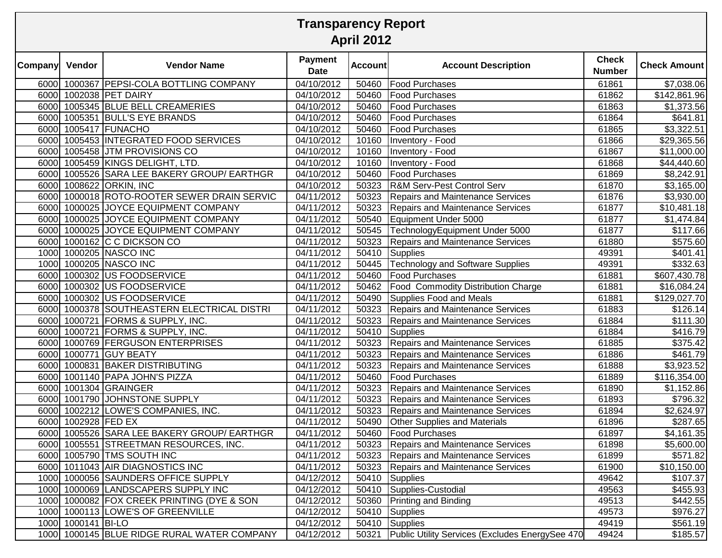|                | <b>Transparency Report</b><br><b>April 2012</b> |                                             |                               |                |                                                 |                               |                         |  |  |  |
|----------------|-------------------------------------------------|---------------------------------------------|-------------------------------|----------------|-------------------------------------------------|-------------------------------|-------------------------|--|--|--|
| <b>Company</b> | Vendor                                          | <b>Vendor Name</b>                          | <b>Payment</b><br><b>Date</b> | <b>Account</b> | <b>Account Description</b>                      | <b>Check</b><br><b>Number</b> | <b>Check Amount</b>     |  |  |  |
|                |                                                 | 6000 1000367 PEPSI-COLA BOTTLING COMPANY    | 04/10/2012                    | 50460          | <b>Food Purchases</b>                           | 61861                         | \$7,038.06              |  |  |  |
|                |                                                 | 6000 1002038 PET DAIRY                      | 04/10/2012                    | 50460          | Food Purchases                                  | 61862                         | \$142,861.96            |  |  |  |
|                |                                                 | 6000 1005345 BLUE BELL CREAMERIES           | 04/10/2012                    | 50460          | <b>Food Purchases</b>                           | 61863                         | \$1,373.56              |  |  |  |
|                |                                                 | 6000 1005351 BULL'S EYE BRANDS              | 04/10/2012                    | 50460          | <b>Food Purchases</b>                           | 61864                         | \$641.81                |  |  |  |
|                |                                                 | 6000 1005417 FUNACHO                        | 04/10/2012                    | 50460          | <b>Food Purchases</b>                           | 61865                         | \$3,322.51              |  |  |  |
|                |                                                 | 6000 1005453 INTEGRATED FOOD SERVICES       | 04/10/2012                    | 10160          | Inventory - Food                                | 61866                         | \$29,365.56             |  |  |  |
|                |                                                 | 6000 1005458 JTM PROVISIONS CO              | 04/10/2012                    | 10160          | Inventory - Food                                | 61867                         | \$11,000.00             |  |  |  |
|                |                                                 | 6000 1005459 KINGS DELIGHT, LTD.            | 04/10/2012                    | 10160          | Inventory - Food                                | 61868                         | \$44,440.60             |  |  |  |
|                |                                                 | 6000 1005526 SARA LEE BAKERY GROUP/ EARTHGR | 04/10/2012                    | 50460          | <b>Food Purchases</b>                           | 61869                         | \$8,242.91              |  |  |  |
|                |                                                 | 6000 1008622 ORKIN, INC                     | 04/10/2012                    | 50323          | <b>R&amp;M Serv-Pest Control Serv</b>           | 61870                         | \$3,165.00              |  |  |  |
|                |                                                 | 6000 1000018 ROTO-ROOTER SEWER DRAIN SERVIC | 04/11/2012                    | 50323          | <b>Repairs and Maintenance Services</b>         | 61876                         | \$3,930.00              |  |  |  |
|                |                                                 | 6000 1000025 JOYCE EQUIPMENT COMPANY        | 04/11/2012                    | 50323          | <b>Repairs and Maintenance Services</b>         | 61877                         | \$10,481.18             |  |  |  |
|                |                                                 | 6000 1000025 JOYCE EQUIPMENT COMPANY        | 04/11/2012                    | 50540          | Equipment Under 5000                            | 61877                         | \$1,474.84              |  |  |  |
|                |                                                 | 6000 1000025 JOYCE EQUIPMENT COMPANY        | 04/11/2012                    | 50545          | TechnologyEquipment Under 5000                  | 61877                         | \$117.66                |  |  |  |
|                |                                                 | 6000 1000162 C C DICKSON CO                 | 04/11/2012                    | 50323          | <b>Repairs and Maintenance Services</b>         | 61880                         | \$575.60                |  |  |  |
|                |                                                 | 1000 1000205 NASCO INC                      | $\overline{04/11}/2012$       | 50410          | Supplies                                        | 49391                         | \$401.41                |  |  |  |
|                |                                                 | 1000 1000205 NASCO INC                      | $\overline{04/11}/2012$       | 50445          | Technology and Software Supplies                | 49391                         | \$332.63                |  |  |  |
|                |                                                 | 6000 1000302 US FOODSERVICE                 | 04/11/2012                    | 50460          | <b>Food Purchases</b>                           | 61881                         | \$607,430.78            |  |  |  |
|                |                                                 | 6000 1000302 US FOODSERVICE                 | 04/11/2012                    | 50462          | <b>Food Commodity Distribution Charge</b>       | 61881                         | \$16,084.24             |  |  |  |
|                |                                                 | 6000 1000302 US FOODSERVICE                 | 04/11/2012                    | 50490          | Supplies Food and Meals                         | 61881                         | \$129,027.70            |  |  |  |
|                |                                                 | 6000 1000378 SOUTHEASTERN ELECTRICAL DISTRI | 04/11/2012                    | 50323          | Repairs and Maintenance Services                | 61883                         | \$126.14                |  |  |  |
|                |                                                 | 6000 1000721 FORMS & SUPPLY, INC.           | 04/11/2012                    | 50323          | Repairs and Maintenance Services                | 61884                         | $\overline{$}111.30$    |  |  |  |
|                |                                                 | 6000 1000721 FORMS & SUPPLY, INC.           | 04/11/2012                    |                | $\overline{50}410$ Supplies                     | 61884                         | \$416.79                |  |  |  |
|                |                                                 | 6000 1000769 FERGUSON ENTERPRISES           | 04/11/2012                    | 50323          | Repairs and Maintenance Services                | 61885                         | \$375.42                |  |  |  |
|                |                                                 | 6000 1000771 GUY BEATY                      | 04/11/2012                    | 50323          | <b>Repairs and Maintenance Services</b>         | 61886                         | \$461.79                |  |  |  |
|                |                                                 | 6000 1000831 BAKER DISTRIBUTING             | 04/11/2012                    | 50323          | <b>Repairs and Maintenance Services</b>         | 61888                         | \$3,923.52              |  |  |  |
|                |                                                 | 6000 1001140 PAPA JOHN'S PIZZA              | 04/11/2012                    | 50460          | <b>Food Purchases</b>                           | 61889                         | \$116,354.00            |  |  |  |
|                |                                                 | 6000 1001304 GRAINGER                       | 04/11/2012                    | 50323          | <b>Repairs and Maintenance Services</b>         | 61890                         | $\overline{31}, 152.86$ |  |  |  |
|                |                                                 | 6000 1001790 JOHNSTONE SUPPLY               | 04/11/2012                    | 50323          | <b>Repairs and Maintenance Services</b>         | 61893                         | \$796.32                |  |  |  |
|                |                                                 | 6000 1002212 LOWE'S COMPANIES, INC.         | 04/11/2012                    | 50323          | Repairs and Maintenance Services                | 61894                         | \$2,624.97              |  |  |  |
|                | 6000 1002928 FED EX                             |                                             | 04/11/2012                    |                | 50490 Other Supplies and Materials              | 61896                         | \$287.65                |  |  |  |
|                |                                                 | 6000 1005526 SARA LEE BAKERY GROUP/ EARTHGR | 04/11/2012                    | 50460          | <b>Food Purchases</b>                           | 61897                         | \$4,161.35              |  |  |  |
|                |                                                 | 6000 1005551 STREETMAN RESOURCES, INC.      | 04/11/2012                    |                | 50323 Repairs and Maintenance Services          | 61898                         | \$5,600.00              |  |  |  |
|                |                                                 | 6000 1005790 TMS SOUTH INC                  | 04/11/2012                    |                | 50323 Repairs and Maintenance Services          | 61899                         | \$571.82                |  |  |  |
|                |                                                 | 6000 1011043 AIR DIAGNOSTICS INC            | 04/11/2012                    |                | 50323 Repairs and Maintenance Services          | 61900                         | \$10,150.00             |  |  |  |
|                |                                                 | 1000 1000056 SAUNDERS OFFICE SUPPLY         | 04/12/2012                    | 50410          | Supplies                                        | 49642                         | \$107.37                |  |  |  |
|                |                                                 | 1000 1000069 LANDSCAPERS SUPPLY INC         | 04/12/2012                    |                | 50410 Supplies-Custodial                        | 49563                         | \$455.93                |  |  |  |
|                |                                                 | 1000 1000082 FOX CREEK PRINTING (DYE & SON  | 04/12/2012                    |                | 50360 Printing and Binding                      | 49513                         | \$442.55                |  |  |  |
|                |                                                 | 1000 1000113 LOWE'S OF GREENVILLE           | 04/12/2012                    |                | 50410 Supplies                                  | 49573                         | \$976.27                |  |  |  |
|                | 1000 1000141 BI-LO                              |                                             | 04/12/2012                    |                | 50410 Supplies                                  | 49419                         | \$561.19                |  |  |  |
|                |                                                 | 1000 1000145 BLUE RIDGE RURAL WATER COMPANY | 04/12/2012                    | 50321          | Public Utility Services (Excludes EnergySee 470 | 49424                         | \$185.57                |  |  |  |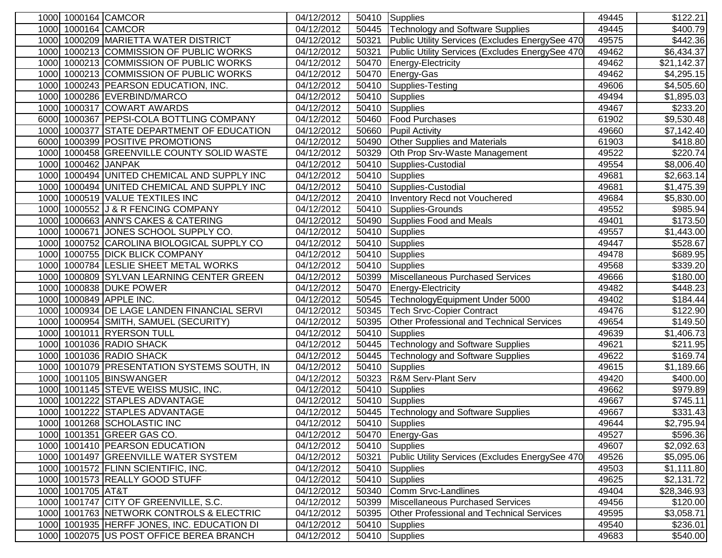|      | 1000 1000164 CAMCOR |                                             | 04/12/2012               | 50410          | Supplies                                                    | 49445          | \$122.21                  |
|------|---------------------|---------------------------------------------|--------------------------|----------------|-------------------------------------------------------------|----------------|---------------------------|
|      | 1000 1000164 CAMCOR |                                             | 04/12/2012               | 50445          | <b>Technology and Software Supplies</b>                     | 49445          | \$400.79                  |
|      |                     | 1000 1000209 MARIETTA WATER DISTRICT        | 04/12/2012               | 50321          | Public Utility Services (Excludes EnergySee 470             | 49575          | \$442.36                  |
| 1000 |                     | 1000213 COMMISSION OF PUBLIC WORKS          | 04/12/2012               | 50321          | Public Utility Services (Excludes EnergySee 470             | 49462          | \$6,434.37                |
|      |                     | 1000 1000213 COMMISSION OF PUBLIC WORKS     | 04/12/2012               | 50470          | Energy-Electricity                                          | 49462          | \$21,142.37               |
|      |                     | 1000 1000213 COMMISSION OF PUBLIC WORKS     | 04/12/2012               | 50470          | Energy-Gas                                                  | 49462          | $\overline{$4,295.15}$    |
|      |                     | 1000 1000243 PEARSON EDUCATION, INC.        | 04/12/2012               | 50410          | Supplies-Testing                                            | 49606          | \$4,505.60                |
|      |                     | 1000 1000286 EVERBIND/MARCO                 | 04/12/2012               | 50410          | Supplies                                                    | 49494          | \$1,895.03                |
|      |                     | 1000 1000317 COWART AWARDS                  | 04/12/2012               | 50410          | <b>Supplies</b>                                             | 49467          | \$233.20                  |
|      |                     | 6000 1000367 PEPSI-COLA BOTTLING COMPANY    | 04/12/2012               | 50460          | <b>Food Purchases</b>                                       | 61902          | \$9,530.48                |
|      |                     | 1000 1000377 STATE DEPARTMENT OF EDUCATION  | 04/12/2012               | 50660          | <b>Pupil Activity</b>                                       | 49660          | \$7,142.40                |
|      |                     | 6000 1000399 POSITIVE PROMOTIONS            | 04/12/2012               | 50490          | Other Supplies and Materials                                | 61903          | \$418.80                  |
|      |                     | 1000 1000458 GREENVILLE COUNTY SOLID WASTE  | 04/12/2012               | 50329          | Oth Prop Srv-Waste Management                               | 49522          | \$220.74                  |
|      | 1000 1000462 JANPAK |                                             | 04/12/2012               | 50410          | Supplies-Custodial                                          | 49554          | \$8,006.40                |
| 1000 |                     | 1000494 UNITED CHEMICAL AND SUPPLY INC      | 04/12/2012               | 50410          | <b>Supplies</b>                                             | 49681          | \$2,663.14                |
| 1000 |                     | 1000494 UNITED CHEMICAL AND SUPPLY INC      | 04/12/2012               | 50410          | Supplies-Custodial                                          | 49681          | \$1,475.39                |
| 1000 |                     | 1000519 VALUE TEXTILES INC                  | 04/12/2012               | 20410          | Inventory Recd not Vouchered                                | 49684          | \$5,830.00                |
| 1000 |                     | 1000552 J & R FENCING COMPANY               | 04/12/2012               | 50410          | Supplies-Grounds                                            | 49552          | \$985.94                  |
| 1000 |                     | 1000663 ANN'S CAKES & CATERING              | 04/12/2012               | 50490          | <b>Supplies Food and Meals</b>                              | 49401          | \$173.50                  |
| 1000 |                     | 1000671 JONES SCHOOL SUPPLY CO.             | 04/12/2012               | 50410          | <b>Supplies</b>                                             | 49557          | \$1,443.00                |
| 1000 |                     | 1000752 CAROLINA BIOLOGICAL SUPPLY CO       | 04/12/2012               | 50410          | <b>Supplies</b>                                             | 49447          | \$528.67                  |
| 1000 |                     | 1000755 DICK BLICK COMPANY                  | 04/12/2012               | 50410          | Supplies                                                    | 49478          | \$689.95                  |
|      |                     | 1000 1000784 LESLIE SHEET METAL WORKS       | 04/12/2012               | 50410          | Supplies                                                    | 49568          | \$339.20                  |
|      |                     | 1000 1000809 SYLVAN LEARNING CENTER GREEN   | 04/12/2012               | 50399          | Miscellaneous Purchased Services                            | 49666          | $\overline{$}180.00$      |
|      |                     | 1000 1000838 DUKE POWER                     | 04/12/2012               | 50470          | Energy-Electricity                                          | 49482          | $\sqrt{$448.23}$          |
|      |                     | 1000 1000849 APPLE INC.                     | 04/12/2012               | 50545          | TechnologyEquipment Under 5000                              | 49402          | \$184.44                  |
|      |                     | 1000 1000934 DE LAGE LANDEN FINANCIAL SERVI | 04/12/2012               | 50345          | <b>Tech Srvc-Copier Contract</b>                            | 49476          | \$122.90                  |
|      |                     | 1000 1000954 SMITH, SAMUEL (SECURITY)       | 04/12/2012               | 50395          | Other Professional and Technical Services                   | 49654          | \$149.50                  |
|      |                     | 1000 1001011 RYERSON TULL                   | 04/12/2012               | 50410          | <b>Supplies</b>                                             | 49639          | \$1,406.73                |
|      |                     | 1000 1001036 RADIO SHACK                    | 04/12/2012               | 50445          | <b>Technology and Software Supplies</b>                     | 49621          | $\overline{$}211.95$      |
|      |                     | 1000 1001036 RADIO SHACK                    | 04/12/2012               | 50445          | <b>Technology and Software Supplies</b>                     | 49622          | \$169.74                  |
| 1000 |                     | 1001079 PRESENTATION SYSTEMS SOUTH, IN      | 04/12/2012               | 50410          | Supplies                                                    | 49615          | \$1,189.66                |
| 1000 |                     | 1001105 BINSWANGER                          | 04/12/2012               | 50323          | <b>R&amp;M Serv-Plant Serv</b>                              | 49420          | \$400.00                  |
| 1000 |                     | 1001145 STEVE WEISS MUSIC, INC.             | 04/12/2012               | 50410          | <b>Supplies</b>                                             | 49662          | \$979.89                  |
| 1000 |                     | 1001222 STAPLES ADVANTAGE                   | 04/12/2012               | 50410          | <b>Supplies</b>                                             | 49667          | \$745.11                  |
| 1000 |                     | 1001222 STAPLES ADVANTAGE                   | 04/12/2012               | 50445          | <b>Technology and Software Supplies</b>                     | 49667          | $\overline{$}331.43$      |
|      |                     | 1000 1001268 SCHOLASTIC INC                 | 04/12/2012               |                | 50410 Supplies                                              | 49644          | \$2,795.94                |
|      |                     | 1000 1001351 GREER GAS CO.                  | 04/12/2012<br>04/12/2012 | 50470          | Energy-Gas                                                  | 49527          | \$596.36                  |
|      |                     | 1000 1001410 PEARSON EDUCATION              |                          | 50410          | Supplies<br>Public Utility Services (Excludes EnergySee 470 | 49607          | \$2,092.63                |
|      |                     | 1000 1001497 GREENVILLE WATER SYSTEM        | 04/12/2012               | 50321          |                                                             | 49526          | \$5,095.06                |
|      |                     | 1000 1001572 FLINN SCIENTIFIC, INC.         | 04/12/2012               | 50410          | Supplies                                                    | 49503          | \$1,111.80                |
|      | 1000 1001705 AT&T   | 1000 1001573 REALLY GOOD STUFF              | 04/12/2012<br>04/12/2012 | 50410<br>50340 | Supplies<br>Comm Srvc-Landlines                             | 49625<br>49404 | \$2,131.72<br>\$28,346.93 |
|      |                     | 1000 1001747 CITY OF GREENVILLE, S.C.       | 04/12/2012               | 50399          | Miscellaneous Purchased Services                            | 49456          | \$120.00                  |
|      |                     | 1000 1001763 NETWORK CONTROLS & ELECTRIC    | 04/12/2012               | 50395          | Other Professional and Technical Services                   | 49595          | \$3,058.71                |
|      |                     | 1000 1001935 HERFF JONES, INC. EDUCATION DI | 04/12/2012               | 50410          | Supplies                                                    | 49540          | \$236.01                  |
|      |                     |                                             | 04/12/2012               |                |                                                             |                |                           |
|      |                     | 1000 1002075 US POST OFFICE BEREA BRANCH    |                          | 50410          | Supplies                                                    | 49683          | \$540.00                  |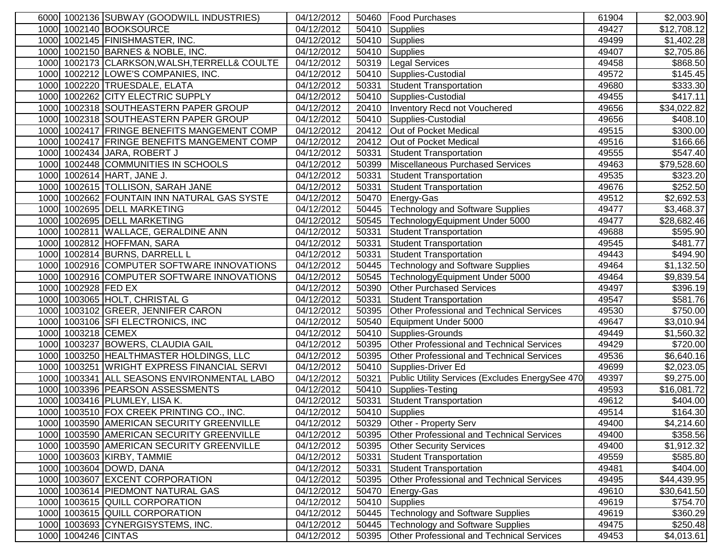|      |                     | 6000 1002136 SUBWAY (GOODWILL INDUSTRIES)     | 04/12/2012          |       | 50460   Food Purchases                          | 61904 | \$2,003.90             |
|------|---------------------|-----------------------------------------------|---------------------|-------|-------------------------------------------------|-------|------------------------|
|      |                     | 1000 1002140 BOOKSOURCE                       | 04/12/2012          | 50410 | Supplies                                        | 49427 | \$12,708.12            |
|      |                     | 1000 1002145 FINISHMASTER, INC.               | 04/12/2012          | 50410 | Supplies                                        | 49499 | \$1,402.28             |
|      |                     | 1000 1002150 BARNES & NOBLE, INC.             | 04/12/2012          | 50410 | Supplies                                        | 49407 | \$2,705.86             |
|      |                     | 1000 1002173 CLARKSON, WALSH, TERRELL& COULTE | 04/12/2012          | 50319 | Legal Services                                  | 49458 | \$868.50               |
|      |                     | 1000 1002212 LOWE'S COMPANIES, INC.           | 04/12/2012          | 50410 | Supplies-Custodial                              | 49572 | \$145.45               |
|      |                     | 1000 1002220 TRUESDALE, ELATA                 | 04/12/2012          | 50331 | Student Transportation                          | 49680 | \$333.30               |
|      |                     | 1000 1002262 CITY ELECTRIC SUPPLY             | 04/12/2012          | 50410 | Supplies-Custodial                              | 49455 | \$417.11               |
|      |                     | 1000 1002318 SOUTHEASTERN PAPER GROUP         | 04/12/2012          |       | 20410   Inventory Recd not Vouchered            | 49656 | \$34,022.82            |
|      |                     | 1000 1002318 SOUTHEASTERN PAPER GROUP         | 04/12/2012          | 50410 | Supplies-Custodial                              | 49656 | \$408.10               |
|      |                     | 1000 1002417 FRINGE BENEFITS MANGEMENT COMP   | 04/12/2012          | 20412 | Out of Pocket Medical                           | 49515 | \$300.00               |
|      |                     | 1000 1002417 FRINGE BENEFITS MANGEMENT COMP   | 04/12/2012          | 20412 | Out of Pocket Medical                           | 49516 | \$166.66               |
|      |                     | 1000 1002434 JARA, ROBERT J                   | 04/12/2012          | 50331 | Student Transportation                          | 49555 | \$547.40               |
|      |                     | 1000 1002448 COMMUNITIES IN SCHOOLS           | 04/12/2012          | 50399 | Miscellaneous Purchased Services                | 49463 | \$79,528.60            |
|      |                     | 1000 1002614 HART, JANE J.                    | 04/12/2012          | 50331 | Student Transportation                          | 49535 | \$323.20               |
|      |                     | 1000 1002615 TOLLISON, SARAH JANE             | 04/12/2012          | 50331 | Student Transportation                          | 49676 | \$252.50               |
|      |                     | 1000 1002662 FOUNTAIN INN NATURAL GAS SYSTE   | 04/12/2012          | 50470 | Energy-Gas                                      | 49512 | \$2,692.53             |
|      |                     | 1000 1002695 DELL MARKETING                   | 04/12/2012          | 50445 | <b>Technology and Software Supplies</b>         | 49477 | \$3,468.37             |
|      |                     | 1000 1002695 DELL MARKETING                   | 04/12/2012          | 50545 | TechnologyEquipment Under 5000                  | 49477 | \$28,682.46            |
|      |                     | 1000 1002811 WALLACE, GERALDINE ANN           | 04/12/2012          | 50331 | Student Transportation                          | 49688 | \$595.90               |
|      |                     | 1000 1002812 HOFFMAN, SARA                    | 04/12/2012          | 50331 | <b>Student Transportation</b>                   | 49545 | \$481.77               |
|      |                     | 1000 1002814 BURNS, DARRELL L                 | 04/12/2012          | 50331 | <b>Student Transportation</b>                   | 49443 | \$494.90               |
|      |                     | 1000 1002916 COMPUTER SOFTWARE INNOVATIONS    | 04/12/2012          | 50445 | Technology and Software Supplies                | 49464 | \$1,132.50             |
|      |                     | 1000 1002916 COMPUTER SOFTWARE INNOVATIONS    | 04/12/2012          | 50545 | TechnologyEquipment Under 5000                  | 49464 | \$9,839.54             |
|      | 1000 1002928 FED EX |                                               | 04/12/2012          | 50390 | <b>Other Purchased Services</b>                 | 49497 | \$396.19               |
|      |                     | 1000 1003065 HOLT, CHRISTAL G                 | $\sqrt{04/12}/2012$ | 50331 | Student Transportation                          | 49547 | \$581.76               |
|      |                     | 1000 1003102 GREER, JENNIFER CARON            | 04/12/2012          | 50395 | Other Professional and Technical Services       | 49530 | \$750.00               |
|      |                     | 1000 1003106 SFI ELECTRONICS, INC             | 04/12/2012          | 50540 | Equipment Under 5000                            | 49647 | \$3,010.94             |
|      | 1000 1003218 CEMEX  |                                               | 04/12/2012          | 50410 | Supplies-Grounds                                | 49449 | $\overline{$}1,560.32$ |
|      |                     | 1000 1003237 BOWERS, CLAUDIA GAIL             | 04/12/2012          | 50395 | Other Professional and Technical Services       | 49429 | \$720.00               |
|      |                     | 1000 1003250 HEALTHMASTER HOLDINGS, LLC       | 04/12/2012          | 50395 | Other Professional and Technical Services       | 49536 | \$6,640.16             |
|      |                     | 1000 1003251 WRIGHT EXPRESS FINANCIAL SERVI   | 04/12/2012          | 50410 | Supplies-Driver Ed                              | 49699 | \$2,023.05             |
|      |                     | 1000 1003341 ALL SEASONS ENVIRONMENTAL LABO   | 04/12/2012          | 50321 | Public Utility Services (Excludes EnergySee 470 | 49397 | \$9,275.00             |
|      |                     | 1000 1003396 PEARSON ASSESSMENTS              | 04/12/2012          | 50410 | Supplies-Testing                                | 49593 | \$16,081.72            |
|      |                     | 1000 1003416 PLUMLEY, LISA K.                 | 04/12/2012          | 50331 | <b>Student Transportation</b>                   | 49612 | \$404.00               |
| 1000 |                     | 1003510 FOX CREEK PRINTING CO., INC.          | 04/12/2012          |       | 50410 Supplies                                  | 49514 | \$164.30               |
|      |                     | 1000 1003590 AMERICAN SECURITY GREENVILLE     | 04/12/2012          |       | 50329 Other - Property Serv                     | 49400 | \$4,214.60             |
|      |                     | 1000 1003590 AMERICAN SECURITY GREENVILLE     | 04/12/2012          |       | 50395 Other Professional and Technical Services | 49400 | \$358.56               |
|      |                     | 1000 1003590 AMERICAN SECURITY GREENVILLE     | 04/12/2012          |       | 50395 Other Security Services                   | 49400 | \$1,912.32             |
|      |                     | 1000 1003603 KIRBY, TAMMIE                    | 04/12/2012          | 50331 | Student Transportation                          | 49559 | \$585.80               |
|      |                     | 1000 1003604 DOWD, DANA                       | 04/12/2012          | 50331 | Student Transportation                          | 49481 | \$404.00               |
|      |                     | 1000 1003607 EXCENT CORPORATION               | 04/12/2012          |       | 50395 Other Professional and Technical Services | 49495 | \$44,439.95            |
|      |                     | 1000 1003614 PIEDMONT NATURAL GAS             | 04/12/2012          | 50470 | Energy-Gas                                      | 49610 | \$30,641.50            |
|      |                     | 1000 1003615 QUILL CORPORATION                | 04/12/2012          | 50410 | Supplies                                        | 49619 | \$754.70               |
|      |                     | 1000 1003615 QUILL CORPORATION                | 04/12/2012          | 50445 | <b>Technology and Software Supplies</b>         | 49619 | \$360.29               |
|      |                     | 1000 1003693 CYNERGISYSTEMS, INC.             | 04/12/2012          | 50445 | <b>Technology and Software Supplies</b>         | 49475 | \$250.48               |
|      | 1000 1004246 CINTAS |                                               | 04/12/2012          |       | 50395 Other Professional and Technical Services | 49453 | \$4,013.61             |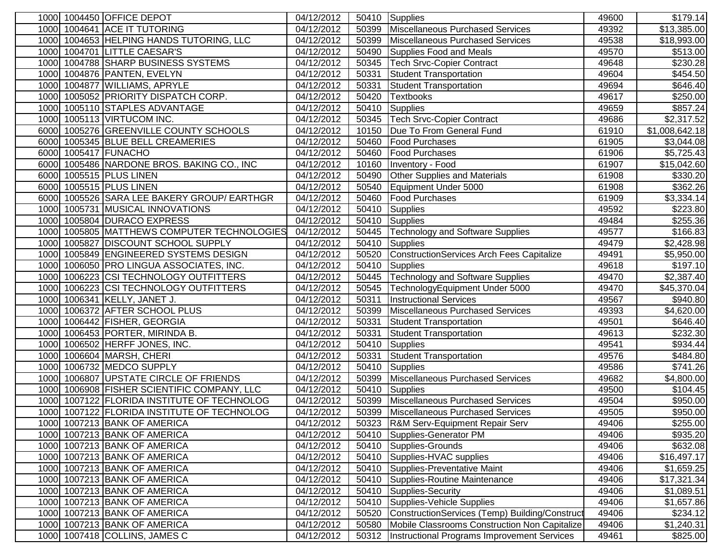| 1000 1004450 OFFICE DEPOT                      | 04/12/2012              | 50410 | Supplies                                         | 49600 | \$179.14                |
|------------------------------------------------|-------------------------|-------|--------------------------------------------------|-------|-------------------------|
| 1000 1004641 ACE IT TUTORING                   | 04/12/2012              | 50399 | Miscellaneous Purchased Services                 | 49392 | \$13,385.00             |
| 1004653 HELPING HANDS TUTORING, LLC<br>1000    | 04/12/2012              | 50399 | Miscellaneous Purchased Services                 | 49538 | \$18,993.00             |
| 1000 1004701 LITTLE CAESAR'S                   | 04/12/2012              | 50490 | Supplies Food and Meals                          | 49570 | \$513.00                |
| 1004788 SHARP BUSINESS SYSTEMS<br>1000         | 04/12/2012              | 50345 | <b>Tech Srvc-Copier Contract</b>                 | 49648 | \$230.28                |
| 1000 1004876 PANTEN, EVELYN                    | 04/12/2012              | 50331 | <b>Student Transportation</b>                    | 49604 | \$454.50                |
| 1000 1004877 WILLIAMS, APRYLE                  | 04/12/2012              | 50331 | <b>Student Transportation</b>                    | 49694 | \$646.40                |
| 1000 1005052 PRIORITY DISPATCH CORP.           | 04/12/2012              | 50420 | <b>Textbooks</b>                                 | 49617 | $\overline{$}250.00$    |
| 1005110 STAPLES ADVANTAGE<br>1000              | 04/12/2012              | 50410 | <b>Supplies</b>                                  | 49659 | $\overline{$857.24}$    |
| 1000 1005113 VIRTUCOM INC.                     | 04/12/2012              | 50345 | <b>Tech Srvc-Copier Contract</b>                 | 49686 | \$2,317.52              |
| 6000 1005276 GREENVILLE COUNTY SCHOOLS         | 04/12/2012              | 10150 | Due To From General Fund                         | 61910 | \$1,008,642.18          |
| 6000 1005345 BLUE BELL CREAMERIES              | 04/12/2012              | 50460 | <b>Food Purchases</b>                            | 61905 | \$3,044.08              |
| 6000 1005417 FUNACHO                           | 04/12/2012              | 50460 | Food Purchases                                   | 61906 | \$5,725.43              |
| 6000 1005486 NARDONE BROS. BAKING CO., INC     | 04/12/2012              | 10160 | Inventory - Food                                 | 61907 | \$15,042.60             |
| 6000 1005515 PLUS LINEN                        | 04/12/2012              | 50490 | Other Supplies and Materials                     | 61908 | \$330.20                |
| 1005515 PLUS LINEN<br>6000                     | 04/12/2012              | 50540 | Equipment Under 5000                             | 61908 | \$362.26                |
| 1005526 SARA LEE BAKERY GROUP/ EARTHGR<br>6000 | 04/12/2012              | 50460 | <b>Food Purchases</b>                            | 61909 | \$3,334.14              |
| 1005731 MUSICAL INNOVATIONS<br>1000            | 04/12/2012              | 50410 | <b>Supplies</b>                                  | 49592 | \$223.80                |
| 1000<br>1005804 DURACO EXPRESS                 | 04/12/2012              | 50410 | <b>Supplies</b>                                  | 49484 | \$255.36                |
| 1005805 MATTHEWS COMPUTER TECHNOLOGIES<br>1000 | 04/12/2012              | 50445 | <b>Technology and Software Supplies</b>          | 49577 | \$166.83                |
| 1005827 DISCOUNT SCHOOL SUPPLY<br>1000         | 04/12/2012              | 50410 | <b>Supplies</b>                                  | 49479 | \$2,428.98              |
| 1000 1005849 ENGINEERED SYSTEMS DESIGN         | 04/12/2012              | 50520 | <b>ConstructionServices Arch Fees Capitalize</b> | 49491 | \$5,950.00              |
| 1000 1006050 PRO LINGUA ASSOCIATES, INC.       | 04/12/2012              | 50410 | <b>Supplies</b>                                  | 49618 | \$197.10                |
| 1000 1006223 CSI TECHNOLOGY OUTFITTERS         | $\overline{04/12}/2012$ | 50445 | <b>Technology and Software Supplies</b>          | 49470 | \$2,387.40              |
| 1000 1006223 CSI TECHNOLOGY OUTFITTERS         | 04/12/2012              | 50545 | TechnologyEquipment Under 5000                   | 49470 | \$45,370.04             |
| 1000 1006341 KELLY, JANET J.                   | 04/12/2012              | 50311 | <b>Instructional Services</b>                    | 49567 | \$940.80                |
| 1000 1006372 AFTER SCHOOL PLUS                 | 04/12/2012              | 50399 | Miscellaneous Purchased Services                 | 49393 | \$4,620.00              |
| 1000 1006442 FISHER, GEORGIA                   | 04/12/2012              | 50331 | <b>Student Transportation</b>                    | 49501 | \$646.40                |
| 1000 1006453 PORTER, MIRINDA B.                | 04/12/2012              | 50331 | <b>Student Transportation</b>                    | 49613 | \$232.30                |
| 1000 1006502 HERFF JONES, INC.                 | 04/12/2012              | 50410 | Supplies                                         | 49541 | \$934.44                |
| 1000 1006604 MARSH, CHERI                      | 04/12/2012              | 50331 | <b>Student Transportation</b>                    | 49576 | \$484.80                |
| 1000 1006732 MEDCO SUPPLY                      | 04/12/2012              | 50410 | Supplies                                         | 49586 | \$741.26                |
| 1006807 UPSTATE CIRCLE OF FRIENDS<br>1000      | 04/12/2012              | 50399 | Miscellaneous Purchased Services                 | 49682 | $\overline{\$4,800.00}$ |
| 1006908 FISHER SCIENTIFIC COMPANY, LLC<br>1000 | 04/12/2012              | 50410 | Supplies                                         | 49500 | \$104.45                |
| 1007122 FLORIDA INSTITUTE OF TECHNOLOG<br>1000 | 04/12/2012              | 50399 | Miscellaneous Purchased Services                 | 49504 | \$950.00                |
| 1000<br>1007122 FLORIDA INSTITUTE OF TECHNOLOG | 04/12/2012              | 50399 | Miscellaneous Purchased Services                 | 49505 | \$950.00                |
| 1000 1007213 BANK OF AMERICA                   | 04/12/2012              | 50323 | <b>R&amp;M Serv-Equipment Repair Serv</b>        | 49406 | \$255.00                |
| 1000 1007213 BANK OF AMERICA                   | 04/12/2012              | 50410 | Supplies-Generator PM                            | 49406 | \$935.20                |
| 1000 1007213 BANK OF AMERICA                   | 04/12/2012              | 50410 | Supplies-Grounds                                 | 49406 | \$632.08                |
| 1000 1007213 BANK OF AMERICA                   | 04/12/2012              | 50410 | Supplies-HVAC supplies                           | 49406 | \$16,497.17             |
| 1000 1007213 BANK OF AMERICA                   | 04/12/2012              | 50410 | Supplies-Preventative Maint                      | 49406 | \$1,659.25              |
| 1000 1007213 BANK OF AMERICA                   | 04/12/2012              | 50410 | Supplies-Routine Maintenance                     | 49406 | \$17,321.34             |
| 1000 1007213 BANK OF AMERICA                   | 04/12/2012              | 50410 | Supplies-Security                                | 49406 | \$1,089.51              |
| 1000 1007213 BANK OF AMERICA                   | 04/12/2012              | 50410 | Supplies-Vehicle Supplies                        | 49406 | \$1,657.86              |
| 1000 1007213 BANK OF AMERICA                   | 04/12/2012              | 50520 | ConstructionServices (Temp) Building/Construct   | 49406 | \$234.12                |
| 1000 1007213 BANK OF AMERICA                   | 04/12/2012              | 50580 | Mobile Classrooms Construction Non Capitalize    | 49406 | \$1,240.31              |
| 1000 1007418 COLLINS, JAMES C                  | 04/12/2012              | 50312 | Instructional Programs Improvement Services      | 49461 | \$825.00                |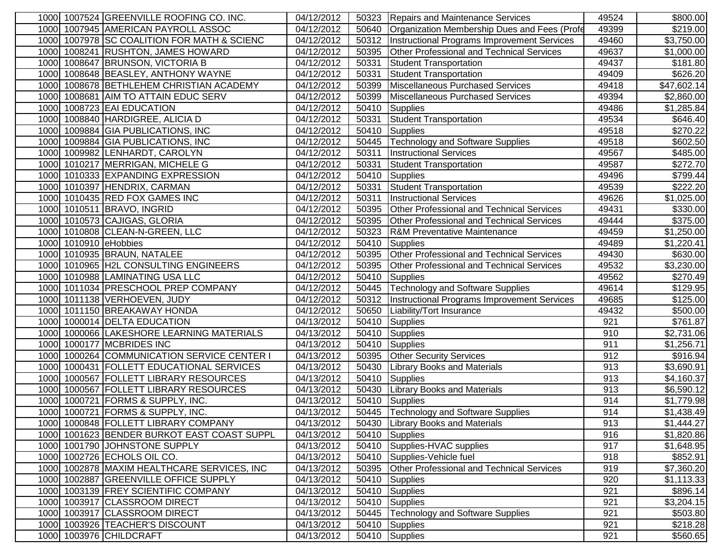| 1000 1007524 GREENVILLE ROOFING CO. INC.       | 04/12/2012               | 50323 | Repairs and Maintenance Services                 | 49524 | \$800.00                |
|------------------------------------------------|--------------------------|-------|--------------------------------------------------|-------|-------------------------|
| 1000 1007945 AMERICAN PAYROLL ASSOC            | 04/12/2012               | 50640 | Organization Membership Dues and Fees (Profe     | 49399 | \$219.00                |
| 1007978 SC COALITION FOR MATH & SCIENC<br>1000 | 04/12/2012               | 50312 | Instructional Programs Improvement Services      | 49460 | \$3,750.00              |
| 1008241 RUSHTON, JAMES HOWARD<br>1000          | 04/12/2012               | 50395 | <b>Other Professional and Technical Services</b> | 49637 | \$1,000.00              |
| 1008647 BRUNSON, VICTORIA B<br>1000            | 04/12/2012               | 50331 | Student Transportation                           | 49437 | \$181.80                |
| 1000 1008648 BEASLEY, ANTHONY WAYNE            | 04/12/2012               | 50331 | <b>Student Transportation</b>                    | 49409 | \$626.20                |
| 1008678 BETHLEHEM CHRISTIAN ACADEMY<br>1000    | 04/12/2012               | 50399 | Miscellaneous Purchased Services                 | 49418 | \$47,602.14             |
| 1008681 AIM TO ATTAIN EDUC SERV<br>1000        | 04/12/2012               | 50399 | Miscellaneous Purchased Services                 | 49394 | \$2,860.00              |
| 1000 1008723 EAI EDUCATION                     | 04/12/2012               | 50410 | Supplies                                         | 49486 | \$1,285.84              |
| 1000 1008840 HARDIGREE, ALICIA D               | 04/12/2012               | 50331 | <b>Student Transportation</b>                    | 49534 | \$646.40                |
| 1009884 GIA PUBLICATIONS, INC<br>1000          | 04/12/2012               | 50410 | Supplies                                         | 49518 | \$270.22                |
| 1009884 GIA PUBLICATIONS, INC<br>1000          | 04/12/2012               | 50445 | Technology and Software Supplies                 | 49518 | \$602.50                |
| 1000 1009982 LENHARDT, CAROLYN                 | 04/12/2012               | 50311 | <b>Instructional Services</b>                    | 49567 | \$485.00                |
| 1000 1010217 MERRIGAN, MICHELE G               | 04/12/2012               | 50331 | Student Transportation                           | 49587 | \$272.70                |
| 1000 1010333 EXPANDING EXPRESSION              | 04/12/2012               | 50410 | Supplies                                         | 49496 | \$799.44                |
| 1000 1010397 HENDRIX, CARMAN                   | 04/12/2012               | 50331 | <b>Student Transportation</b>                    | 49539 | \$222.20                |
| 1000 1010435 RED FOX GAMES INC                 | 04/12/2012               | 50311 | <b>Instructional Services</b>                    | 49626 | \$1,025.00              |
| 1000 1010511 BRAVO, INGRID                     | 04/12/2012               | 50395 | Other Professional and Technical Services        | 49431 | \$330.00                |
| 1010573 CAJIGAS, GLORIA<br>1000                | 04/12/2012               | 50395 | <b>Other Professional and Technical Services</b> | 49444 | \$375.00                |
| 1000<br>1010808 CLEAN-N-GREEN, LLC             | 04/12/2012               | 50323 | <b>R&amp;M Preventative Maintenance</b>          | 49459 | \$1,250.00              |
| 1010910 eHobbies<br>1000                       | 04/12/2012               | 50410 | <b>Supplies</b>                                  | 49489 | \$1,220.41              |
| 1010935 BRAUN, NATALEE<br>1000                 | 04/12/2012               | 50395 | <b>Other Professional and Technical Services</b> | 49430 | \$630.00                |
| 1010965 H2L CONSULTING ENGINEERS<br>1000       | $\overline{04/12/2012}$  | 50395 | Other Professional and Technical Services        | 49532 | \$3,230.00              |
| 1010988 LAMINATING USA LLC<br>1000             | 04/12/2012               | 50410 | <b>Supplies</b>                                  | 49562 | \$270.49                |
| 1000 1011034 PRESCHOOL PREP COMPANY            | 04/12/2012               | 50445 | Technology and Software Supplies                 | 49614 | \$129.95                |
| 1000 1011138 VERHOEVEN, JUDY                   | $\overline{04/12}/2012$  | 50312 | Instructional Programs Improvement Services      | 49685 | \$125.00                |
| 1000 1011150 BREAKAWAY HONDA                   | 04/12/2012               | 50650 | Liability/Tort Insurance                         | 49432 | \$500.00                |
| 1000014 DELTA EDUCATION<br>1000                | 04/13/2012               | 50410 | Supplies                                         | 921   | $\overline{$}761.87$    |
| 1000 1000066 LAKESHORE LEARNING MATERIALS      | 04/13/2012               | 50410 | Supplies                                         | 910   | \$2,731.06              |
| 1000 1000177 MCBRIDES INC                      | 04/13/2012               | 50410 | Supplies                                         | 911   | \$1,256.71              |
| 1000 1000264 COMMUNICATION SERVICE CENTER I    | 04/13/2012               | 50395 | <b>Other Security Services</b>                   | 912   | \$916.94                |
| 1000 1000431 FOLLETT EDUCATIONAL SERVICES      | 04/13/2012               | 50430 | <b>Library Books and Materials</b>               | 913   | \$3,690.91              |
| 1000 1000567 FOLLETT LIBRARY RESOURCES         | 04/13/2012               | 50410 | Supplies                                         | 913   | \$4,160.37              |
| 1000 1000567 FOLLETT LIBRARY RESOURCES         | 04/13/2012               | 50430 | <b>Library Books and Materials</b>               | 913   | \$6,590.12              |
| 1000721 FORMS & SUPPLY, INC.<br>1000           | 04/13/2012               | 50410 | Supplies                                         | 914   | \$1,779.98              |
| 1000721 FORMS & SUPPLY, INC.<br>1000           | 04/13/2012               | 50445 | <b>Technology and Software Supplies</b>          | 914   | $\overline{\$1,438.49}$ |
| 1000 1000848 FOLLETT LIBRARY COMPANY           | $\overline{04/13/20}$ 12 |       | 50430 Library Books and Materials                | 913   | \$1,444.27              |
| 1000 1001623 BENDER BURKOT EAST COAST SUPPL    | 04/13/2012               |       | 50410 Supplies                                   | 916   | $\overline{\$1,820.86}$ |
| 1000 1001790 JOHNSTONE SUPPLY                  | 04/13/2012               | 50410 | Supplies-HVAC supplies                           | 917   | \$1,648.95              |
| 1000 1002726 ECHOLS OIL CO.                    | 04/13/2012               | 50410 | Supplies-Vehicle fuel                            | 918   | \$852.91                |
| 1000 1002878 MAXIM HEALTHCARE SERVICES, INC    | 04/13/2012               | 50395 | <b>Other Professional and Technical Services</b> | 919   | \$7,360.20              |
| 1000 1002887 GREENVILLE OFFICE SUPPLY          | 04/13/2012               | 50410 | Supplies                                         | 920   | \$1,113.33              |
| 1000 1003139 FREY SCIENTIFIC COMPANY           | 04/13/2012               | 50410 | Supplies                                         | 921   | \$896.14                |
| 1000 1003917 CLASSROOM DIRECT                  | 04/13/2012               | 50410 | Supplies                                         | 921   | \$3,204.15              |
| 1000 1003917 CLASSROOM DIRECT                  | 04/13/2012               | 50445 | Technology and Software Supplies                 | 921   | \$503.80                |
| 1000 1003926 TEACHER'S DISCOUNT                | 04/13/2012               | 50410 | Supplies                                         | 921   | \$218.28                |
| 1000 1003976 CHILDCRAFT                        | 04/13/2012               | 50410 | Supplies                                         | 921   | \$560.65                |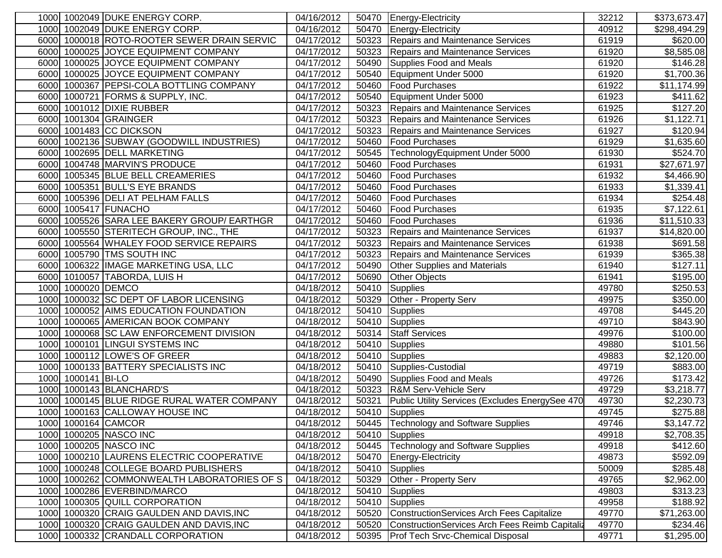| 1000 1002049 DUKE ENERGY CORP.                 | 04/16/2012 |       | 50470 Energy-Electricity                        | 32212 | \$373,673.47         |
|------------------------------------------------|------------|-------|-------------------------------------------------|-------|----------------------|
| 1000 1002049 DUKE ENERGY CORP.                 | 04/16/2012 | 50470 | Energy-Electricity                              | 40912 | \$298,494.29         |
| 6000 1000018 ROTO-ROOTER SEWER DRAIN SERVIC    | 04/17/2012 | 50323 | Repairs and Maintenance Services                | 61919 | \$620.00             |
| 6000 1000025 JOYCE EQUIPMENT COMPANY           | 04/17/2012 | 50323 | Repairs and Maintenance Services                | 61920 | \$8,585.08           |
| 6000 1000025 JOYCE EQUIPMENT COMPANY           | 04/17/2012 | 50490 | Supplies Food and Meals                         | 61920 | \$146.28             |
| 6000 1000025 JOYCE EQUIPMENT COMPANY           | 04/17/2012 | 50540 | Equipment Under 5000                            | 61920 | \$1,700.36           |
| 6000 1000367 PEPSI-COLA BOTTLING COMPANY       | 04/17/2012 | 50460 | <b>Food Purchases</b>                           | 61922 | \$11,174.99          |
| 6000 1000721 FORMS & SUPPLY, INC.              | 04/17/2012 | 50540 | Equipment Under 5000                            | 61923 | \$411.62             |
| 6000 1001012 DIXIE RUBBER                      | 04/17/2012 | 50323 | <b>Repairs and Maintenance Services</b>         | 61925 | $\overline{$}127.20$ |
| 6000 1001304 GRAINGER                          | 04/17/2012 | 50323 | Repairs and Maintenance Services                | 61926 | \$1,122.71           |
| 6000 1001483 CC DICKSON                        | 04/17/2012 | 50323 | Repairs and Maintenance Services                | 61927 | \$120.94             |
| 6000 1002136 SUBWAY (GOODWILL INDUSTRIES)      | 04/17/2012 | 50460 | <b>Food Purchases</b>                           | 61929 | \$1,635.60           |
| 6000 1002695 DELL MARKETING                    | 04/17/2012 | 50545 | TechnologyEquipment Under 5000                  | 61930 | \$524.70             |
| 6000 1004748 MARVIN'S PRODUCE                  | 04/17/2012 | 50460 | <b>Food Purchases</b>                           | 61931 | \$27,671.97          |
| 6000 1005345 BLUE BELL CREAMERIES              | 04/17/2012 | 50460 | <b>Food Purchases</b>                           | 61932 | \$4,466.90           |
| 6000 1005351 BULL'S EYE BRANDS                 | 04/17/2012 | 50460 | <b>Trood Purchases</b>                          | 61933 | \$1,339.41           |
| 6000 1005396 DELI AT PELHAM FALLS              | 04/17/2012 | 50460 | <b>Food Purchases</b>                           | 61934 | \$254.48             |
| 1005417 FUNACHO<br>6000                        | 04/17/2012 | 50460 | <b>Food Purchases</b>                           | 61935 | \$7,122.61           |
| 1005526 SARA LEE BAKERY GROUP/ EARTHGR<br>6000 | 04/17/2012 | 50460 | <b>Food Purchases</b>                           | 61936 | \$11,510.33          |
| 6000 1005550 STERITECH GROUP, INC., THE        | 04/17/2012 | 50323 | Repairs and Maintenance Services                | 61937 | \$14,820.00          |
| 6000 1005564 WHALEY FOOD SERVICE REPAIRS       | 04/17/2012 | 50323 | Repairs and Maintenance Services                | 61938 | \$691.58             |
| 6000 1005790 TMS SOUTH INC                     | 04/17/2012 | 50323 | <b>Repairs and Maintenance Services</b>         | 61939 | \$365.38             |
| 6000 1006322 IMAGE MARKETING USA, LLC          | 04/17/2012 | 50490 | Other Supplies and Materials                    | 61940 | \$127.11             |
| 6000 1010057 TABORDA, LUIS H                   | 04/17/2012 | 50690 | Other Objects                                   | 61941 | \$195.00             |
| 1000 1000020 DEMCO                             | 04/18/2012 | 50410 | Supplies                                        | 49780 | \$250.53             |
| 1000 1000032 SC DEPT OF LABOR LICENSING        | 04/18/2012 | 50329 | <b>Other - Property Serv</b>                    | 49975 | \$350.00             |
| 1000 1000052 AIMS EDUCATION FOUNDATION         | 04/18/2012 | 50410 | Supplies                                        | 49708 | \$445.20             |
| 1000 1000065 AMERICAN BOOK COMPANY             | 04/18/2012 | 50410 | Supplies                                        | 49710 | \$843.90             |
| 1000 1000068 SC LAW ENFORCEMENT DIVISION       | 04/18/2012 | 50314 | <b>Staff Services</b>                           | 49976 | \$100.00             |
| 1000 1000101 LINGUI SYSTEMS INC                | 04/18/2012 | 50410 | Supplies                                        | 49880 | \$101.56             |
| 1000 1000112 LOWE'S OF GREER                   | 04/18/2012 | 50410 | Supplies                                        | 49883 | \$2,120.00           |
| 1000 1000133 BATTERY SPECIALISTS INC           | 04/18/2012 |       | 50410 Supplies-Custodial                        | 49719 | \$883.00             |
| 1000 1000141 BI-LO                             | 04/18/2012 | 50490 | Supplies Food and Meals                         | 49726 | \$173.42             |
| 1000 1000143 BLANCHARD'S                       | 04/18/2012 | 50323 | R&M Serv-Vehicle Serv                           | 49729 | \$3,218.77           |
| 1000145 BLUE RIDGE RURAL WATER COMPANY<br>1000 | 04/18/2012 | 50321 | Public Utility Services (Excludes EnergySee 470 | 49730 | \$2,230.73           |
| 1000163 CALLOWAY HOUSE INC<br>1000             | 04/18/2012 | 50410 | Supplies                                        | 49745 | \$275.88             |
| 1000 1000164 CAMCOR                            | 04/18/2012 | 50445 | Technology and Software Supplies                | 49746 | \$3,147.72           |
| 1000 1000205 NASCO INC                         | 04/18/2012 | 50410 | Supplies                                        | 49918 | \$2,708.35           |
| 1000 1000205 NASCO INC                         | 04/18/2012 | 50445 | Technology and Software Supplies                | 49918 | \$412.60             |
| 1000 1000210 LAURENS ELECTRIC COOPERATIVE      | 04/18/2012 | 50470 | Energy-Electricity                              | 49873 | \$592.09             |
| 1000 1000248 COLLEGE BOARD PUBLISHERS          | 04/18/2012 | 50410 | Supplies                                        | 50009 | \$285.48             |
| 1000 1000262 COMMONWEALTH LABORATORIES OF S    | 04/18/2012 | 50329 | Other - Property Serv                           | 49765 | \$2,962.00           |
| 1000 1000286 EVERBIND/MARCO                    | 04/18/2012 | 50410 | Supplies                                        | 49803 | \$313.23             |
| 1000 1000305 QUILL CORPORATION                 | 04/18/2012 | 50410 | Supplies                                        | 49958 | \$188.92             |
| 1000 1000320 CRAIG GAULDEN AND DAVIS, INC      | 04/18/2012 | 50520 | ConstructionServices Arch Fees Capitalize       | 49770 | \$71,263.00          |
| 1000 1000320 CRAIG GAULDEN AND DAVIS, INC      | 04/18/2012 | 50520 | ConstructionServices Arch Fees Reimb Capitaliz  | 49770 | \$234.46             |
| 1000 1000332 CRANDALL CORPORATION              | 04/18/2012 | 50395 | <b>Prof Tech Srvc-Chemical Disposal</b>         | 49771 | \$1,295.00           |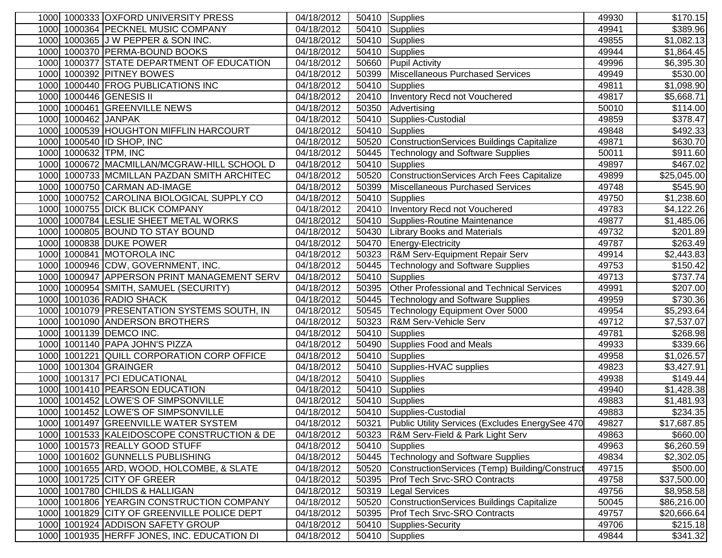|      |                     | 1000 1000333 OXFORD UNIVERSITY PRESS        | 04/18/2012              |       | 50410 Supplies                                   | 49930 | \$170.15                |
|------|---------------------|---------------------------------------------|-------------------------|-------|--------------------------------------------------|-------|-------------------------|
|      |                     | 1000 1000364 PECKNEL MUSIC COMPANY          | 04/18/2012              | 50410 | Supplies                                         | 49941 | \$389.96                |
|      |                     | 1000 1000365 J W PEPPER & SON INC.          | 04/18/2012              | 50410 | Supplies                                         | 49855 | $\overline{\$1,082.13}$ |
| 1000 |                     | 1000370 PERMA-BOUND BOOKS                   | 04/18/2012              | 50410 | Supplies                                         | 49944 | \$1,864.45              |
|      |                     | 1000 1000377 STATE DEPARTMENT OF EDUCATION  | 04/18/2012              | 50660 | <b>Pupil Activity</b>                            | 49996 | \$6,395.30              |
|      |                     | 1000 1000392 PITNEY BOWES                   | 04/18/2012              | 50399 | Miscellaneous Purchased Services                 | 49949 | $\overline{$}530.00$    |
| 1000 |                     | 1000440 FROG PUBLICATIONS INC               | 04/18/2012              | 50410 | <b>Supplies</b>                                  | 49811 | \$1,098.90              |
|      |                     | 1000 1000446 GENESIS II                     | 04/18/2012              | 20410 | Inventory Recd not Vouchered                     | 49817 | \$5,668.71              |
|      |                     | 1000 1000461 GREENVILLE NEWS                | 04/18/2012              | 50350 | Advertising                                      | 50010 | \$114.00                |
|      | 1000 1000462 JANPAK |                                             | 04/18/2012              | 50410 | Supplies-Custodial                               | 49859 | $\overline{$}378.47$    |
|      |                     | 1000 1000539 HOUGHTON MIFFLIN HARCOURT      | 04/18/2012              | 50410 | Supplies                                         | 49848 | \$492.33                |
|      |                     | 1000 1000540 ID SHOP, INC                   | 04/18/2012              | 50520 | ConstructionServices Buildings Capitalize        | 49871 | \$630.70                |
|      |                     | 1000 1000632 TPM, INC                       | 04/18/2012              | 50445 | Technology and Software Supplies                 | 50011 | \$911.60                |
|      |                     | 1000 1000672 MACMILLAN/MCGRAW-HILL SCHOOL D | 04/18/2012              | 50410 | Supplies                                         | 49897 | \$467.02                |
|      |                     | 1000 1000733 MCMILLAN PAZDAN SMITH ARCHITEC | 04/18/2012              | 50520 | ConstructionServices Arch Fees Capitalize        | 49899 | \$25,045.00             |
|      |                     | 1000 1000750 CARMAN AD-IMAGE                | 04/18/2012              | 50399 | Miscellaneous Purchased Services                 | 49748 | \$545.90                |
|      |                     | 1000 1000752 CAROLINA BIOLOGICAL SUPPLY CO  | 04/18/2012              | 50410 | Supplies                                         | 49750 | \$1,238.60              |
|      |                     | 1000 1000755 DICK BLICK COMPANY             | 04/18/2012              | 20410 | Inventory Recd not Vouchered                     | 49783 | \$4,122.26              |
| 1000 |                     | 1000784 LESLIE SHEET METAL WORKS            | 04/18/2012              | 50410 | Supplies-Routine Maintenance                     | 49877 | \$1,485.06              |
| 1000 |                     | 1000805 BOUND TO STAY BOUND                 | 04/18/2012              | 50430 | <b>Library Books and Materials</b>               | 49732 | \$201.89                |
| 1000 |                     | 1000838 DUKE POWER                          | 04/18/2012              | 50470 | Energy-Electricity                               | 49787 | \$263.49                |
| 1000 |                     | 1000841 MOTOROLA INC                        | 04/18/2012              | 50323 | R&M Serv-Equipment Repair Serv                   | 49914 | \$2,443.83              |
|      |                     | 1000 1000946 CDW, GOVERNMENT, INC.          | 04/18/2012              | 50445 | <b>Technology and Software Supplies</b>          | 49753 | \$150.42]               |
| 1000 |                     | 1000947 APPERSON PRINT MANAGEMENT SERV      | 04/18/2012              | 50410 | <b>Supplies</b>                                  | 49713 | \$737.74                |
|      |                     | 1000 1000954 SMITH, SAMUEL (SECURITY)       | 04/18/2012              | 50395 | <b>Other Professional and Technical Services</b> | 49991 | \$207.00                |
|      |                     | 1000 1001036 RADIO SHACK                    | $\overline{04/18}/2012$ | 50445 | Technology and Software Supplies                 | 49959 | \$730.36                |
|      |                     | 1000 1001079 PRESENTATION SYSTEMS SOUTH, IN | 04/18/2012              | 50545 | Technology Equipment Over 5000                   | 49954 | \$5,293.64              |
|      |                     | 1000 1001090 ANDERSON BROTHERS              | 04/18/2012              | 50323 | R&M Serv-Vehicle Serv                            | 49712 | \$7,537.07              |
|      |                     | 1000 1001139 DEMCO INC.                     | 04/18/2012              | 50410 | Supplies                                         | 49781 | \$268.98                |
|      |                     | 1000 1001140 PAPA JOHN'S PIZZA              | 04/18/2012              | 50490 | Supplies Food and Meals                          | 49933 | \$339.66                |
|      |                     | 1000 1001221 QUILL CORPORATION CORP OFFICE  | 04/18/2012              | 50410 | Supplies                                         | 49958 | \$1,026.57              |
|      |                     | 1000 1001304 GRAINGER                       | 04/18/2012              | 50410 | Supplies-HVAC supplies                           | 49823 | \$3,427.91              |
|      |                     | 1000 1001317 PCI EDUCATIONAL                | 04/18/2012              | 50410 | Supplies                                         | 49938 | \$149.44                |
|      |                     | 1000 1001410 PEARSON EDUCATION              | 04/18/2012              | 50410 | Supplies                                         | 49940 | \$1,428.38              |
|      |                     | 1000 1001452 LOWE'S OF SIMPSONVILLE         | 04/18/2012              | 50410 | Supplies                                         | 49883 | \$1,481.93              |
| 1000 |                     | 1001452 LOWE'S OF SIMPSONVILLE              | 04/18/2012              |       | 50410 Supplies-Custodial                         | 49883 | $\overline{$}234.35$    |
|      |                     | 1000 1001497 GREENVILLE WATER SYSTEM        | 04/18/2012              | 50321 | Public Utility Services (Excludes EnergySee 470  | 49827 | \$17,687.85             |
|      |                     | 1000 1001533 KALEIDOSCOPE CONSTRUCTION & DE | 04/18/2012              | 50323 | R&M Serv-Field & Park Light Serv                 | 49863 | \$660.00                |
|      |                     | 1000 1001573 REALLY GOOD STUFF              | 04/18/2012              | 50410 | Supplies                                         | 49963 | \$6,260.59              |
|      |                     | 1000 1001602 GUNNELLS PUBLISHING            | 04/18/2012              | 50445 | Technology and Software Supplies                 | 49834 | \$2,302.05              |
|      |                     | 1000 1001655 ARD, WOOD, HOLCOMBE, & SLATE   | 04/18/2012              | 50520 | ConstructionServices (Temp) Building/Construct   | 49715 | \$500.00                |
|      |                     | 1000 1001725 CITY OF GREER                  | 04/18/2012              | 50395 | <b>Prof Tech Srvc-SRO Contracts</b>              | 49758 | \$37,500.00             |
|      |                     | 1000 1001780 CHILDS & HALLIGAN              | 04/18/2012              | 50319 | <b>Legal Services</b>                            | 49756 | \$8,958.58              |
|      |                     | 1000 1001806 YEARGIN CONSTRUCTION COMPANY   | 04/18/2012              | 50520 | ConstructionServices Buildings Capitalize        | 50045 | \$86,216.00             |
|      |                     | 1000 1001829 CITY OF GREENVILLE POLICE DEPT | 04/18/2012              | 50395 | <b>Prof Tech Srvc-SRO Contracts</b>              | 49757 | \$20,666.64             |
|      |                     | 1000 1001924 ADDISON SAFETY GROUP           | 04/18/2012              | 50410 | Supplies-Security                                | 49706 | \$215.18                |
|      |                     | 1000 1001935 HERFF JONES, INC. EDUCATION DI | 04/18/2012              | 50410 | Supplies                                         | 49844 | \$341.32                |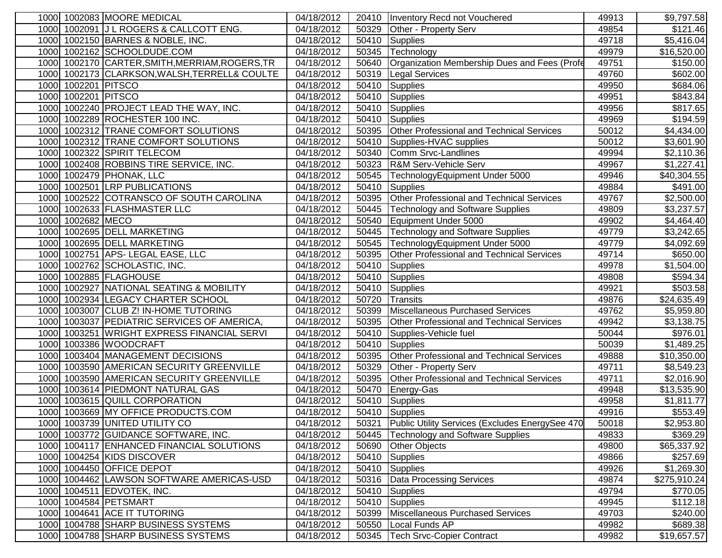| 1000 1002083 MOORE MEDICAL                      | 04/18/2012 | 20410 | Inventory Recd not Vouchered                     | 49913 | \$9,797.58           |
|-------------------------------------------------|------------|-------|--------------------------------------------------|-------|----------------------|
| 1000 1002091 J L ROGERS & CALLCOTT ENG.         | 04/18/2012 | 50329 | Other - Property Serv                            | 49854 | \$121.46             |
| 1000 1002150 BARNES & NOBLE, INC.               | 04/18/2012 | 50410 | Supplies                                         | 49718 | \$5,416.04           |
| 1000 1002162 SCHOOLDUDE.COM                     | 04/18/2012 | 50345 | Technology                                       | 49979 | \$16,520.00          |
| 1000 1002170 CARTER, SMITH, MERRIAM, ROGERS, TR | 04/18/2012 | 50640 | Organization Membership Dues and Fees (Profe     | 49751 | \$150.00             |
| 1000 1002173 CLARKSON, WALSH, TERRELL& COULTE   | 04/18/2012 | 50319 | <b>Legal Services</b>                            | 49760 | \$602.00             |
| 1000 1002201 PITSCO                             | 04/18/2012 | 50410 | Supplies                                         | 49950 | \$684.06             |
| 1000 1002201 PITSCO                             | 04/18/2012 | 50410 | Supplies                                         | 49951 | $\overline{$843.84}$ |
| 1000 1002240 PROJECT LEAD THE WAY, INC.         | 04/18/2012 | 50410 | Supplies                                         | 49956 | \$817.65             |
| 1000 1002289 ROCHESTER 100 INC.                 | 04/18/2012 | 50410 | Supplies                                         | 49969 | \$194.59             |
| 1000 1002312 TRANE COMFORT SOLUTIONS            | 04/18/2012 | 50395 | Other Professional and Technical Services        | 50012 | \$4,434.00           |
| 1000 1002312 TRANE COMFORT SOLUTIONS            | 04/18/2012 | 50410 | Supplies-HVAC supplies                           | 50012 | \$3,601.90           |
| 1000 1002322 SPIRIT TELECOM                     | 04/18/2012 | 50340 | Comm Srvc-Landlines                              | 49994 | \$2,110.36           |
| 1000 1002408 ROBBINS TIRE SERVICE, INC.         | 04/18/2012 | 50323 | <b>R&amp;M Serv-Vehicle Serv</b>                 | 49967 | \$1,227.41           |
| 1000 1002479 PHONAK, LLC                        | 04/18/2012 | 50545 | TechnologyEquipment Under 5000                   | 49946 | \$40,304.55          |
| 1000 1002501 LRP PUBLICATIONS                   | 04/18/2012 | 50410 | Supplies                                         | 49884 | \$491.00             |
| 1002522 COTRANSCO OF SOUTH CAROLINA<br>1000     | 04/18/2012 | 50395 | <b>Other Professional and Technical Services</b> | 49767 | \$2,500.00           |
| 1002633 FLASHMASTER LLC<br>1000                 | 04/18/2012 | 50445 | <b>Technology and Software Supplies</b>          | 49809 | \$3,237.57           |
| 1002682 MECO<br>1000                            | 04/18/2012 | 50540 | Equipment Under 5000                             | 49902 | \$4,464.40           |
| 1002695 DELL MARKETING<br>1000                  | 04/18/2012 | 50445 | <b>Technology and Software Supplies</b>          | 49779 | \$3,242.65           |
| 1002695 DELL MARKETING<br>1000                  | 04/18/2012 | 50545 | TechnologyEquipment Under 5000                   | 49779 | \$4,092.69           |
| 1002751 APS- LEGAL EASE, LLC<br>1000            | 04/18/2012 | 50395 | Other Professional and Technical Services        | 49714 | \$650.00             |
| 1000 1002762 SCHOLASTIC, INC.                   | 04/18/2012 | 50410 | Supplies                                         | 49978 | \$1,504.00           |
| 1000 1002885 FLAGHOUSE                          | 04/18/2012 | 50410 | Supplies                                         | 49808 | \$594.34             |
| 1000 1002927 NATIONAL SEATING & MOBILITY        | 04/18/2012 | 50410 | Supplies                                         | 49921 | \$503.58             |
| 1000 1002934 LEGACY CHARTER SCHOOL              | 04/18/2012 | 50720 | Transits                                         | 49876 | \$24,635.49          |
| 1000 1003007 CLUB Z! IN-HOME TUTORING           | 04/18/2012 | 50399 | Miscellaneous Purchased Services                 | 49762 | \$5,959.80           |
| 1000 1003037 PEDIATRIC SERVICES OF AMERICA,     | 04/18/2012 | 50395 | <b>Other Professional and Technical Services</b> | 49942 | \$3,138.75           |
| 1000 1003251 WRIGHT EXPRESS FINANCIAL SERVI     | 04/18/2012 | 50410 | Supplies-Vehicle fuel                            | 50044 | \$976.01             |
| 1000 1003386 WOODCRAFT                          | 04/18/2012 | 50410 | <b>Supplies</b>                                  | 50039 | \$1,489.25           |
| 1000 1003404 MANAGEMENT DECISIONS               | 04/18/2012 | 50395 | Other Professional and Technical Services        | 49888 | \$10,350.00          |
| 1000 1003590 AMERICAN SECURITY GREENVILLE       | 04/18/2012 | 50329 | Other - Property Serv                            | 49711 | \$8,549.23           |
| 1000 1003590 AMERICAN SECURITY GREENVILLE       | 04/18/2012 | 50395 | Other Professional and Technical Services        | 49711 | \$2,016.90           |
| 1003614 PIEDMONT NATURAL GAS<br>1000            | 04/18/2012 | 50470 | Energy-Gas                                       | 49948 | \$13,535.90          |
| 1003615 QUILL CORPORATION<br>1000               | 04/18/2012 | 50410 | <b>Supplies</b>                                  | 49958 | \$1,811.77           |
| 1003669 MY OFFICE PRODUCTS.COM<br>1000          | 04/18/2012 | 50410 | Supplies                                         | 49916 | \$553.49             |
| 1000 1003739 JUNITED UTILITY CO                 | 04/18/2012 | 50321 | Public Utility Services (Excludes EnergySee 470  | 50018 | \$2,953.80           |
| 1000 1003772 GUIDANCE SOFTWARE, INC.            | 04/18/2012 | 50445 | <b>Technology and Software Supplies</b>          | 49833 | \$369.29             |
| 1000 1004117 ENHANCED FINANCIAL SOLUTIONS       | 04/18/2012 | 50690 | <b>Other Objects</b>                             | 49800 | \$65,337.92          |
| 1000 1004254 KIDS DISCOVER                      | 04/18/2012 | 50410 | Supplies                                         | 49866 | \$257.69             |
| 1000 1004450 OFFICE DEPOT                       | 04/18/2012 | 50410 | Supplies                                         | 49926 | \$1,269.30           |
| 1000 1004462 LAWSON SOFTWARE AMERICAS-USD       | 04/18/2012 | 50316 | Data Processing Services                         | 49874 | \$275,910.24         |
| 1000 1004511 EDVOTEK, INC.                      | 04/18/2012 | 50410 | Supplies                                         | 49794 | \$770.05             |
| 1000 1004584 PETSMART                           | 04/18/2012 | 50410 | Supplies                                         | 49945 | \$112.18             |
| 1000 1004641 ACE IT TUTORING                    | 04/18/2012 | 50399 | Miscellaneous Purchased Services                 | 49703 | \$240.00             |
| 1000 1004788 SHARP BUSINESS SYSTEMS             | 04/18/2012 | 50550 | Local Funds AP                                   | 49982 | \$689.38             |
| 1000 1004788 SHARP BUSINESS SYSTEMS             | 04/18/2012 | 50345 | <b>Tech Srvc-Copier Contract</b>                 | 49982 | \$19,657.57          |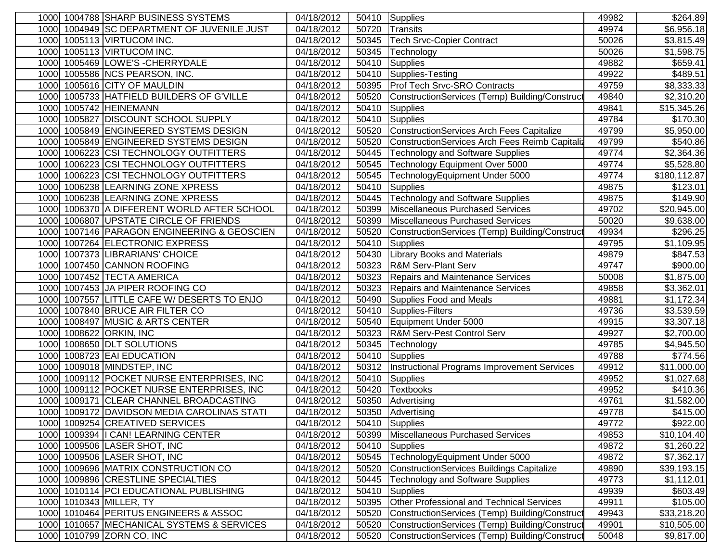| 1000 1004788 SHARP BUSINESS SYSTEMS            | 04/18/2012 |       | 50410 Supplies                                   | 49982 | \$264.89     |
|------------------------------------------------|------------|-------|--------------------------------------------------|-------|--------------|
| 1000 1004949 SC DEPARTMENT OF JUVENILE JUST    | 04/18/2012 | 50720 | Transits                                         | 49974 | \$6,956.18   |
| 1005113 VIRTUCOM INC.<br>1000                  | 04/18/2012 | 50345 | <b>Tech Srvc-Copier Contract</b>                 | 50026 | \$3,815.49   |
| 1005113 VIRTUCOM INC.<br>1000                  | 04/18/2012 | 50345 | Technology                                       | 50026 | \$1,598.75   |
| 1005469 LOWE'S - CHERRYDALE<br>1000            | 04/18/2012 | 50410 | <b>Supplies</b>                                  | 49882 | \$659.41     |
| 1005586 NCS PEARSON, INC.<br>1000              | 04/18/2012 | 50410 | Supplies-Testing                                 | 49922 | \$489.51     |
| 1005616 CITY OF MAULDIN<br>1000                | 04/18/2012 | 50395 | Prof Tech Srvc-SRO Contracts                     | 49759 | \$8,333.33   |
| 1000 1005733 HATFIELD BUILDERS OF G'VILLE      | 04/18/2012 | 50520 | ConstructionServices (Temp) Building/Construct   | 49840 | \$2,310.20   |
| 1000 1005742 HEINEMANN                         | 04/18/2012 | 50410 | <b>Supplies</b>                                  | 49841 | \$15,345.26  |
| 1000 1005827 DISCOUNT SCHOOL SUPPLY            | 04/18/2012 | 50410 | Supplies                                         | 49784 | \$170.30     |
| 1000 1005849 ENGINEERED SYSTEMS DESIGN         | 04/18/2012 | 50520 | <b>ConstructionServices Arch Fees Capitalize</b> | 49799 | \$5,950.00   |
| 1000 1005849 ENGINEERED SYSTEMS DESIGN         | 04/18/2012 | 50520 | ConstructionServices Arch Fees Reimb Capitaliz   | 49799 | \$540.86     |
| 1000 1006223 CSI TECHNOLOGY OUTFITTERS         | 04/18/2012 | 50445 | <b>Technology and Software Supplies</b>          | 49774 | \$2,364.36   |
| 1000 1006223 CSI TECHNOLOGY OUTFITTERS         | 04/18/2012 | 50545 | Technology Equipment Over 5000                   | 49774 | \$5,528.80   |
| 1000 1006223 CSI TECHNOLOGY OUTFITTERS         | 04/18/2012 | 50545 | TechnologyEquipment Under 5000                   | 49774 | \$180,112.87 |
| 1000 1006238 LEARNING ZONE XPRESS              | 04/18/2012 | 50410 | Supplies                                         | 49875 | \$123.01     |
| 1006238 LEARNING ZONE XPRESS<br>1000           | 04/18/2012 | 50445 | <b>Technology and Software Supplies</b>          | 49875 | \$149.90     |
| 1006370 A DIFFERENT WORLD AFTER SCHOOL<br>1000 | 04/18/2012 | 50399 | <b>Miscellaneous Purchased Services</b>          | 49702 | \$20,945.00  |
| 1006807 UPSTATE CIRCLE OF FRIENDS<br>1000      | 04/18/2012 | 50399 | <b>Miscellaneous Purchased Services</b>          | 50020 | \$9,638.00   |
| 1007146 PARAGON ENGINEERING & GEOSCIEN<br>1000 | 04/18/2012 | 50520 | ConstructionServices (Temp) Building/Construct   | 49934 | \$296.25     |
| 1007264 ELECTRONIC EXPRESS<br>1000             | 04/18/2012 | 50410 | <b>Supplies</b>                                  | 49795 | \$1,109.95   |
| 1007373 LIBRARIANS' CHOICE<br>1000             | 04/18/2012 | 50430 | <b>Library Books and Materials</b>               | 49879 | \$847.53     |
| 1007450 CANNON ROOFING<br>1000                 | 04/18/2012 | 50323 | R&M Serv-Plant Serv                              | 49747 | \$900.00     |
| 1007452 TECTA AMERICA<br>1000                  | 04/18/2012 | 50323 | Repairs and Maintenance Services                 | 50008 | \$1,875.00   |
| 1000 1007453 JA PIPER ROOFING CO               | 04/18/2012 | 50323 | Repairs and Maintenance Services                 | 49858 | \$3,362.01   |
| 1007557 LITTLE CAFE W/ DESERTS TO ENJO<br>1000 | 04/18/2012 | 50490 | Supplies Food and Meals                          | 49881 | \$1,172.34   |
| 1000 1007840 BRUCE AIR FILTER CO               | 04/18/2012 | 50410 | Supplies-Filters                                 | 49736 | \$3,539.59   |
| 1000 1008497 MUSIC & ARTS CENTER               | 04/18/2012 | 50540 | Equipment Under 5000                             | 49915 | \$3,307.18   |
| 1000 1008622 ORKIN, INC                        | 04/18/2012 | 50323 | <b>R&amp;M Serv-Pest Control Serv</b>            | 49927 | \$2,700.00   |
| 1000 1008650 DLT SOLUTIONS                     | 04/18/2012 | 50345 | Technology                                       | 49785 | \$4,945.50   |
| 1000 1008723 EAI EDUCATION                     | 04/18/2012 | 50410 | Supplies                                         | 49788 | \$774.56     |
| 1000 1009018 MINDSTEP, INC                     | 04/18/2012 | 50312 | Instructional Programs Improvement Services      | 49912 | \$11,000.00  |
| 1000 1009112 POCKET NURSE ENTERPRISES, INC     | 04/18/2012 | 50410 | Supplies                                         | 49952 | \$1,027.68   |
| 1009112 POCKET NURSE ENTERPRISES, INC<br>1000  | 04/18/2012 | 50420 | <b>Textbooks</b>                                 | 49952 | \$410.36     |
| 1009171 CLEAR CHANNEL BROADCASTING<br>1000     | 04/18/2012 | 50350 | Advertising                                      | 49761 | \$1,582.00   |
| 1009172 DAVIDSON MEDIA CAROLINAS STATI<br>1000 | 04/18/2012 | 50350 | Advertising                                      | 49778 | \$415.00     |
| 1000 1009254 CREATIVED SERVICES                | 04/18/2012 | 50410 | Supplies                                         | 49772 | \$922.00     |
| 1000 1009394   CAN! LEARNING CENTER            | 04/18/2012 | 50399 | Miscellaneous Purchased Services                 | 49853 | \$10,104.40  |
| 1000 1009506 LASER SHOT, INC                   | 04/18/2012 | 50410 | Supplies                                         | 49872 | \$1,260.22   |
| 1000 1009506 LASER SHOT, INC                   | 04/18/2012 | 50545 | TechnologyEquipment Under 5000                   | 49872 | \$7,362.17   |
| 1000 1009696 MATRIX CONSTRUCTION CO            | 04/18/2012 | 50520 | ConstructionServices Buildings Capitalize        | 49890 | \$39,193.15  |
| 1000 1009896 CRESTLINE SPECIALTIES             | 04/18/2012 | 50445 | <b>Technology and Software Supplies</b>          | 49773 | \$1,112.01   |
| 1000 1010114 PCI EDUCATIONAL PUBLISHING        | 04/18/2012 | 50410 | <b>Supplies</b>                                  | 49939 | \$603.49     |
| 1000 1010343 MILLER, TY                        | 04/18/2012 | 50395 | Other Professional and Technical Services        | 49911 | \$105.00     |
| 1000 1010464 PERITUS ENGINEERS & ASSOC         | 04/18/2012 | 50520 | ConstructionServices (Temp) Building/Construct   | 49943 | \$33,218.20  |
| 1000 1010657 MECHANICAL SYSTEMS & SERVICES     | 04/18/2012 | 50520 | ConstructionServices (Temp) Building/Construct   | 49901 | \$10,505.00  |
| 1000 1010799 ZORN CO, INC                      | 04/18/2012 | 50520 | ConstructionServices (Temp) Building/Construct   | 50048 | \$9,817.00   |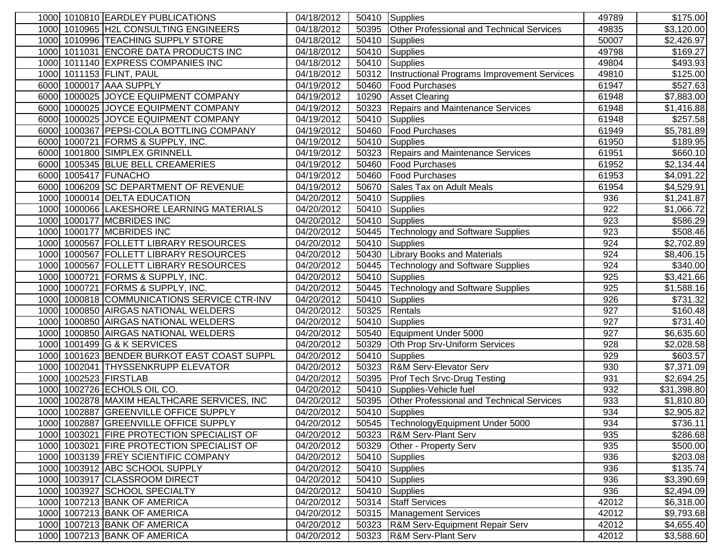| 1000 1010810 EARDLEY PUBLICATIONS                                                  | 04/18/2012               | 50410          | Supplies                                    | 49789      | \$175.00             |
|------------------------------------------------------------------------------------|--------------------------|----------------|---------------------------------------------|------------|----------------------|
| 1000 1010965 H2L CONSULTING ENGINEERS                                              | 04/18/2012               | 50395          | Other Professional and Technical Services   | 49835      | \$3,120.00           |
| 1010996 TEACHING SUPPLY STORE<br>1000                                              | 04/18/2012               | 50410          | <b>Supplies</b>                             | 50007      | \$2,426.97           |
| 1000 1011031 ENCORE DATA PRODUCTS INC                                              | 04/18/2012               | 50410          | <b>Supplies</b>                             | 49798      | \$169.27             |
| 1000 1011140 EXPRESS COMPANIES INC                                                 | 04/18/2012               | 50410          | Supplies                                    | 49804      | \$493.93             |
| 1011153 FLINT, PAUL<br>1000                                                        | 04/18/2012               | 50312          | Instructional Programs Improvement Services | 49810      | \$125.00             |
| 1000017 AAA SUPPLY<br>6000                                                         | 04/19/2012               | 50460          | <b>Food Purchases</b>                       | 61947      | \$527.63             |
| 1000025 JOYCE EQUIPMENT COMPANY<br>6000                                            | 04/19/2012               | 10290          | <b>Asset Clearing</b>                       | 61948      | \$7,883.00           |
| 1000025 JOYCE EQUIPMENT COMPANY<br>6000                                            | 04/19/2012               | 50323          | Repairs and Maintenance Services            | 61948      | \$1,416.88           |
| 1000025 JOYCE EQUIPMENT COMPANY<br>6000                                            | 04/19/2012               | 50410          | Supplies                                    | 61948      | $\overline{$}257.58$ |
| 1000367 PEPSI-COLA BOTTLING COMPANY<br>6000                                        | 04/19/2012               | 50460          | <b>Food Purchases</b>                       | 61949      | \$5,781.89           |
| 6000 1000721 FORMS & SUPPLY, INC.                                                  | 04/19/2012               | 50410          | <b>Supplies</b>                             | 61950      | \$189.95             |
| 6000 1001800 SIMPLEX GRINNELL                                                      | 04/19/2012               | 50323          | Repairs and Maintenance Services            | 61951      | \$660.10             |
| 6000 1005345 BLUE BELL CREAMERIES                                                  | 04/19/2012               | 50460          | <b>Food Purchases</b>                       | 61952      | \$2,134.44           |
| 6000 1005417 FUNACHO                                                               | 04/19/2012               | 50460          | <b>Food Purchases</b>                       | 61953      | \$4,091.22           |
| 6000 1006209 SC DEPARTMENT OF REVENUE                                              | 04/19/2012               | 50670          | Sales Tax on Adult Meals                    | 61954      | \$4,529.91           |
| 1000 1000014 DELTA EDUCATION                                                       | 04/20/2012               | 50410          | Supplies                                    | 936        | \$1,241.87           |
| 1000066 LAKESHORE LEARNING MATERIALS<br>1000                                       | 04/20/2012               | 50410          | Supplies                                    | 922        | \$1,066.72           |
| 1000177 MCBRIDES INC<br>1000                                                       | 04/20/2012               | 50410          | Supplies                                    | 923        | $\overline{$}586.29$ |
| 1000177 MCBRIDES INC<br>1000                                                       | 04/20/2012               | 50445          | <b>Technology and Software Supplies</b>     | 923        | \$508.46             |
| 1000567 FOLLETT LIBRARY RESOURCES<br>1000                                          | 04/20/2012               | 50410          | Supplies                                    | 924        | \$2,702.89           |
| 1000567 FOLLETT LIBRARY RESOURCES<br>1000                                          | 04/20/2012               | 50430          | <b>Library Books and Materials</b>          | 924        | \$8,406.15           |
| 1000567 FOLLETT LIBRARY RESOURCES<br>1000                                          | 04/20/2012               | 50445          | <b>Technology and Software Supplies</b>     | 924        | \$340.00             |
| 1000 1000721 FORMS & SUPPLY, INC.                                                  | 04/20/2012               | 50410          | Supplies                                    | 925        | \$3,421.66           |
| 1000 1000721 FORMS & SUPPLY, INC.                                                  | 04/20/2012               | 50445          | <b>Technology and Software Supplies</b>     | 925        | \$1,588.16           |
| 1000818 COMMUNICATIONS SERVICE CTR-INV<br>1000                                     | 04/20/2012               | 50410          | Supplies                                    | 926        | \$731.32             |
| 1000850 AIRGAS NATIONAL WELDERS<br>1000                                            | 04/20/2012               | 50325          | Rentals                                     | 927        | \$160.48             |
| 1000 1000850 AIRGAS NATIONAL WELDERS                                               | 04/20/2012               | 50410          | Supplies                                    | 927        | \$731.40             |
| 1000 1000850 AIRGAS NATIONAL WELDERS                                               | 04/20/2012               | 50540          | Equipment Under 5000                        | 927        | \$6,635.60           |
| 1000 1001499 G & K SERVICES                                                        | 04/20/2012               | 50329          | Oth Prop Srv-Uniform Services               | 928        | \$2,028.58           |
| 1000 1001623 BENDER BURKOT EAST COAST SUPPL                                        | 04/20/2012               | 50410          | Supplies                                    | 929        | \$603.57             |
| 1000 1002041 THYSSENKRUPP ELEVATOR                                                 | 04/20/2012               | 50323          | <b>R&amp;M Serv-Elevator Serv</b>           | 930        | \$7,371.09           |
| 1000 1002523 FIRSTLAB                                                              | 04/20/2012               | 50395          | <b>Prof Tech Srvc-Drug Testing</b>          | 931        | \$2,694.25           |
| 1002726 ECHOLS OIL CO.<br>1000                                                     | 04/20/2012               | 50410          | Supplies-Vehicle fuel                       | 932        | \$31,398.80          |
| 1002878 MAXIM HEALTHCARE SERVICES, INC<br>1000                                     | 04/20/2012               | 50395          | Other Professional and Technical Services   | 933        | \$1,810.80           |
| 1002887 GREENVILLE OFFICE SUPPLY<br>1000<br>1000 1002887 GREENVILLE OFFICE SUPPLY  | 04/20/2012               | 50410<br>50545 | Supplies                                    | 934        | \$2,905.82           |
|                                                                                    | 04/20/2012               |                | TechnologyEquipment Under 5000              | 934<br>935 | \$736.11             |
| 1000 1003021 FIRE PROTECTION SPECIALIST OF                                         | 04/20/2012<br>04/20/2012 | 50323<br>50329 | <b>R&amp;M Serv-Plant Serv</b>              | 935        | $\sqrt{$286.68}$     |
| 1000 1003021 FIRE PROTECTION SPECIALIST OF<br>1000 1003139 FREY SCIENTIFIC COMPANY | 04/20/2012               |                | <b>Other - Property Serv</b>                | 936        | \$500.00             |
| 1000 1003912 ABC SCHOOL SUPPLY                                                     | 04/20/2012               | 50410          | Supplies<br>50410 Supplies                  | 936        | \$203.08<br>\$135.74 |
| 1000 1003917 CLASSROOM DIRECT                                                      | 04/20/2012               | 50410          | Supplies                                    | 936        | \$3,390.69           |
| 1000 1003927 SCHOOL SPECIALTY                                                      | 04/20/2012               | 50410          | Supplies                                    | 936        | \$2,494.09           |
| 1000 1007213 BANK OF AMERICA                                                       | 04/20/2012               |                | 50314 Staff Services                        | 42012      | \$6,318.00           |
| 1000 1007213 BANK OF AMERICA                                                       | 04/20/2012               |                | 50315   Management Services                 | 42012      | \$9,793.68           |
| 1000 1007213 BANK OF AMERICA                                                       | 04/20/2012               | 50323          | <b>R&amp;M Serv-Equipment Repair Serv</b>   | 42012      | \$4,655.40           |
| 1000 1007213 BANK OF AMERICA                                                       | 04/20/2012               | 50323          | <b>R&amp;M Serv-Plant Serv</b>              | 42012      | \$3,588.60           |
|                                                                                    |                          |                |                                             |            |                      |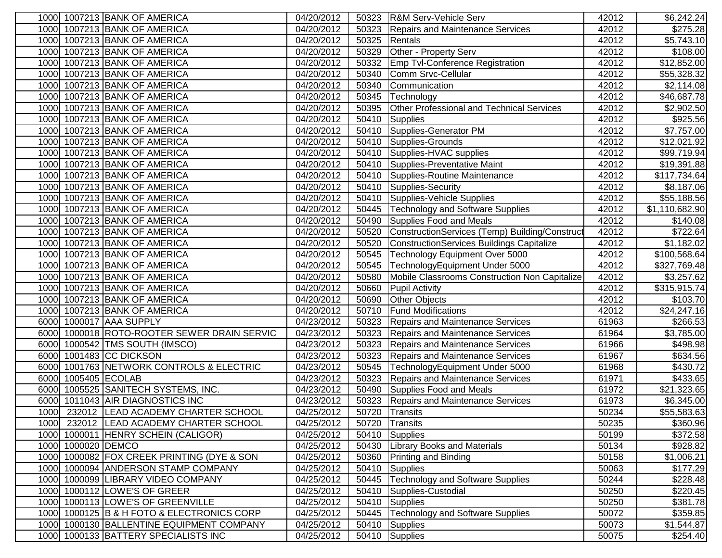| 1000 1007213 BANK OF AMERICA                | 04/20/2012          | 50323 | R&M Serv-Vehicle Serv                          | 42012 | \$6,242.24]    |
|---------------------------------------------|---------------------|-------|------------------------------------------------|-------|----------------|
| 1000 1007213 BANK OF AMERICA                | 04/20/2012          | 50323 | Repairs and Maintenance Services               | 42012 | \$275.28       |
| 1000 1007213 BANK OF AMERICA                | 04/20/2012          | 50325 | Rentals                                        | 42012 | \$5,743.10     |
| 1000 1007213 BANK OF AMERICA                | 04/20/2012          | 50329 | Other - Property Serv                          | 42012 | \$108.00       |
| 1000 1007213 BANK OF AMERICA                | 04/20/2012          | 50332 | <b>Emp Tvl-Conference Registration</b>         | 42012 | \$12,852.00    |
| 1000 1007213 BANK OF AMERICA                | 04/20/2012          | 50340 | Comm Srvc-Cellular                             | 42012 | \$55,328.32    |
| 1000 1007213 BANK OF AMERICA                | 04/20/2012          | 50340 | Communication                                  | 42012 | \$2,114.08     |
| 1000 1007213 BANK OF AMERICA                | 04/20/2012          | 50345 | Technology                                     | 42012 | \$46,687.78    |
| 1000 1007213 BANK OF AMERICA                | 04/20/2012          | 50395 | Other Professional and Technical Services      | 42012 | \$2,902.50     |
| 1000 1007213 BANK OF AMERICA                | 04/20/2012          | 50410 | Supplies                                       | 42012 | \$925.56       |
| 1000 1007213 BANK OF AMERICA                | 04/20/2012          | 50410 | Supplies-Generator PM                          | 42012 | \$7,757.00     |
| 1000 1007213 BANK OF AMERICA                | 04/20/2012          | 50410 | Supplies-Grounds                               | 42012 | \$12,021.92    |
| 1000 1007213 BANK OF AMERICA                | 04/20/2012          | 50410 | Supplies-HVAC supplies                         | 42012 | \$99,719.94    |
| 1000 1007213 BANK OF AMERICA                | 04/20/2012          |       | 50410 Supplies-Preventative Maint              | 42012 | \$19,391.88    |
| 1000 1007213 BANK OF AMERICA                | 04/20/2012          | 50410 | Supplies-Routine Maintenance                   | 42012 | \$117,734.64   |
| 1000 1007213 BANK OF AMERICA                | 04/20/2012          | 50410 | Supplies-Security                              | 42012 | \$8,187.06     |
| 1000 1007213 BANK OF AMERICA                | 04/20/2012          | 50410 | Supplies-Vehicle Supplies                      | 42012 | \$55,188.56    |
| 1000 1007213 BANK OF AMERICA                | 04/20/2012          | 50445 | <b>Technology and Software Supplies</b>        | 42012 | \$1,110,682.90 |
| 1000 1007213 BANK OF AMERICA                | 04/20/2012          | 50490 | Supplies Food and Meals                        | 42012 | \$140.08       |
| 1000 1007213 BANK OF AMERICA                | 04/20/2012          | 50520 | ConstructionServices (Temp) Building/Construct | 42012 | \$722.64       |
| 1000 1007213 BANK OF AMERICA                | 04/20/2012          | 50520 | ConstructionServices Buildings Capitalize      | 42012 | \$1,182.02     |
| 1000 1007213 BANK OF AMERICA                | 04/20/2012          | 50545 | Technology Equipment Over 5000                 | 42012 | \$100,568.64   |
| 1000 1007213 BANK OF AMERICA                | 04/20/2012          | 50545 | TechnologyEquipment Under 5000                 | 42012 | \$327,769.48   |
| 1000 1007213 BANK OF AMERICA                | $\sqrt{04}/20/2012$ | 50580 | Mobile Classrooms Construction Non Capitalize  | 42012 | \$3,257.62     |
| 1000 1007213 BANK OF AMERICA                | 04/20/2012          | 50660 | <b>Pupil Activity</b>                          | 42012 | \$315,915.74   |
| 1000 1007213 BANK OF AMERICA                | 04/20/2012          | 50690 | <b>Other Objects</b>                           | 42012 | \$103.70       |
| 1000 1007213 BANK OF AMERICA                | 04/20/2012          | 50710 | <b>Fund Modifications</b>                      | 42012 | \$24,247.16    |
| 6000 1000017 AAA SUPPLY                     | 04/23/2012          | 50323 | Repairs and Maintenance Services               | 61963 | \$266.53       |
| 6000 1000018 ROTO-ROOTER SEWER DRAIN SERVIC | 04/23/2012          | 50323 | Repairs and Maintenance Services               | 61964 | \$3,785.00     |
| 6000 1000542 TMS SOUTH (IMSCO)              | 04/23/2012          | 50323 | Repairs and Maintenance Services               | 61966 | \$498.98       |
| 6000 1001483 CC DICKSON                     | 04/23/2012          |       | 50323 Repairs and Maintenance Services         | 61967 | \$634.56       |
| 6000 1001763 NETWORK CONTROLS & ELECTRIC    | 04/23/2012          | 50545 | TechnologyEquipment Under 5000                 | 61968 | \$430.72       |
| 6000 1005405 ECOLAB                         | 04/23/2012          | 50323 | <b>Repairs and Maintenance Services</b>        | 61971 | \$433.65       |
| 1005525 SANITECH SYSTEMS, INC.<br>6000      | 04/23/2012          | 50490 | Supplies Food and Meals                        | 61972 | \$21,323.65    |
| 6000 1011043 AIR DIAGNOSTICS INC            | 04/23/2012          | 50323 | <b>Repairs and Maintenance Services</b>        | 61973 | \$6,345.00     |
| 1000 232012 LEAD ACADEMY CHARTER SCHOOL     | 04/25/2012          | 50720 | Transits                                       | 50234 | \$55,583.63    |
| 1000   232012   LEAD ACADEMY CHARTER SCHOOL | 04/25/2012          | 50720 | <b>Transits</b>                                | 50235 | \$360.96       |
| 1000 1000011 HENRY SCHEIN (CALIGOR)         | 04/25/2012          | 50410 | Supplies                                       | 50199 | \$372.58       |
| 1000 1000020 DEMCO                          | 04/25/2012          |       | 50430 Library Books and Materials              | 50134 | \$928.82       |
| 1000 1000082 FOX CREEK PRINTING (DYE & SON  | 04/25/2012          | 50360 | <b>Printing and Binding</b>                    | 50158 | \$1,006.21     |
| 1000 1000094 ANDERSON STAMP COMPANY         | 04/25/2012          | 50410 | Supplies                                       | 50063 | \$177.29       |
| 1000 1000099 LIBRARY VIDEO COMPANY          | 04/25/2012          | 50445 | <b>Technology and Software Supplies</b>        | 50244 | \$228.48       |
| 1000 1000112 LOWE'S OF GREER                | 04/25/2012          | 50410 | Supplies-Custodial                             | 50250 | \$220.45       |
| 1000 1000113 LOWE'S OF GREENVILLE           | 04/25/2012          | 50410 | Supplies                                       | 50250 | \$381.78       |
| 1000 1000125 B & H FOTO & ELECTRONICS CORP  | 04/25/2012          | 50445 | <b>Technology and Software Supplies</b>        | 50072 | \$359.85       |
| 1000 1000130 BALLENTINE EQUIPMENT COMPANY   | 04/25/2012          | 50410 | Supplies                                       | 50073 | \$1,544.87     |
| 1000 1000133 BATTERY SPECIALISTS INC        | 04/25/2012          | 50410 | Supplies                                       | 50075 | \$254.40       |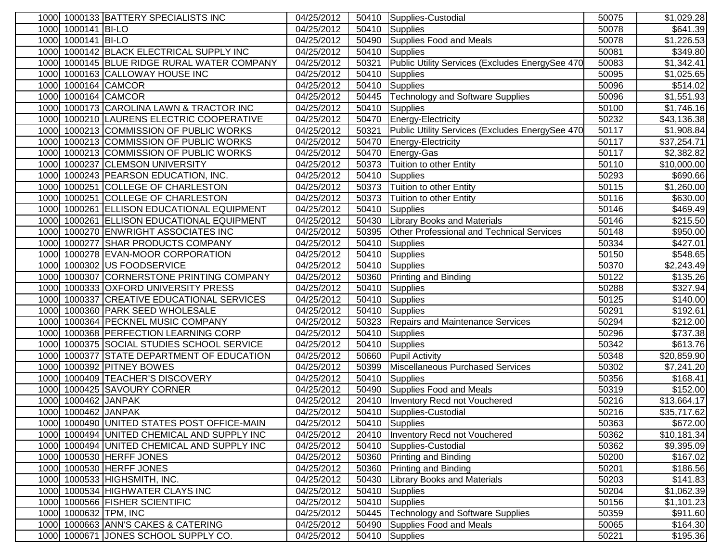|      |                     | 1000 1000133 BATTERY SPECIALISTS INC        | 04/25/2012              | 50410 | Supplies-Custodial                               | 50075 | \$1,029.28              |
|------|---------------------|---------------------------------------------|-------------------------|-------|--------------------------------------------------|-------|-------------------------|
|      | 1000 1000141 BI-LO  |                                             | 04/25/2012              | 50410 | Supplies                                         | 50078 | \$641.39                |
|      | 1000 1000141 BI-LO  |                                             | 04/25/2012              | 50490 | Supplies Food and Meals                          | 50078 | \$1,226.53              |
|      |                     | 1000 1000142 BLACK ELECTRICAL SUPPLY INC    | 04/25/2012              | 50410 | Supplies                                         | 50081 | \$349.80                |
|      |                     | 1000 1000145 BLUE RIDGE RURAL WATER COMPANY | 04/25/2012              | 50321 | Public Utility Services (Excludes EnergySee 470  | 50083 | \$1,342.41              |
|      |                     | 1000 1000163 CALLOWAY HOUSE INC             | 04/25/2012              | 50410 | Supplies                                         | 50095 | \$1,025.65              |
|      |                     | 1000 1000164 CAMCOR                         | 04/25/2012              | 50410 | Supplies                                         | 50096 | \$514.02                |
|      |                     | 1000 1000164 CAMCOR                         | 04/25/2012              | 50445 | Technology and Software Supplies                 | 50096 | \$1,551.93              |
|      |                     | 1000 1000173 CAROLINA LAWN & TRACTOR INC    | 04/25/2012              | 50410 | Supplies                                         | 50100 | \$1,746.16              |
|      |                     | 1000 1000210 LAURENS ELECTRIC COOPERATIVE   | 04/25/2012              | 50470 | Energy-Electricity                               | 50232 | \$43,136.38             |
|      |                     | 1000 1000213 COMMISSION OF PUBLIC WORKS     | 04/25/2012              | 50321 | Public Utility Services (Excludes EnergySee 470  | 50117 | \$1,908.84              |
|      |                     | 1000 1000213 COMMISSION OF PUBLIC WORKS     | 04/25/2012              | 50470 | Energy-Electricity                               | 50117 | \$37,254.71             |
|      |                     | 1000 1000213 COMMISSION OF PUBLIC WORKS     | 04/25/2012              | 50470 | Energy-Gas                                       | 50117 | \$2,382.82              |
|      |                     | 1000 1000237 CLEMSON UNIVERSITY             | 04/25/2012              | 50373 | Tuition to other Entity                          | 50110 | \$10,000.00             |
|      |                     | 1000 1000243 PEARSON EDUCATION, INC.        | 04/25/2012              | 50410 | Supplies                                         | 50293 | \$690.66                |
|      |                     | 1000 1000251 COLLEGE OF CHARLESTON          | 04/25/2012              | 50373 | Tuition to other Entity                          | 50115 | \$1,260.00              |
| 1000 |                     | 1000251 COLLEGE OF CHARLESTON               | 04/25/2012              | 50373 | Tuition to other Entity                          | 50116 | \$630.00                |
| 1000 |                     | 1000261 ELLISON EDUCATIONAL EQUIPMENT       | 04/25/2012              | 50410 | <b>Supplies</b>                                  | 50146 | \$469.49                |
| 1000 |                     | 1000261 ELLISON EDUCATIONAL EQUIPMENT       | 04/25/2012              | 50430 | <b>Library Books and Materials</b>               | 50146 | \$215.50                |
| 1000 |                     | 1000270 ENWRIGHT ASSOCIATES INC             | 04/25/2012              | 50395 | <b>Other Professional and Technical Services</b> | 50148 | \$950.00                |
|      |                     | 1000 1000277 SHAR PRODUCTS COMPANY          | 04/25/2012              | 50410 | Supplies                                         | 50334 | \$427.01                |
|      |                     | 1000 1000278 EVAN-MOOR CORPORATION          | 04/25/2012              | 50410 | Supplies                                         | 50150 | \$548.65                |
|      |                     | 1000 1000302 US FOODSERVICE                 | 04/25/2012              | 50410 | Supplies                                         | 50370 | \$2,243.49              |
|      |                     | 1000 1000307 CORNERSTONE PRINTING COMPANY   | $\overline{04/25}/2012$ | 50360 | <b>Printing and Binding</b>                      | 50122 | \$135.26                |
|      |                     | 1000 1000333 OXFORD UNIVERSITY PRESS        | 04/25/2012              | 50410 | Supplies                                         | 50288 | \$327.94                |
|      |                     | 1000 1000337 CREATIVE EDUCATIONAL SERVICES  | 04/25/2012              | 50410 | Supplies                                         | 50125 | \$140.00                |
|      |                     | 1000 1000360 PARK SEED WHOLESALE            | 04/25/2012              | 50410 | Supplies                                         | 50291 | \$192.61                |
|      |                     | 1000 1000364 PECKNEL MUSIC COMPANY          | 04/25/2012              | 50323 | Repairs and Maintenance Services                 | 50294 | \$212.00                |
|      |                     | 1000 1000368 PERFECTION LEARNING CORP       | 04/25/2012              | 50410 | Supplies                                         | 50296 | \$737.38                |
|      |                     | 1000 1000375 SOCIAL STUDIES SCHOOL SERVICE  | 04/25/2012              | 50410 | Supplies                                         | 50342 | \$613.76                |
|      |                     | 1000 1000377 STATE DEPARTMENT OF EDUCATION  | 04/25/2012              | 50660 | <b>Pupil Activity</b>                            | 50348 | \$20,859.90             |
|      |                     | 1000 1000392 PITNEY BOWES                   | 04/25/2012              | 50399 | Miscellaneous Purchased Services                 | 50302 | \$7,241.20              |
|      |                     | 1000 1000409 TEACHER'S DISCOVERY            | 04/25/2012              | 50410 | Supplies                                         | 50356 | \$168.41                |
| 1000 |                     | 1000425 SAVOURY CORNER                      | 04/25/2012              | 50490 | Supplies Food and Meals                          | 50319 | \$152.00                |
| 1000 | 1000462 JANPAK      |                                             | 04/25/2012              | 20410 | Inventory Recd not Vouchered                     | 50216 | $\overline{$13,664.17}$ |
|      | 1000 1000462 JANPAK |                                             | 04/25/2012              | 50410 | Supplies-Custodial                               | 50216 | \$35,717.62             |
|      |                     | 1000 1000490 UNITED STATES POST OFFICE-MAIN | 04/25/2012              |       | 50410 Supplies                                   | 50363 | \$672.00                |
|      |                     | 1000 1000494 UNITED CHEMICAL AND SUPPLY INC | 04/25/2012              |       | 20410 Inventory Recd not Vouchered               | 50362 | \$10,181.34             |
|      |                     | 1000 1000494 UNITED CHEMICAL AND SUPPLY INC | 04/25/2012              |       | 50410 Supplies-Custodial                         | 50362 | \$9,395.09              |
|      |                     | 1000 1000530 HERFF JONES                    | 04/25/2012              |       | 50360 Printing and Binding                       | 50200 | \$167.02                |
|      |                     | 1000 1000530 HERFF JONES                    | 04/25/2012              | 50360 | <b>Printing and Binding</b>                      | 50201 | \$186.56                |
|      |                     | 1000 1000533 HIGHSMITH, INC.                | 04/25/2012              | 50430 | <b>Library Books and Materials</b>               | 50203 | \$141.83                |
|      |                     | 1000 1000534 HIGHWATER CLAYS INC            | 04/25/2012              | 50410 | Supplies                                         | 50204 | \$1,062.39              |
|      |                     | 1000 1000566 FISHER SCIENTIFIC              | 04/25/2012              | 50410 | Supplies                                         | 50156 | \$1,101.23              |
|      |                     | 1000 1000632 TPM, INC                       | 04/25/2012              | 50445 | Technology and Software Supplies                 | 50359 | \$911.60                |
|      |                     | 1000 1000663 ANN'S CAKES & CATERING         | 04/25/2012              | 50490 | Supplies Food and Meals                          | 50065 | \$164.30                |
|      |                     | 1000 1000671 JONES SCHOOL SUPPLY CO.        | 04/25/2012              | 50410 | Supplies                                         | 50221 | \$195.36                |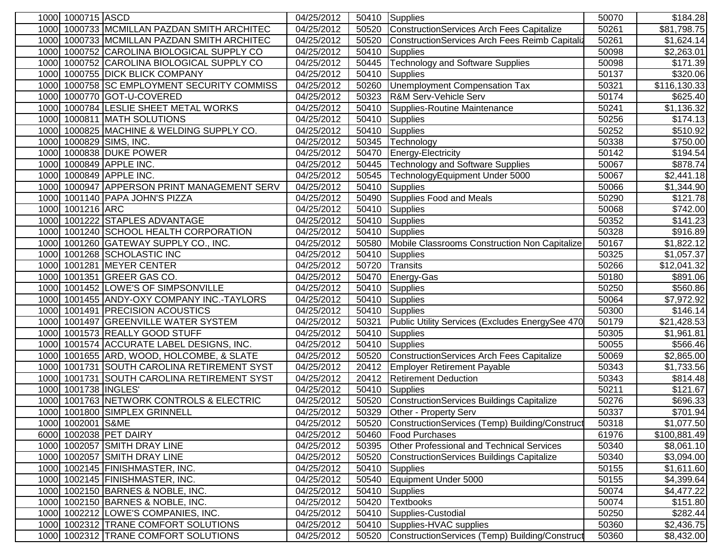| 1000 1000715 ASCD                              | 04/25/2012 | 50410 | Supplies                                         | 50070 | \$184.28               |
|------------------------------------------------|------------|-------|--------------------------------------------------|-------|------------------------|
| 1000733 MCMILLAN PAZDAN SMITH ARCHITEC<br>1000 | 04/25/2012 | 50520 | ConstructionServices Arch Fees Capitalize        | 50261 | \$81,798.75            |
| 1000733 MCMILLAN PAZDAN SMITH ARCHITEC<br>1000 | 04/25/2012 | 50520 | ConstructionServices Arch Fees Reimb Capitaliz   | 50261 | \$1,624.14             |
| 1000752 CAROLINA BIOLOGICAL SUPPLY CO<br>1000  | 04/25/2012 | 50410 | Supplies                                         | 50098 | \$2,263.01             |
| 1000752 CAROLINA BIOLOGICAL SUPPLY CO<br>1000  | 04/25/2012 | 50445 | Technology and Software Supplies                 | 50098 | $\overline{$}171.39$   |
| 1000755 DICK BLICK COMPANY<br>1000             | 04/25/2012 | 50410 | <b>Supplies</b>                                  | 50137 | \$320.06               |
| 1000758 SC EMPLOYMENT SECURITY COMMISS<br>1000 | 04/25/2012 | 50260 | Unemployment Compensation Tax                    | 50321 | \$116,130.33           |
| 1000770 GOT-U-COVERED<br>1000                  | 04/25/2012 | 50323 | R&M Serv-Vehicle Serv                            | 50174 | \$625.40               |
| 1000784 LESLIE SHEET METAL WORKS<br>1000       | 04/25/2012 | 50410 | Supplies-Routine Maintenance                     | 50241 | \$1,136.32             |
| 1000811 MATH SOLUTIONS<br>1000                 | 04/25/2012 | 50410 | Supplies                                         | 50256 | $\overline{\$174.13}$  |
| 1000 1000825 MACHINE & WELDING SUPPLY CO.      | 04/25/2012 | 50410 | <b>Supplies</b>                                  | 50252 | \$510.92               |
| 1000 1000829 SIMS, INC.                        | 04/25/2012 | 50345 | Technology                                       | 50338 | \$750.00               |
| 1000 1000838 DUKE POWER                        | 04/25/2012 | 50470 | Energy-Electricity                               | 50142 | $\overline{$}194.54$   |
| 1000 1000849 APPLE INC.                        | 04/25/2012 | 50445 | <b>Technology and Software Supplies</b>          | 50067 | \$878.74               |
| 1000849 APPLE INC.<br>1000                     | 04/25/2012 | 50545 | TechnologyEquipment Under 5000                   | 50067 | \$2,441.18             |
| 1000947 APPERSON PRINT MANAGEMENT SERV<br>1000 | 04/25/2012 | 50410 | <b>Supplies</b>                                  | 50066 | \$1,344.90             |
| 1001140 PAPA JOHN'S PIZZA<br>1000              | 04/25/2012 | 50490 | Supplies Food and Meals                          | 50290 | \$121.78               |
| 1001216 ARC<br>1000                            | 04/25/2012 | 50410 | <b>Supplies</b>                                  | 50068 | \$742.00               |
| 1001222 STAPLES ADVANTAGE<br>1000              | 04/25/2012 | 50410 | Supplies                                         | 50352 | \$141.23               |
| 1001240 SCHOOL HEALTH CORPORATION<br>1000      | 04/25/2012 | 50410 | <b>Supplies</b>                                  | 50328 | \$916.89               |
| 1000<br>1001260 GATEWAY SUPPLY CO., INC.       | 04/25/2012 | 50580 | Mobile Classrooms Construction Non Capitalize    | 50167 | \$1,822.12             |
| 1001268 SCHOLASTIC INC<br>1000                 | 04/25/2012 | 50410 | <b>Supplies</b>                                  | 50325 | \$1,057.37             |
| 1000<br>1001281 MEYER CENTER                   | 04/25/2012 | 50720 | Transits                                         | 50266 | \$12,041.32            |
| 1000 1001351 GREER GAS CO.                     | 04/25/2012 | 50470 | Energy-Gas                                       | 50180 | \$891.06               |
| 1001452 LOWE'S OF SIMPSONVILLE<br>1000         | 04/25/2012 | 50410 | <b>Supplies</b>                                  | 50250 | \$560.86               |
| 1001455 ANDY-OXY COMPANY INC.-TAYLORS<br>1000  | 04/25/2012 | 50410 | Supplies                                         | 50064 | $\overline{$7,972.92}$ |
| 1000 1001491 PRECISION ACOUSTICS               | 04/25/2012 | 50410 | Supplies                                         | 50300 | \$146.14               |
| 1000 1001497 GREENVILLE WATER SYSTEM           | 04/25/2012 | 50321 | Public Utility Services (Excludes EnergySee 470  | 50179 | \$21,428.53            |
| 1000 1001573 REALLY GOOD STUFF                 | 04/25/2012 | 50410 | <b>Supplies</b>                                  | 50305 | \$1,961.81             |
| 1000 1001574 ACCURATE LABEL DESIGNS, INC.      | 04/25/2012 | 50410 | Supplies                                         | 50055 | \$566.46               |
| 1000 1001655 ARD, WOOD, HOLCOMBE, & SLATE      | 04/25/2012 | 50520 | ConstructionServices Arch Fees Capitalize        | 50069 | \$2,865.00             |
| 1000 1001731 SOUTH CAROLINA RETIREMENT SYST    | 04/25/2012 | 20412 | <b>Employer Retirement Payable</b>               | 50343 | \$1,733.56             |
| 1000<br>1001731 SOUTH CAROLINA RETIREMENT SYST | 04/25/2012 | 20412 | <b>Retirement Deduction</b>                      | 50343 | \$814.48               |
| 1001738 INGLES<br>1000                         | 04/25/2012 | 50410 | <b>Supplies</b>                                  | 50211 | \$121.67               |
| 1001763 NETWORK CONTROLS & ELECTRIC<br>1000    | 04/25/2012 | 50520 | <b>ConstructionServices Buildings Capitalize</b> | 50276 | $\overline{$}696.33$   |
| 1001800 SIMPLEX GRINNELL<br>1000               | 04/25/2012 | 50329 | Other - Property Serv                            | 50337 | \$701.94               |
| 1000 1002001 S&ME                              | 04/25/2012 | 50520 | ConstructionServices (Temp) Building/Construct   | 50318 | \$1,077.50             |
| 6000 1002038 PET DAIRY                         | 04/25/2012 | 50460 | <b>Food Purchases</b>                            | 61976 | \$100,881.49           |
| 1000 1002057 SMITH DRAY LINE                   | 04/25/2012 | 50395 | <b>Other Professional and Technical Services</b> | 50340 | \$8,061.10             |
| 1000 1002057 SMITH DRAY LINE                   | 04/25/2012 | 50520 | ConstructionServices Buildings Capitalize        | 50340 | \$3,094.00             |
| 1000 1002145 FINISHMASTER, INC.                | 04/25/2012 | 50410 | <b>Supplies</b>                                  | 50155 | \$1,611.60             |
| 1000 1002145 FINISHMASTER, INC.                | 04/25/2012 | 50540 | Equipment Under 5000                             | 50155 | \$4,399.64             |
| 1000 1002150 BARNES & NOBLE, INC.              | 04/25/2012 | 50410 | Supplies                                         | 50074 | \$4,477.22             |
| 1000 1002150 BARNES & NOBLE, INC.              | 04/25/2012 | 50420 | <b>Textbooks</b>                                 | 50074 | \$151.80               |
| 1000 1002212 LOWE'S COMPANIES, INC.            | 04/25/2012 | 50410 | Supplies-Custodial                               | 50250 | \$282.44               |
| 1000 1002312 TRANE COMFORT SOLUTIONS           | 04/25/2012 | 50410 | Supplies-HVAC supplies                           | 50360 | \$2,436.75             |
| 1000 1002312 TRANE COMFORT SOLUTIONS           | 04/25/2012 | 50520 | ConstructionServices (Temp) Building/Construct   | 50360 | \$8,432.00             |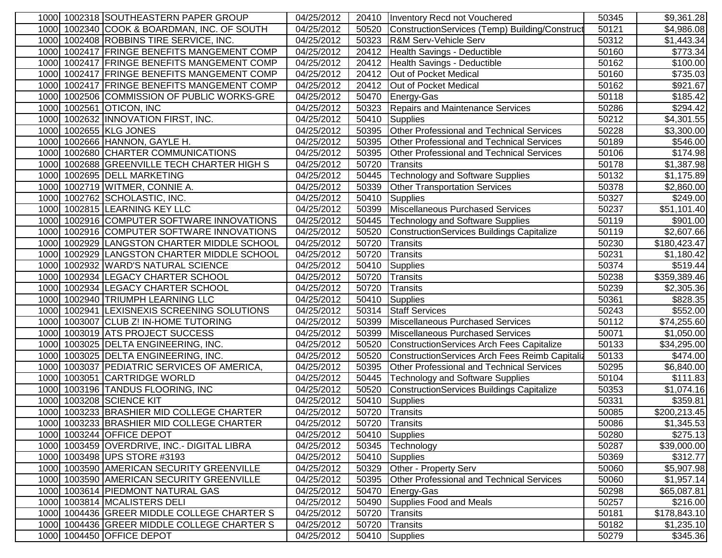| 1000 1002318 SOUTHEASTERN PAPER GROUP          | 04/25/2012 | 20410 | Inventory Recd not Vouchered                     | 50345 | \$9,361.28               |
|------------------------------------------------|------------|-------|--------------------------------------------------|-------|--------------------------|
| 1000 1002340 COOK & BOARDMAN, INC. OF SOUTH    | 04/25/2012 | 50520 | ConstructionServices (Temp) Building/Construct   | 50121 | \$4,986.08               |
| 1000 1002408 ROBBINS TIRE SERVICE, INC.        | 04/25/2012 | 50323 | R&M Serv-Vehicle Serv                            | 50312 | \$1,443.34               |
| 1000 1002417 FRINGE BENEFITS MANGEMENT COMP    | 04/25/2012 | 20412 | Health Savings - Deductible                      | 50160 | \$773.34                 |
| 1000 1002417 FRINGE BENEFITS MANGEMENT COMP    | 04/25/2012 | 20412 | Health Savings - Deductible                      | 50162 | \$100.00                 |
| 1000 1002417 FRINGE BENEFITS MANGEMENT COMP    | 04/25/2012 | 20412 | Out of Pocket Medical                            | 50160 | \$735.03                 |
| 1000 1002417 FRINGE BENEFITS MANGEMENT COMP    | 04/25/2012 | 20412 | Out of Pocket Medical                            | 50162 | \$921.67                 |
| 1000 1002506 COMMISSION OF PUBLIC WORKS-GRE    | 04/25/2012 | 50470 | Energy-Gas                                       | 50118 | \$185.42                 |
| 1002561 OTICON, INC<br>1000                    | 04/25/2012 | 50323 | Repairs and Maintenance Services                 | 50286 | \$294.42                 |
| 1000 1002632 INNOVATION FIRST, INC.            | 04/25/2012 | 50410 | <b>Supplies</b>                                  | 50212 | \$4,301.55               |
| 1000 1002655 KLG JONES                         | 04/25/2012 | 50395 | Other Professional and Technical Services        | 50228 | \$3,300.00               |
| 1000 1002666 HANNON, GAYLE H.                  | 04/25/2012 | 50395 | <b>Other Professional and Technical Services</b> | 50189 | \$546.00                 |
| 1000 1002680 CHARTER COMMUNICATIONS            | 04/25/2012 | 50395 | Other Professional and Technical Services        | 50106 | \$174.98                 |
| 1000 1002688 GREENVILLE TECH CHARTER HIGH S    | 04/25/2012 | 50720 | Transits                                         | 50178 | $\overline{$}1,387.98$   |
| 1000 1002695 DELL MARKETING                    | 04/25/2012 | 50445 | <b>Technology and Software Supplies</b>          | 50132 | \$1,175.89               |
| 1002719 WITMER, CONNIE A.<br>1000              | 04/25/2012 | 50339 | <b>Other Transportation Services</b>             | 50378 | \$2,860.00               |
| 1002762 SCHOLASTIC, INC.<br>1000               | 04/25/2012 | 50410 | Supplies                                         | 50327 | \$249.00                 |
| 1000<br>1002815 LEARNING KEY LLC               | 04/25/2012 | 50399 | Miscellaneous Purchased Services                 | 50237 | \$51,101.40              |
| 1002916 COMPUTER SOFTWARE INNOVATIONS<br>1000  | 04/25/2012 | 50445 | <b>Technology and Software Supplies</b>          | 50119 | \$901.00                 |
| 1002916 COMPUTER SOFTWARE INNOVATIONS<br>1000  | 04/25/2012 | 50520 | ConstructionServices Buildings Capitalize        | 50119 | \$2,607.66               |
| 1002929 LANGSTON CHARTER MIDDLE SCHOOL<br>1000 | 04/25/2012 | 50720 | Transits                                         | 50230 | \$180,423.47             |
| 1002929 LANGSTON CHARTER MIDDLE SCHOOL<br>1000 | 04/25/2012 | 50720 | Transits                                         | 50231 | \$1,180.42               |
| 1000 1002932 WARD'S NATURAL SCIENCE            | 04/25/2012 | 50410 | Supplies                                         | 50374 | \$519.44                 |
| 1000 1002934 LEGACY CHARTER SCHOOL             | 04/25/2012 | 50720 | Transits                                         | 50238 | \$359,389.46             |
| 1000 1002934 LEGACY CHARTER SCHOOL             | 04/25/2012 | 50720 | Transits                                         | 50239 | \$2,305.36               |
| 1000 1002940 TRIUMPH LEARNING LLC              | 04/25/2012 | 50410 | Supplies                                         | 50361 | \$828.35                 |
| 1000 1002941 LEXISNEXIS SCREENING SOLUTIONS    | 04/25/2012 | 50314 | <b>Staff Services</b>                            | 50243 | \$552.00                 |
| 1000 1003007 CLUB Z! IN-HOME TUTORING          | 04/25/2012 | 50399 | Miscellaneous Purchased Services                 | 50112 | \$74,255.60              |
| 1000 1003019 ATS PROJECT SUCCESS               | 04/25/2012 | 50399 | Miscellaneous Purchased Services                 | 50071 | \$1,050.00               |
| 1000 1003025 DELTA ENGINEERING, INC.           | 04/25/2012 | 50520 | ConstructionServices Arch Fees Capitalize        | 50133 | \$34,295.00              |
| 1000 1003025 DELTA ENGINEERING, INC.           | 04/25/2012 | 50520 | ConstructionServices Arch Fees Reimb Capitaliz   | 50133 | \$474.00                 |
| 1000 1003037 PEDIATRIC SERVICES OF AMERICA,    | 04/25/2012 | 50395 | <b>Other Professional and Technical Services</b> | 50295 | \$6,840.00               |
| 1000 1003051 CARTRIDGE WORLD                   | 04/25/2012 | 50445 | <b>Technology and Software Supplies</b>          | 50104 | \$111.83                 |
| 1003196 TANDUS FLOORING, INC<br>1000           | 04/25/2012 | 50520 | ConstructionServices Buildings Capitalize        | 50353 | \$1,074.16               |
| 1003208 SCIENCE KIT<br>1000                    | 04/25/2012 | 50410 | <b>Supplies</b>                                  | 50331 | \$359.81                 |
| 1003233 BRASHIER MID COLLEGE CHARTER<br>1000   | 04/25/2012 | 50720 | Transits                                         | 50085 | \$200,213.45             |
| 1000 1003233 BRASHIER MID COLLEGE CHARTER      | 04/25/2012 |       | 50720 Transits                                   | 50086 | \$1,345.53               |
| 1000 1003244 OFFICE DEPOT                      | 04/25/2012 | 50410 | Supplies                                         | 50280 | \$275.13                 |
| 1000 1003459 OVERDRIVE, INC.- DIGITAL LIBRA    | 04/25/2012 | 50345 | Technology                                       | 50287 | \$39,000.00              |
| 1000 1003498 UPS STORE #3193                   | 04/25/2012 | 50410 | Supplies                                         | 50369 | \$312.77                 |
| 1000 1003590 AMERICAN SECURITY GREENVILLE      | 04/25/2012 | 50329 | Other - Property Serv                            | 50060 | \$5,907.98               |
| 1000 1003590 AMERICAN SECURITY GREENVILLE      | 04/25/2012 | 50395 | Other Professional and Technical Services        | 50060 | \$1,957.14               |
| 1000 1003614 PIEDMONT NATURAL GAS              | 04/25/2012 | 50470 | Energy-Gas                                       | 50298 | $$65,087.\overline{81}]$ |
| 1000 1003814 MCALISTERS DELI                   | 04/25/2012 | 50490 | Supplies Food and Meals                          | 50257 | \$216.00                 |
| 1000 1004436 GREER MIDDLE COLLEGE CHARTER S    | 04/25/2012 | 50720 | Transits                                         | 50181 | \$178,843.10             |
| 1000 1004436 GREER MIDDLE COLLEGE CHARTER S    | 04/25/2012 | 50720 | Transits                                         | 50182 | \$1,235.10               |
| 1000 1004450 OFFICE DEPOT                      | 04/25/2012 | 50410 | Supplies                                         | 50279 | \$345.36                 |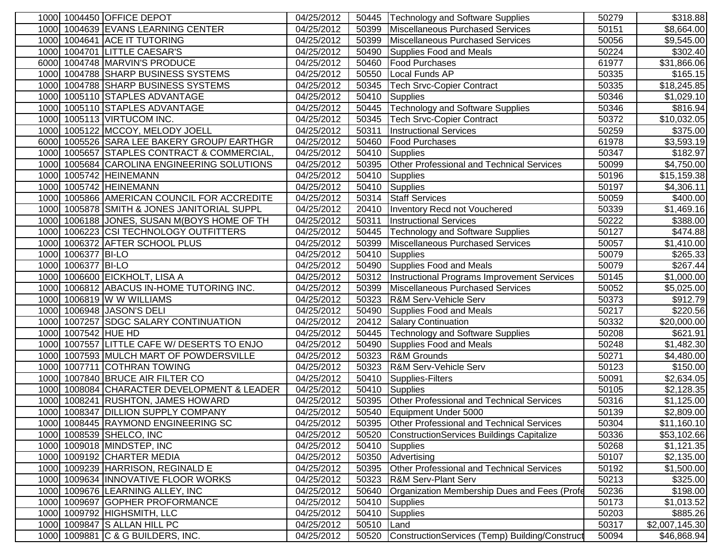|      |                     | 1000 1004450 OFFICE DEPOT                   | 04/25/2012               | 50445 | Technology and Software Supplies                 | 50279 | \$318.88       |
|------|---------------------|---------------------------------------------|--------------------------|-------|--------------------------------------------------|-------|----------------|
|      |                     | 1000 1004639 EVANS LEARNING CENTER          | 04/25/2012               | 50399 | <b>Miscellaneous Purchased Services</b>          | 50151 | \$8,664.00     |
| 1000 |                     | 1004641 ACE IT TUTORING                     | 04/25/2012               | 50399 | Miscellaneous Purchased Services                 | 50056 | \$9,545.00     |
| 1000 |                     | 1004701 LITTLE CAESAR'S                     | 04/25/2012               | 50490 | <b>Supplies Food and Meals</b>                   | 50224 | \$302.40       |
|      |                     | 6000 1004748 MARVIN'S PRODUCE               | 04/25/2012               | 50460 | <b>Food Purchases</b>                            | 61977 | \$31,866.06    |
| 1000 |                     | 1004788 SHARP BUSINESS SYSTEMS              | 04/25/2012               | 50550 | Local Funds AP                                   | 50335 | \$165.15       |
| 1000 |                     | 1004788 SHARP BUSINESS SYSTEMS              | 04/25/2012               | 50345 | <b>Tech Srvc-Copier Contract</b>                 | 50335 | \$18,245.85    |
|      |                     | 1000 1005110 STAPLES ADVANTAGE              | 04/25/2012               | 50410 | <b>Supplies</b>                                  | 50346 | \$1,029.10     |
| 1000 |                     | 1005110 STAPLES ADVANTAGE                   | $\overline{0}$ 4/25/2012 | 50445 | <b>Technology and Software Supplies</b>          | 50346 | \$816.94       |
| 1000 |                     | 1005113 VIRTUCOM INC.                       | 04/25/2012               | 50345 | <b>Tech Srvc-Copier Contract</b>                 | 50372 | \$10,032.05    |
| 1000 |                     | 1005122 MCCOY, MELODY JOELL                 | 04/25/2012               | 50311 | <b>Instructional Services</b>                    | 50259 | \$375.00       |
|      |                     | 6000 1005526 SARA LEE BAKERY GROUP/ EARTHGR | 04/25/2012               | 50460 | <b>Food Purchases</b>                            | 61978 | \$3,593.19     |
|      |                     | 1000 1005657 STAPLES CONTRACT & COMMERCIAL  | 04/25/2012               | 50410 | <b>Supplies</b>                                  | 50347 | \$182.97       |
|      |                     | 1000 1005684 CAROLINA ENGINEERING SOLUTIONS | 04/25/2012               | 50395 | Other Professional and Technical Services        | 50099 | \$4,750.00     |
|      |                     | 1000 1005742 HEINEMANN                      | 04/25/2012               | 50410 | Supplies                                         | 50196 | \$15,159.38    |
|      |                     | 1000 1005742 HEINEMANN                      | 04/25/2012               | 50410 | Supplies                                         | 50197 | \$4,306.11     |
| 1000 |                     | 1005866 AMERICAN COUNCIL FOR ACCREDITE      | 04/25/2012               | 50314 | <b>Staff Services</b>                            | 50059 | \$400.00       |
| 1000 |                     | 1005878 SMITH & JONES JANITORIAL SUPPL      | 04/25/2012               | 20410 | Inventory Recd not Vouchered                     | 50339 | \$1,469.16     |
| 1000 |                     | 1006188 JONES, SUSAN M(BOYS HOME OF TH      | 04/25/2012               | 50311 | <b>Instructional Services</b>                    | 50222 | \$388.00       |
| 1000 |                     | 1006223 CSI TECHNOLOGY OUTFITTERS           | 04/25/2012               | 50445 | <b>Technology and Software Supplies</b>          | 50127 | \$474.88       |
| 1000 |                     | 1006372 AFTER SCHOOL PLUS                   | 04/25/2012               | 50399 | <b>Miscellaneous Purchased Services</b>          | 50057 | \$1,410.00     |
| 1000 | 1006377 BI-LO       |                                             | 04/25/2012               | 50410 | Supplies                                         | 50079 | \$265.33       |
| 1000 | 1006377 BI-LO       |                                             | 04/25/2012               | 50490 | Supplies Food and Meals                          | 50079 | \$267.44       |
|      |                     | 1000 1006600 EICKHOLT, LISA A               | 04/25/2012               | 50312 | Instructional Programs Improvement Services      | 50145 | \$1,000.00     |
|      |                     | 1000 1006812 ABACUS IN-HOME TUTORING INC.   | 04/25/2012               | 50399 | <b>Miscellaneous Purchased Services</b>          | 50052 | \$5,025.00     |
| 1000 |                     | 1006819 W W WILLIAMS                        | 04/25/2012               | 50323 | <b>R&amp;M Serv-Vehicle Serv</b>                 | 50373 | \$912.79       |
| 1000 |                     | 1006948 JASON'S DELI                        | 04/25/2012               | 50490 | <b>Supplies Food and Meals</b>                   | 50217 | \$220.56       |
|      |                     | 1000 1007257 SDGC SALARY CONTINUATION       | 04/25/2012               | 20412 | <b>Salary Continuation</b>                       | 50332 | \$20,000.00    |
|      | 1000 1007542 HUE HD |                                             | 04/25/2012               | 50445 | <b>Technology and Software Supplies</b>          | 50208 | \$621.91       |
|      |                     | 1000 1007557 LITTLE CAFE W/ DESERTS TO ENJO | 04/25/2012               | 50490 | Supplies Food and Meals                          | 50248 | \$1,482.30     |
|      |                     | 1000 1007593 MULCH MART OF POWDERSVILLE     | 04/25/2012               | 50323 | R&M Grounds                                      | 50271 | \$4,480.00     |
|      |                     | 1000 1007711 COTHRAN TOWING                 | 04/25/2012               | 50323 | R&M Serv-Vehicle Serv                            | 50123 | \$150.00       |
|      |                     | 1000 1007840 BRUCE AIR FILTER CO            | 04/25/2012               | 50410 | Supplies-Filters                                 | 50091 | \$2,634.05     |
| 1000 |                     | 1008084 CHARACTER DEVELOPMENT & LEADER      | 04/25/2012               | 50410 | <b>Supplies</b>                                  | 50105 | \$2,128.35     |
| 1000 |                     | 1008241 RUSHTON, JAMES HOWARD               | 04/25/2012               | 50395 | Other Professional and Technical Services        | 50316 | \$1,125.00     |
| 1000 |                     | 1008347 DILLION SUPPLY COMPANY              | 04/25/2012               | 50540 | Equipment Under 5000                             | 50139 | \$2,809.00     |
|      |                     | 1000 1008445 RAYMOND ENGINEERING SC         | 04/25/2012               | 50395 | Other Professional and Technical Services        | 50304 | \$11,160.10    |
|      |                     | 1000 1008539 SHELCO, INC                    | 04/25/2012               | 50520 | <b>ConstructionServices Buildings Capitalize</b> | 50336 | \$53,102.66    |
|      |                     | 1000 1009018 MINDSTEP, INC                  | 04/25/2012               | 50410 | <b>Supplies</b>                                  | 50268 | \$1,121.35     |
|      |                     | 1000 1009192 CHARTER MEDIA                  | 04/25/2012               | 50350 | Advertising                                      | 50107 | \$2,135.00     |
|      |                     | 1000 1009239 HARRISON, REGINALD E           | 04/25/2012               | 50395 | Other Professional and Technical Services        | 50192 | \$1,500.00     |
|      |                     | 1000 1009634 INNOVATIVE FLOOR WORKS         | 04/25/2012               | 50323 | <b>R&amp;M Serv-Plant Serv</b>                   | 50213 | \$325.00       |
|      |                     | 1000 1009676 LEARNING ALLEY, INC            | 04/25/2012               | 50640 | Organization Membership Dues and Fees (Profe     | 50236 | \$198.00       |
|      |                     | 1000 1009697 GOPHER PROFORMANCE             | 04/25/2012               | 50410 | <b>Supplies</b>                                  | 50173 | \$1,013.52     |
|      |                     | 1000 1009792 HIGHSMITH, LLC                 | 04/25/2012               | 50410 | <b>Supplies</b>                                  | 50203 | \$885.26       |
|      |                     | 1000 1009847 S ALLAN HILL PC                | 04/25/2012               | 50510 | Land                                             | 50317 | \$2,007,145.30 |
|      |                     | 1000 1009881 C & G BUILDERS, INC.           | 04/25/2012               | 50520 | ConstructionServices (Temp) Building/Construct   | 50094 | \$46,868.94    |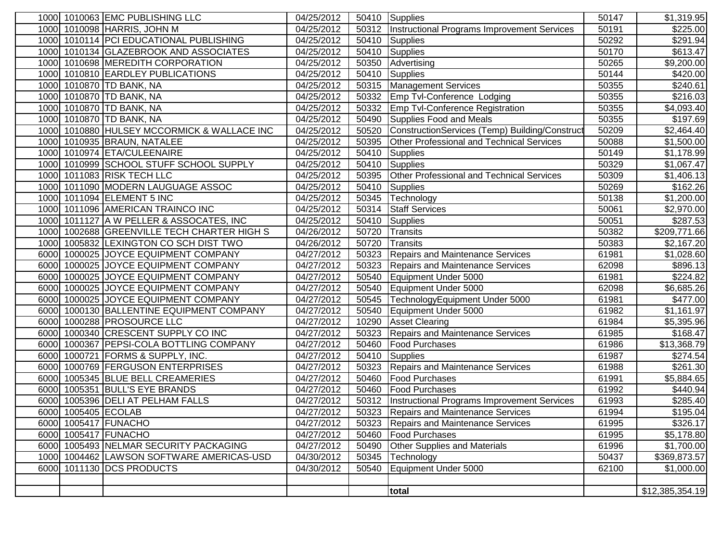|      | 1000 1010063 EMC PUBLISHING LLC             | 04/25/2012 |       | 50410 Supplies                                      | 50147 | \$1,319.95       |
|------|---------------------------------------------|------------|-------|-----------------------------------------------------|-------|------------------|
|      | 1000 1010098 HARRIS, JOHN M                 | 04/25/2012 | 50312 | Instructional Programs Improvement Services         | 50191 | \$225.00         |
|      | 1000 1010114 PCI EDUCATIONAL PUBLISHING     | 04/25/2012 | 50410 | Supplies                                            | 50292 | \$291.94         |
|      | 1000 1010134 GLAZEBROOK AND ASSOCIATES      | 04/25/2012 | 50410 | Supplies                                            | 50170 | \$613.47         |
|      | 1000 1010698 MEREDITH CORPORATION           | 04/25/2012 | 50350 | Advertising                                         | 50265 | \$9,200.00       |
| 1000 | 1010810 EARDLEY PUBLICATIONS                | 04/25/2012 | 50410 | Supplies                                            | 50144 | \$420.00         |
|      | 1000 1010870 TD BANK, NA                    | 04/25/2012 | 50315 | <b>Management Services</b>                          | 50355 | \$240.61         |
|      | 1000 1010870 TD BANK, NA                    | 04/25/2012 | 50332 | Emp Tvl-Conference Lodging                          | 50355 | \$216.03         |
|      | 1000 1010870 TD BANK, NA                    | 04/25/2012 | 50332 | <b>Emp Tvl-Conference Registration</b>              | 50355 | \$4,093.40       |
|      | 1000 1010870 TD BANK, NA                    | 04/25/2012 | 50490 | Supplies Food and Meals                             | 50355 | \$197.69         |
|      | 1000 1010880 HULSEY MCCORMICK & WALLACE INC | 04/25/2012 | 50520 | ConstructionServices (Temp) Building/Construct      | 50209 | \$2,464.40       |
|      | 1000 1010935 BRAUN, NATALEE                 | 04/25/2012 | 50395 | <b>Other Professional and Technical Services</b>    | 50088 | \$1,500.00       |
|      | 1000 1010974 ETA/CULEENAIRE                 | 04/25/2012 | 50410 | <b>Supplies</b>                                     | 50149 | \$1,178.99       |
|      | 1000 1010999 SCHOOL STUFF SCHOOL SUPPLY     | 04/25/2012 | 50410 | Supplies                                            | 50329 | \$1,067.47       |
|      | 1000 1011083 RISK TECH LLC                  | 04/25/2012 | 50395 | Other Professional and Technical Services           | 50309 | \$1,406.13       |
|      | 1000 1011090 MODERN LAUGUAGE ASSOC          | 04/25/2012 | 50410 | Supplies                                            | 50269 | \$162.26         |
|      | 1000 1011094 ELEMENT 5 INC                  | 04/25/2012 | 50345 | Technology                                          | 50138 | \$1,200.00       |
|      | 1000 1011096 AMERICAN TRAINCO INC           | 04/25/2012 | 50314 | <b>Staff Services</b>                               | 50061 | \$2,970.00       |
|      | 1000 1011127 A W PELLER & ASSOCATES, INC    | 04/25/2012 | 50410 | Supplies                                            | 50051 | \$287.53         |
|      | 1000 1002688 GREENVILLE TECH CHARTER HIGH S | 04/26/2012 | 50720 | Transits                                            | 50382 | \$209,771.66     |
| 1000 | 1005832 LEXINGTON CO SCH DIST TWO           | 04/26/2012 | 50720 | Transits                                            | 50383 | \$2,167.20       |
| 6000 | 1000025 JOYCE EQUIPMENT COMPANY             | 04/27/2012 | 50323 | Repairs and Maintenance Services                    | 61981 | \$1,028.60       |
| 6000 | 1000025 JOYCE EQUIPMENT COMPANY             | 04/27/2012 | 50323 | <b>Repairs and Maintenance Services</b>             | 62098 | \$896.13         |
| 6000 | 1000025 JOYCE EQUIPMENT COMPANY             | 04/27/2012 | 50540 | Equipment Under 5000                                | 61981 | $\sqrt{$224.82}$ |
| 6000 | 1000025 JOYCE EQUIPMENT COMPANY             | 04/27/2012 | 50540 | Equipment Under 5000                                | 62098 | \$6,685.26       |
| 6000 | 1000025 JOYCE EQUIPMENT COMPANY             | 04/27/2012 | 50545 | TechnologyEquipment Under 5000                      | 61981 | \$477.00         |
|      | 6000 1000130 BALLENTINE EQUIPMENT COMPANY   | 04/27/2012 | 50540 | Equipment Under 5000                                | 61982 | \$1,161.97       |
|      | 6000 1000288 PROSOURCE LLC                  | 04/27/2012 | 10290 | <b>Asset Clearing</b>                               | 61984 | \$5,395.96       |
|      | 6000 1000340 CRESCENT SUPPLY CO INC         | 04/27/2012 | 50323 | Repairs and Maintenance Services                    | 61985 | \$168.47         |
|      | 6000 1000367 PEPSI-COLA BOTTLING COMPANY    | 04/27/2012 | 50460 | <b>Food Purchases</b>                               | 61986 | \$13,368.79      |
|      | 6000 1000721 FORMS & SUPPLY, INC.           | 04/27/2012 | 50410 | Supplies                                            | 61987 | \$274.54         |
|      | 6000 1000769 FERGUSON ENTERPRISES           | 04/27/2012 | 50323 | Repairs and Maintenance Services                    | 61988 | \$261.30         |
|      | 6000 1005345 BLUE BELL CREAMERIES           | 04/27/2012 | 50460 | <b>Food Purchases</b>                               | 61991 | \$5,884.65       |
|      | 6000 1005351 BULL'S EYE BRANDS              | 04/27/2012 | 50460 | <b>Food Purchases</b>                               | 61992 | \$440.94         |
|      | 6000 1005396 DELI AT PELHAM FALLS           | 04/27/2012 |       | 50312   Instructional Programs Improvement Services | 61993 | \$285.40         |
|      | 6000 1005405 ECOLAB                         | 04/27/2012 |       | 50323 Repairs and Maintenance Services              | 61994 | \$195.04         |
|      | 6000 1005417 FUNACHO                        | 04/27/2012 |       | 50323 Repairs and Maintenance Services              | 61995 | \$326.17         |
|      | 6000 1005417 FUNACHO                        | 04/27/2012 | 50460 | <b>Food Purchases</b>                               | 61995 | \$5,178.80       |
|      | 6000 1005493 NELMAR SECURITY PACKAGING      | 04/27/2012 | 50490 | <b>Other Supplies and Materials</b>                 | 61996 | \$1,700.00       |
|      | 1000 1004462 LAWSON SOFTWARE AMERICAS-USD   | 04/30/2012 | 50345 | Technology                                          | 50437 | \$369,873.57     |
|      | 6000 1011130 DCS PRODUCTS                   | 04/30/2012 | 50540 | Equipment Under 5000                                | 62100 | \$1,000.00       |
|      |                                             |            |       |                                                     |       |                  |
|      |                                             |            |       | total                                               |       | \$12,385,354.19  |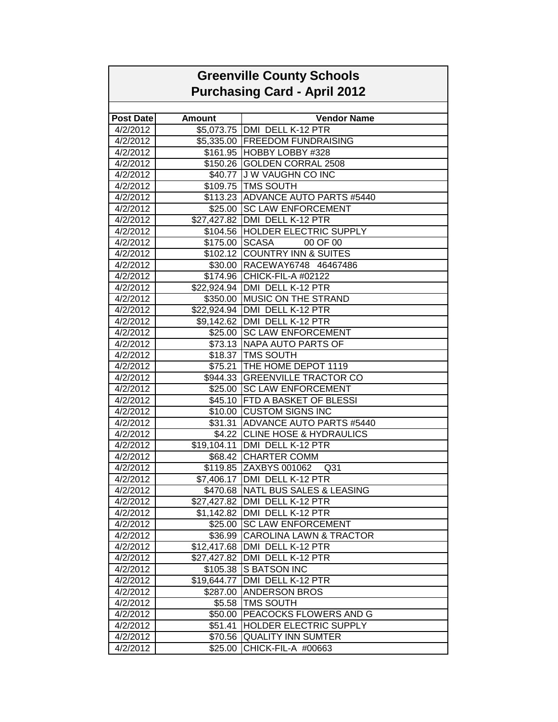| <b>Greenville County Schools</b><br><b>Purchasing Card - April 2012</b> |                    |                                                                |  |
|-------------------------------------------------------------------------|--------------------|----------------------------------------------------------------|--|
|                                                                         |                    |                                                                |  |
| <b>Post Date</b>                                                        | <b>Amount</b>      | <b>Vendor Name</b>                                             |  |
| 4/2/2012                                                                |                    | \$5,073.75 DMI DELL K-12 PTR                                   |  |
| 4/2/2012                                                                |                    | \$5,335.00 FREEDOM FUNDRAISING                                 |  |
| 4/2/2012                                                                |                    | \$161.95 HOBBY LOBBY #328                                      |  |
| 4/2/2012                                                                |                    | \$150.26 GOLDEN CORRAL 2508                                    |  |
| 4/2/2012                                                                |                    | \$40.77 J W VAUGHN CO INC                                      |  |
| 4/2/2012                                                                |                    | \$109.75 TMS SOUTH                                             |  |
| 4/2/2012                                                                |                    | \$113.23 ADVANCE AUTO PARTS #5440                              |  |
| 4/2/2012                                                                |                    | \$25.00 SC LAW ENFORCEMENT                                     |  |
| 4/2/2012                                                                |                    | \$27,427.82   DMI DELL K-12 PTR                                |  |
| 4/2/2012                                                                |                    | \$104.56 HOLDER ELECTRIC SUPPLY                                |  |
| 4/2/2012                                                                | \$175.00 SCASA     | 00 OF 00                                                       |  |
| 4/2/2012                                                                |                    | \$102.12 COUNTRY INN & SUITES                                  |  |
| 4/2/2012                                                                |                    | \$30.00 RACEWAY6748 46467486                                   |  |
| 4/2/2012                                                                |                    | \$174.96 CHICK-FIL-A #02122                                    |  |
| 4/2/2012                                                                |                    | \$22,924.94   DMI DELL K-12 PTR                                |  |
| 4/2/2012                                                                |                    | \$350.00 MUSIC ON THE STRAND                                   |  |
| 4/2/2012                                                                |                    | \$22,924.94 DMI DELL K-12 PTR                                  |  |
| 4/2/2012                                                                |                    | \$9,142.62 DMI DELL K-12 PTR                                   |  |
| 4/2/2012                                                                |                    | \$25.00 SC LAW ENFORCEMENT                                     |  |
| 4/2/2012                                                                |                    | \$73.13 NAPA AUTO PARTS OF                                     |  |
| 4/2/2012                                                                |                    | \$18.37 TMS SOUTH                                              |  |
| 4/2/2012                                                                |                    | \$75.21 THE HOME DEPOT 1119                                    |  |
| 4/2/2012                                                                |                    | \$944.33 GREENVILLE TRACTOR CO                                 |  |
| 4/2/2012                                                                |                    | \$25.00 SC LAW ENFORCEMENT                                     |  |
| 4/2/2012                                                                | \$45.10            | <b>FTD A BASKET OF BLESSI</b>                                  |  |
| 4/2/2012                                                                |                    | \$10.00 CUSTOM SIGNS INC                                       |  |
| 4/2/2012                                                                |                    | \$31.31 ADVANCE AUTO PARTS #5440                               |  |
| 4/2/2012                                                                |                    | \$4.22 CLINE HOSE & HYDRAULICS                                 |  |
| 4/2/2012                                                                |                    | \$19,104.11   DMI DELL K-12 PTR                                |  |
| 4/2/2012                                                                |                    | \$68.42 CHARTER COMM                                           |  |
| 4/2/2012                                                                |                    | \$119.85 ZAXBYS 001062<br>Q <sub>31</sub>                      |  |
| 4/2/2012                                                                |                    | \$7,406.17 DMI DELL K-12 PTR                                   |  |
| 4/2/2012                                                                |                    | \$470.68 NATL BUS SALES & LEASING                              |  |
| 4/2/2012                                                                | \$27,427.82        | DMI DELL K-12 PTR                                              |  |
| 4/2/2012                                                                | \$1,142.82         | DMI DELL K-12 PTR                                              |  |
| 4/2/2012                                                                | \$25.00            | <b>SC LAW ENFORCEMENT</b>                                      |  |
| 4/2/2012                                                                |                    | \$36.99 CAROLINA LAWN & TRACTOR                                |  |
| 4/2/2012                                                                |                    | \$12,417.68   DMI DELL K-12 PTR                                |  |
| 4/2/2012                                                                |                    | \$27,427.82 DMI DELL K-12 PTR                                  |  |
| 4/2/2012                                                                |                    | \$105.38 S BATSON INC                                          |  |
| 4/2/2012                                                                | \$19,644.77        | DMI DELL K-12 PTR                                              |  |
| 4/2/2012                                                                | \$287.00           | <b>ANDERSON BROS</b>                                           |  |
| 4/2/2012                                                                | \$5.58             | <b>TMS SOUTH</b>                                               |  |
| 4/2/2012<br>4/2/2012                                                    | \$50.00<br>\$51.41 | <b>PEACOCKS FLOWERS AND G</b><br><b>HOLDER ELECTRIC SUPPLY</b> |  |
| 4/2/2012                                                                |                    | \$70.56 QUALITY INN SUMTER                                     |  |
| 4/2/2012                                                                | \$25.00            | CHICK-FIL-A #00663                                             |  |
|                                                                         |                    |                                                                |  |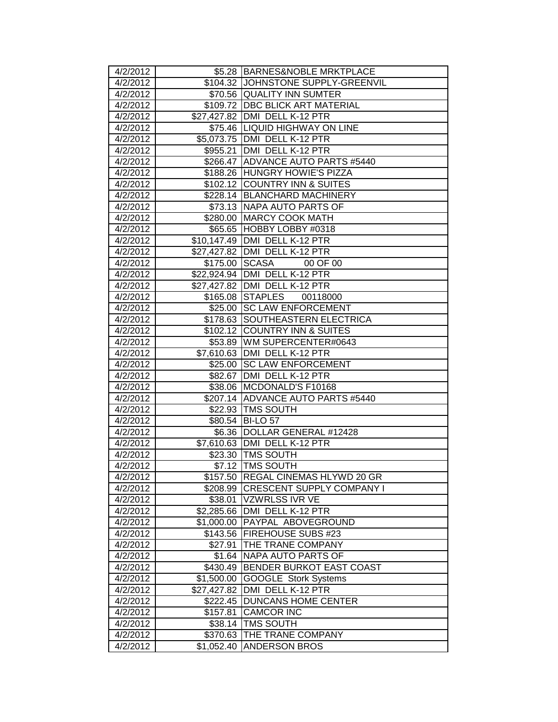| 4/2/2012             |             | \$5.28 BARNES&NOBLE MRKTPLACE                                            |
|----------------------|-------------|--------------------------------------------------------------------------|
| 4/2/2012             |             | \$104.32 JJOHNSTONE SUPPLY-GREENVIL                                      |
| 4/2/2012             |             | \$70.56 QUALITY INN SUMTER                                               |
| 4/2/2012             |             | \$109.72   DBC BLICK ART MATERIAL                                        |
| 4/2/2012             |             | \$27,427.82 DMI DELL K-12 PTR                                            |
| 4/2/2012             |             | \$75.46  LIQUID HIGHWAY ON LINE                                          |
| 4/2/2012             |             | \$5,073.75 DMI DELL K-12 PTR                                             |
| 4/2/2012             | \$955.21    | DMI DELL K-12 PTR                                                        |
| 4/2/2012             |             | \$266.47 ADVANCE AUTO PARTS #5440                                        |
| 4/2/2012             |             | \$188.26 HUNGRY HOWIE'S PIZZA                                            |
| 4/2/2012             |             | \$102.12 COUNTRY INN & SUITES                                            |
| 4/2/2012             |             | \$228.14 BLANCHARD MACHINERY                                             |
| 4/2/2012             |             | \$73.13   NAPA AUTO PARTS OF                                             |
| 4/2/2012             |             | \$280.00 MARCY COOK MATH                                                 |
| 4/2/2012             |             | \$65.65 HOBBY LOBBY #0318                                                |
| 4/2/2012             |             | \$10,147.49   DMI DELL K-12 PTR                                          |
| 4/2/2012             |             | \$27,427.82   DMI DELL K-12 PTR                                          |
| 4/2/2012             |             | \$175.00 SCASA<br>00 OF 00                                               |
| 4/2/2012             |             | \$22,924.94   DMI DELL K-12 PTR                                          |
| 4/2/2012             |             | \$27,427.82 DMI DELL K-12 PTR                                            |
| 4/2/2012             |             | \$165.08 STAPLES<br>00118000                                             |
| 4/2/2012             |             | \$25.00 SC LAW ENFORCEMENT                                               |
| 4/2/2012             |             | \$178.63 SOUTHEASTERN ELECTRICA                                          |
| 4/2/2012             |             | \$102.12 COUNTRY INN & SUITES                                            |
| 4/2/2012             |             | \$53.89   WM SUPERCENTER#0643                                            |
| 4/2/2012             |             | \$7,610.63 DMI DELL K-12 PTR                                             |
| 4/2/2012             | \$25.00     | <b>SC LAW ENFORCEMENT</b>                                                |
| 4/2/2012             |             | \$82.67   DMI DELL K-12 PTR                                              |
| 4/2/2012             |             | \$38.06 MCDONALD'S F10168                                                |
| 4/2/2012             |             | \$207.14 ADVANCE AUTO PARTS #5440                                        |
| 4/2/2012             |             | \$22.93 TMS SOUTH                                                        |
| 4/2/2012             |             | \$80.54 BI-LO 57                                                         |
| 4/2/2012             | \$6.36      | DOLLAR GENERAL #12428                                                    |
| 4/2/2012             |             | \$7,610.63 DMI DELL K-12 PTR                                             |
| 4/2/2012             |             | \$23.30   TMS SOUTH                                                      |
| 4/2/2012             |             | \$7.12   TMS SOUTH                                                       |
| 4/2/2012<br>4/2/2012 |             | \$157.50 REGAL CINEMAS HLYWD 20 GR<br>\$208.99 CRESCENT SUPPLY COMPANY I |
| 4/2/2012             |             | \$38.01 VZWRLSS IVR VE                                                   |
| 4/2/2012             | \$2,285.66  | DMI DELL K-12 PTR                                                        |
| 4/2/2012             | \$1,000.00  | <b>PAYPAL ABOVEGROUND</b>                                                |
| 4/2/2012             | \$143.56    | <b>FIREHOUSE SUBS #23</b>                                                |
| 4/2/2012             | \$27.91     | <b>THE TRANE COMPANY</b>                                                 |
| 4/2/2012             | \$1.64      | <b>NAPA AUTO PARTS OF</b>                                                |
| 4/2/2012             | \$430.49    | <b>BENDER BURKOT EAST COAST</b>                                          |
| 4/2/2012             | \$1,500.00  | GOOGLE Stork Systems                                                     |
| 4/2/2012             | \$27,427.82 | DMI DELL K-12 PTR                                                        |
| 4/2/2012             | \$222.45    | <b>DUNCANS HOME CENTER</b>                                               |
| 4/2/2012             | \$157.81    | <b>CAMCOR INC</b>                                                        |
| 4/2/2012             | \$38.14     | <b>TMS SOUTH</b>                                                         |
| 4/2/2012             | \$370.63    | <b>THE TRANE COMPANY</b>                                                 |
| 4/2/2012             | \$1,052.40  | <b>ANDERSON BROS</b>                                                     |
|                      |             |                                                                          |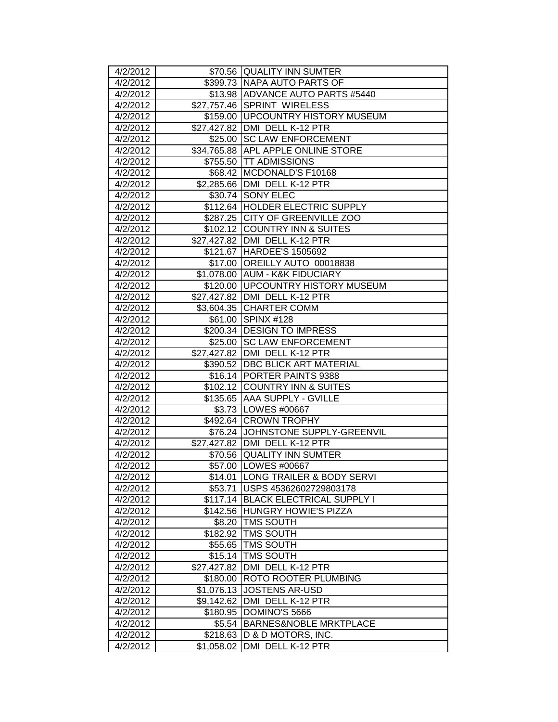| 4/2/2012 |             | \$70.56 QUALITY INN SUMTER          |
|----------|-------------|-------------------------------------|
| 4/2/2012 |             | \$399.73 INAPA AUTO PARTS OF        |
| 4/2/2012 |             | \$13.98 ADVANCE AUTO PARTS #5440    |
| 4/2/2012 |             | \$27,757.46 SPRINT WIRELESS         |
| 4/2/2012 |             | \$159.00   UPCOUNTRY HISTORY MUSEUM |
| 4/2/2012 |             | \$27,427.82 DMI DELL K-12 PTR       |
| 4/2/2012 | \$25.00     | <b>SC LAW ENFORCEMENT</b>           |
| 4/2/2012 |             | \$34,765.88 APL APPLE ONLINE STORE  |
| 4/2/2012 |             | \$755.50 TT ADMISSIONS              |
| 4/2/2012 |             | \$68.42 MCDONALD'S F10168           |
| 4/2/2012 |             | \$2,285.66 DMI DELL K-12 PTR        |
| 4/2/2012 | \$30.74     | <b>SONY ELEC</b>                    |
| 4/2/2012 |             | \$112.64  HOLDER ELECTRIC SUPPLY    |
| 4/2/2012 |             | \$287.25 CITY OF GREENVILLE ZOO     |
| 4/2/2012 |             | \$102.12 COUNTRY INN & SUITES       |
| 4/2/2012 |             | \$27,427.82 DMI DELL K-12 PTR       |
| 4/2/2012 |             | \$121.67   HARDEE'S 1505692         |
| 4/2/2012 |             | \$17.00 OREILLY AUTO 00018838       |
| 4/2/2012 |             | \$1,078.00 AUM - K&K FIDUCIARY      |
| 4/2/2012 |             | \$120.00   UPCOUNTRY HISTORY MUSEUM |
| 4/2/2012 |             | \$27,427.82 DMI DELL K-12 PTR       |
| 4/2/2012 |             | \$3,604.35 CHARTER COMM             |
| 4/2/2012 |             | \$61.00 SPINX #128                  |
| 4/2/2012 |             | \$200.34   DESIGN TO IMPRESS        |
| 4/2/2012 | \$25.00     | <b>SC LAW ENFORCEMENT</b>           |
| 4/2/2012 |             | \$27,427.82 DMI DELL K-12 PTR       |
| 4/2/2012 |             | \$390.52 DBC BLICK ART MATERIAL     |
| 4/2/2012 |             | \$16.14 PORTER PAINTS 9388          |
| 4/2/2012 |             | \$102.12 COUNTRY INN & SUITES       |
| 4/2/2012 |             | \$135.65 AAA SUPPLY - GVILLE        |
| 4/2/2012 |             | \$3.73   LOWES #00667               |
| 4/2/2012 |             | \$492.64 CROWN TROPHY               |
| 4/2/2012 |             | \$76.24 JJOHNSTONE SUPPLY-GREENVIL  |
| 4/2/2012 |             | \$27,427.82 DMI DELL K-12 PTR       |
| 4/2/2012 |             | \$70.56 QUALITY INN SUMTER          |
| 4/2/2012 |             | \$57.00 LOWES #00667                |
| 4/2/2012 |             | \$14.01 LONG TRAILER & BODY SERVI   |
| 4/2/2012 | \$53.71     | USPS 45362602729803178              |
| 4/2/2012 | \$117.14    | <b>BLACK ELECTRICAL SUPPLY I</b>    |
| 4/2/2012 | \$142.56    | <b>HUNGRY HOWIE'S PIZZA</b>         |
| 4/2/2012 | \$8.20      | <b>TMS SOUTH</b>                    |
| 4/2/2012 | \$182.92    | <b>TMS SOUTH</b>                    |
| 4/2/2012 | \$55.65     | <b>TMS SOUTH</b>                    |
| 4/2/2012 | \$15.14     | <b>TMS SOUTH</b>                    |
| 4/2/2012 | \$27,427.82 | DMI DELL K-12 PTR                   |
| 4/2/2012 | \$180.00    | ROTO ROOTER PLUMBING                |
| 4/2/2012 | \$1,076.13  | <b>JOSTENS AR-USD</b>               |
| 4/2/2012 | \$9,142.62  | DMI DELL K-12 PTR                   |
| 4/2/2012 | \$180.95    | DOMINO'S 5666                       |
| 4/2/2012 | \$5.54      | <b>BARNES&amp;NOBLE MRKTPLACE</b>   |
| 4/2/2012 | \$218.63    | D & D MOTORS, INC.                  |
| 4/2/2012 | \$1,058.02  | DMI DELL K-12 PTR                   |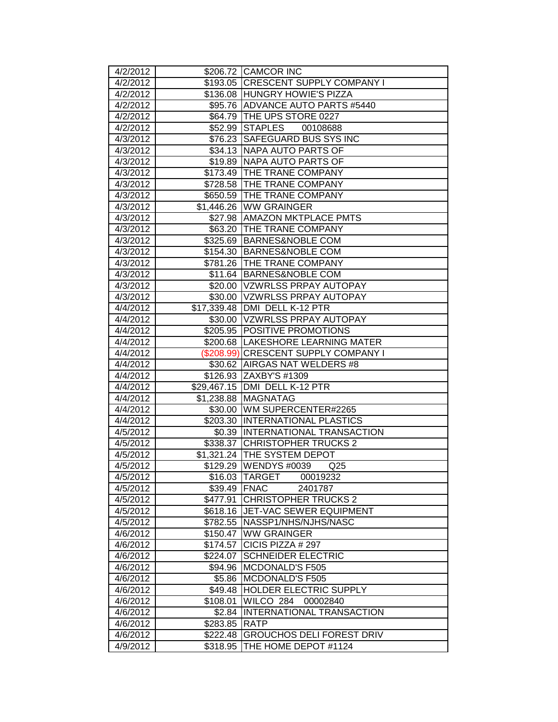| 4/2/2012 |             | \$206.72 CAMCOR INC                  |
|----------|-------------|--------------------------------------|
| 4/2/2012 |             | \$193.05 CRESCENT SUPPLY COMPANY I   |
| 4/2/2012 |             | \$136.08 HUNGRY HOWIE'S PIZZA        |
| 4/2/2012 |             | \$95.76 ADVANCE AUTO PARTS #5440     |
| 4/2/2012 |             | \$64.79 THE UPS STORE 0227           |
| 4/2/2012 |             | 00108688<br>\$52.99 STAPLES          |
| 4/3/2012 |             | \$76.23 SAFEGUARD BUS SYS INC        |
| 4/3/2012 | \$34.13     | <b>NAPA AUTO PARTS OF</b>            |
| 4/3/2012 | \$19.89     | NAPA AUTO PARTS OF                   |
| 4/3/2012 |             | \$173.49 THE TRANE COMPANY           |
| 4/3/2012 |             | \$728.58 THE TRANE COMPANY           |
| 4/3/2012 | \$650.59    | <b>THE TRANE COMPANY</b>             |
| 4/3/2012 |             | \$1,446.26 WW GRAINGER               |
| 4/3/2012 |             | \$27.98   AMAZON MKTPLACE PMTS       |
| 4/3/2012 | \$63.20     | <b>THE TRANE COMPANY</b>             |
| 4/3/2012 | \$325.69    | <b>BARNES&amp;NOBLE COM</b>          |
| 4/3/2012 | \$154.30    | <b>BARNES&amp;NOBLE COM</b>          |
| 4/3/2012 | \$781.26    | <b>THE TRANE COMPANY</b>             |
| 4/3/2012 | \$11.64     | BARNES&NOBLE COM                     |
| 4/3/2012 |             | \$20.00 VZWRLSS PRPAY AUTOPAY        |
| 4/3/2012 |             | \$30.00 VZWRLSS PRPAY AUTOPAY        |
| 4/4/2012 |             | \$17,339.48 DMI DELL K-12 PTR        |
| 4/4/2012 |             | \$30.00 VZWRLSS PRPAY AUTOPAY        |
| 4/4/2012 |             | \$205.95 POSITIVE PROMOTIONS         |
| 4/4/2012 |             | \$200.68  LAKESHORE LEARNING MATER   |
| 4/4/2012 |             | (\$208.99) CRESCENT SUPPLY COMPANY I |
| 4/4/2012 | \$30.62     | AIRGAS NAT WELDERS #8                |
| 4/4/2012 | \$126.93    | ZAXBY'S #1309                        |
| 4/4/2012 | \$29,467.15 | DMI DELL K-12 PTR                    |
| 4/4/2012 | \$1,238.88  | <b>MAGNATAG</b>                      |
| 4/4/2012 | \$30.00     | WM SUPERCENTER#2265                  |
| 4/4/2012 | \$203.30    | <b>INTERNATIONAL PLASTICS</b>        |
| 4/5/2012 | \$0.39      | <b>INTERNATIONAL TRANSACTION</b>     |
| 4/5/2012 | \$338.37    | <b>CHRISTOPHER TRUCKS 2</b>          |
| 4/5/2012 | \$1,321.24  | <b>THE SYSTEM DEPOT</b>              |
| 4/5/2012 | \$129.29    | WENDYS#0039<br>Q <sub>25</sub>       |
| 4/5/2012 |             | \$16.03   TARGET<br>00019232         |
| 4/5/2012 | \$39.49     | <b>IFNAC</b><br>2401787              |
| 4/5/2012 | \$477.91    | <b>CHRISTOPHER TRUCKS 2</b>          |
| 4/5/2012 | \$618.16    | <b>JET-VAC SEWER EQUIPMENT</b>       |
| 4/5/2012 | \$782.55    | NASSP1/NHS/NJHS/NASC                 |
| 4/6/2012 | \$150.47    | <b>WW GRAINGER</b>                   |
| 4/6/2012 | \$174.57    | CICIS PIZZA # 297                    |
| 4/6/2012 | \$224.07    | <b>SCHNEIDER ELECTRIC</b>            |
| 4/6/2012 | \$94.96     | <b>MCDONALD'S F505</b>               |
| 4/6/2012 | \$5.86      | <b>MCDONALD'S F505</b>               |
| 4/6/2012 | \$49.48     | HOLDER ELECTRIC SUPPLY               |
| 4/6/2012 | \$108.01    | WILCO 284<br>00002840                |
| 4/6/2012 | \$2.84      | INTERNATIONAL TRANSACTION            |
| 4/6/2012 | \$283.85    | <b>RATP</b>                          |
| 4/6/2012 | \$222.48    | <b>GROUCHOS DELI FOREST DRIV</b>     |
| 4/9/2012 | \$318.95    | THE HOME DEPOT #1124                 |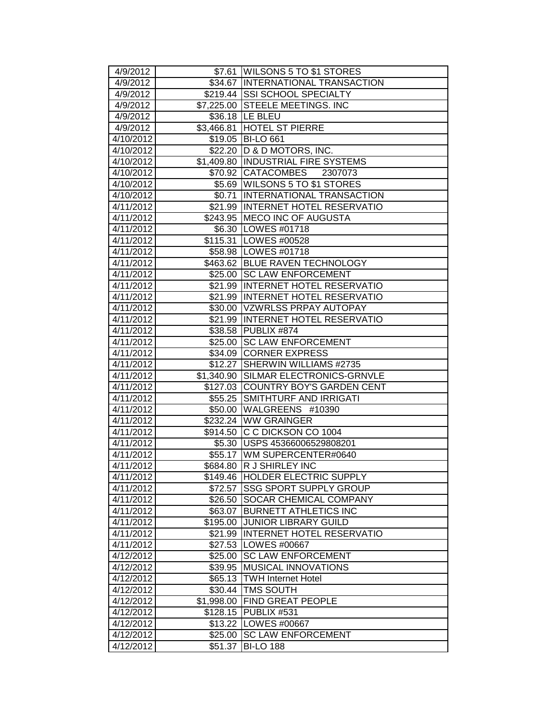| 4/9/2012               |                        | \$7.61   WILSONS 5 TO \$1 STORES              |
|------------------------|------------------------|-----------------------------------------------|
| 4/9/2012               |                        | \$34.67 INTERNATIONAL TRANSACTION             |
| 4/9/2012               |                        | \$219.44 SSI SCHOOL SPECIALTY                 |
| 4/9/2012               |                        | \$7,225.00 STEELE MEETINGS. INC               |
| 4/9/2012               |                        | \$36.18 LE BLEU                               |
| 4/9/2012               | $\overline{$3,466.81}$ | <b>HOTEL ST PIERRE</b>                        |
| 4/10/2012              |                        | \$19.05 BI-LO 661                             |
| 4/10/2012              |                        | \$22.20 D & D MOTORS, INC.                    |
| 4/10/2012              |                        | \$1,409.80 INDUSTRIAL FIRE SYSTEMS            |
| 4/10/2012              | \$70.92                | <b>CATACOMBES</b><br>2307073                  |
| 4/10/2012              |                        | \$5.69 WILSONS 5 TO \$1 STORES                |
| 4/10/2012              |                        | \$0.71   INTERNATIONAL TRANSACTION            |
| 4/11/2012              |                        | \$21.99 INTERNET HOTEL RESERVATIO             |
| 4/11/2012              |                        | \$243.95 MECO INC OF AUGUSTA                  |
| 4/11/2012              |                        | \$6.30   LOWES #01718                         |
| 4/11/2012              |                        | \$115.31 LOWES #00528                         |
| 4/11/2012              |                        | \$58.98   LOWES #01718                        |
| 4/11/2012              |                        | \$463.62 BLUE RAVEN TECHNOLOGY                |
| 4/11/2012              |                        | \$25.00 SC LAW ENFORCEMENT                    |
| 4/11/2012              |                        | \$21.99 INTERNET HOTEL RESERVATIO             |
| 4/11/2012              |                        | \$21.99 INTERNET HOTEL RESERVATIO             |
| 4/11/2012              |                        | \$30.00 VZWRLSS PRPAY AUTOPAY                 |
| 4/11/2012              |                        | \$21.99 INTERNET HOTEL RESERVATIO             |
| 4/11/2012              | \$38.58                | <b>PUBLIX #874</b>                            |
| 4/11/2012              | \$25.00                | <b>SC LAW ENFORCEMENT</b>                     |
| 4/11/2012              | \$34.09                | <b>CORNER EXPRESS</b>                         |
| 4/11/2012              | \$12.27                | SHERWIN WILLIAMS #2735                        |
| 4/11/2012              | \$1,340.90             | SILMAR ELECTRONICS-GRNVLE                     |
| $\frac{1}{4}$ 1/2012   |                        | \$127.03 COUNTRY BOY'S GARDEN CENT            |
| 4/11/2012              | \$55.25                | <b>SMITHTURF AND IRRIGATI</b>                 |
| 4/11/2012              |                        |                                               |
|                        |                        | \$50.00 WALGREENS #10390                      |
| 4/11/2012              |                        | \$232.24 WW GRAINGER                          |
| 4/11/2012              |                        | \$914.50 C C DICKSON CO 1004                  |
| 4/11/2012              |                        | \$5.30   USPS 45366006529808201               |
| 4/11/2012              |                        | \$55.17   WM SUPERCENTER#0640                 |
| 4/11/2012              |                        | \$684.80 R J SHIRLEY INC                      |
| 4/11/2012              |                        | \$149.46 HOLDER ELECTRIC SUPPLY               |
| 4/11/2012              | \$72.57                | <b>ISSG SPORT SUPPLY GROUP</b>                |
| 4/11/2012              | \$26.50                | <b>SOCAR CHEMICAL COMPANY</b>                 |
| 4/11/2012              | \$63.07                | <b>BURNETT ATHLETICS INC</b>                  |
| 4/11/2012              | \$195.00               | <b>JUNIOR LIBRARY GUILD</b>                   |
| 4/11/2012              | \$21.99                | <b>INTERNET HOTEL RESERVATIO</b>              |
| 4/11/2012              | \$27.53                | LOWES #00667                                  |
| 4/12/2012              | \$25.00                | <b>SC LAW ENFORCEMENT</b>                     |
| 4/12/2012              | \$39.95                | <b>MUSICAL INNOVATIONS</b>                    |
| 4/12/2012              | \$65.13                | <b>TWH Internet Hotel</b>                     |
| 4/12/2012              | \$30.44                | <b>TMS SOUTH</b>                              |
| 4/12/2012              | \$1,998.00             | <b>FIND GREAT PEOPLE</b>                      |
| 4/12/2012              | \$128.15               | PUBLIX #531                                   |
| 4/12/2012              |                        | \$13.22   LOWES #00667                        |
| 4/12/2012<br>4/12/2012 | \$25.00<br>\$51.37     | <b>SC LAW ENFORCEMENT</b><br><b>BI-LO 188</b> |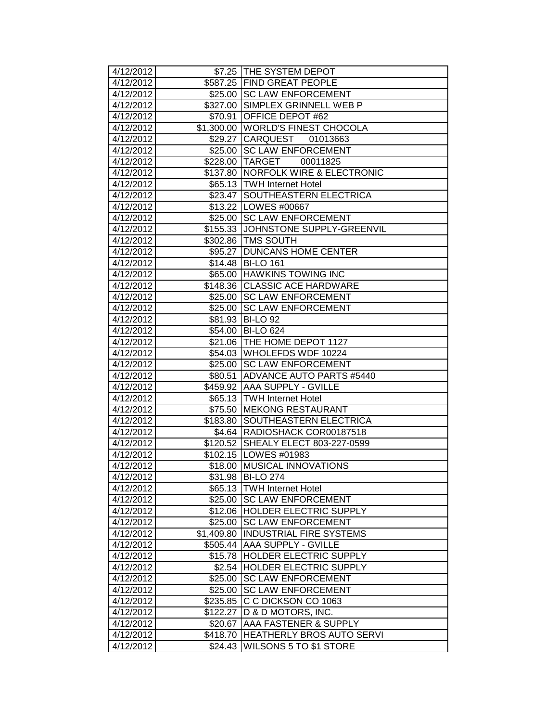| 4/12/2012 |            | \$7.25 THE SYSTEM DEPOT              |
|-----------|------------|--------------------------------------|
| 4/12/2012 |            | \$587.25 FIND GREAT PEOPLE           |
| 4/12/2012 |            | \$25.00 SC LAW ENFORCEMENT           |
| 4/12/2012 |            | \$327.00 SIMPLEX GRINNELL WEB P      |
| 4/12/2012 | \$70.91    | <b>OFFICE DEPOT #62</b>              |
| 4/12/2012 |            | \$1,300.00 WORLD'S FINEST CHOCOLA    |
| 4/12/2012 | \$29.27    | CARQUEST 01013663                    |
| 4/12/2012 | \$25.00    | <b>SC LAW ENFORCEMENT</b>            |
| 4/12/2012 | \$228.00   | TARGET<br>00011825                   |
| 4/12/2012 | \$137.80   | <b>NORFOLK WIRE &amp; ELECTRONIC</b> |
| 4/12/2012 | \$65.13    | <b>TWH Internet Hotel</b>            |
| 4/12/2012 | \$23.47    | SOUTHEASTERN ELECTRICA               |
| 4/12/2012 |            | \$13.22   LOWES #00667               |
| 4/12/2012 | \$25.00    | <b>SC LAW ENFORCEMENT</b>            |
| 4/12/2012 |            | \$155.33 JJOHNSTONE SUPPLY-GREENVIL  |
| 4/12/2012 | \$302.86   | <b>TMS SOUTH</b>                     |
| 4/12/2012 | \$95.27    | <b>DUNCANS HOME CENTER</b>           |
| 4/12/2012 | \$14.48    | <b>BI-LO 161</b>                     |
| 4/12/2012 | \$65.00    | <b>HAWKINS TOWING INC</b>            |
| 4/12/2012 |            | \$148.36 CLASSIC ACE HARDWARE        |
| 4/12/2012 | \$25.00    | <b>SC LAW ENFORCEMENT</b>            |
| 4/12/2012 | \$25.00    | <b>SC LAW ENFORCEMENT</b>            |
| 4/12/2012 | \$81.93    | <b>BI-LO 92</b>                      |
| 4/12/2012 | \$54.00    | <b>BI-LO 624</b>                     |
| 4/12/2012 | \$21.06    | THE HOME DEPOT 1127                  |
| 4/12/2012 | \$54.03    | WHOLEFDS WDF 10224                   |
| 4/12/2012 | \$25.00    | <b>SC LAW ENFORCEMENT</b>            |
| 4/12/2012 | \$80.51    | <b>ADVANCE AUTO PARTS #5440</b>      |
| 4/12/2012 |            | \$459.92 AAA SUPPLY - GVILLE         |
| 4/12/2012 | \$65.13    | <b>TWH Internet Hotel</b>            |
| 4/12/2012 | \$75.50    | <b>MEKONG RESTAURANT</b>             |
| 4/12/2012 | \$183.80   | SOUTHEASTERN ELECTRICA               |
| 4/12/2012 | \$4.64     | RADIOSHACK COR00187518               |
| 4/12/2012 | \$120.52   | SHEALY ELECT 803-227-0599            |
| 4/12/2012 | \$102.15   | <b>LOWES #01983</b>                  |
| 4/12/2012 | \$18.00    | MUSICAL INNOVATIONS                  |
| 4/12/2012 |            | \$31.98 BI-LO 274                    |
| 4/12/2012 | \$65.13    | <b>TWH Internet Hotel</b>            |
| 4/12/2012 | \$25.00    | <b>SC LAW ENFORCEMENT</b>            |
| 4/12/2012 | \$12.06    | <b>HOLDER ELECTRIC SUPPLY</b>        |
| 4/12/2012 | \$25.00    | <b>SC LAW ENFORCEMENT</b>            |
| 4/12/2012 | \$1,409.80 | <b>INDUSTRIAL FIRE SYSTEMS</b>       |
| 4/12/2012 | \$505.44   | AAA SUPPLY - GVILLE                  |
| 4/12/2012 | \$15.78    | <b>HOLDER ELECTRIC SUPPLY</b>        |
| 4/12/2012 | \$2.54     | HOLDER ELECTRIC SUPPLY               |
| 4/12/2012 | \$25.00    | <b>SC LAW ENFORCEMENT</b>            |
| 4/12/2012 | \$25.00    | <b>SC LAW ENFORCEMENT</b>            |
| 4/12/2012 | \$235.85   | C C DICKSON CO 1063                  |
| 4/12/2012 | \$122.27   | D & D MOTORS, INC.                   |
| 4/12/2012 | \$20.67    | AAA FASTENER & SUPPLY                |
| 4/12/2012 | \$418.70   | <b>HEATHERLY BROS AUTO SERVI</b>     |
| 4/12/2012 | \$24.43    | WILSONS 5 TO \$1 STORE               |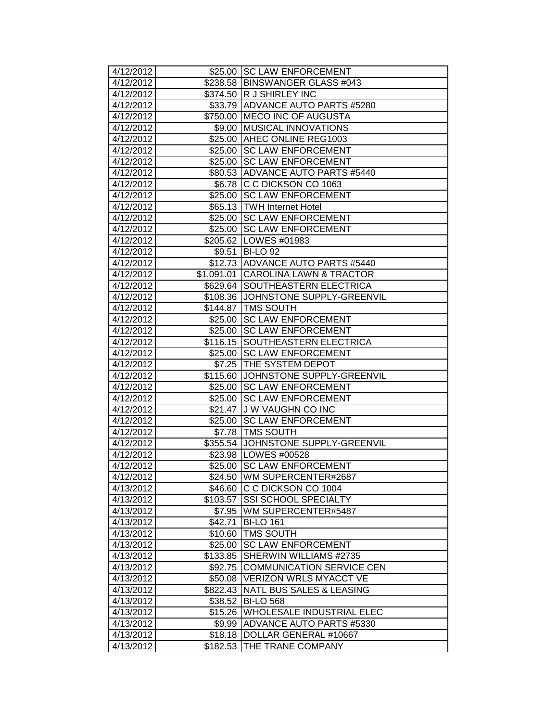| 4/12/2012 |                     | \$25.00 SC LAW ENFORCEMENT          |
|-----------|---------------------|-------------------------------------|
| 4/12/2012 |                     | \$238.58 BINSWANGER GLASS #043      |
| 4/12/2012 |                     | \$374.50 R J SHIRLEY INC            |
| 4/12/2012 |                     | \$33.79 ADVANCE AUTO PARTS #5280    |
| 4/12/2012 |                     | \$750.00 MECO INC OF AUGUSTA        |
| 4/12/2012 |                     | \$9.00 MUSICAL INNOVATIONS          |
| 4/12/2012 |                     | \$25.00 AHEC ONLINE REG1003         |
| 4/12/2012 | \$25.00             | <b>SC LAW ENFORCEMENT</b>           |
| 4/12/2012 | \$25.00             | <b>SC LAW ENFORCEMENT</b>           |
| 4/12/2012 |                     | \$80.53 ADVANCE AUTO PARTS #5440    |
| 4/12/2012 |                     | \$6.78 C C DICKSON CO 1063          |
| 4/12/2012 | \$25.00             | <b>SC LAW ENFORCEMENT</b>           |
| 4/12/2012 |                     | \$65.13 TWH Internet Hotel          |
| 4/12/2012 |                     | \$25.00 SC LAW ENFORCEMENT          |
| 4/12/2012 |                     | \$25.00 SC LAW ENFORCEMENT          |
| 4/12/2012 |                     | \$205.62   LOWES #01983             |
| 4/12/2012 | \$9.51              | <b>BI-LO 92</b>                     |
| 4/12/2012 |                     | \$12.73 ADVANCE AUTO PARTS #5440    |
| 4/12/2012 |                     | \$1,091.01 CAROLINA LAWN & TRACTOR  |
| 4/12/2012 |                     | \$629.64 SOUTHEASTERN ELECTRICA     |
| 4/12/2012 |                     | \$108.36 JJOHNSTONE SUPPLY-GREENVIL |
| 4/12/2012 |                     | \$144.87   TMS SOUTH                |
| 4/12/2012 | \$25.00             | <b>SC LAW ENFORCEMENT</b>           |
| 4/12/2012 | \$25.00             | <b>SC LAW ENFORCEMENT</b>           |
| 4/12/2012 | \$116.15            | <b>SOUTHEASTERN ELECTRICA</b>       |
| 4/12/2012 | \$25.00             | <b>SC LAW ENFORCEMENT</b>           |
| 4/12/2012 | \$7.25              | <b>THE SYSTEM DEPOT</b>             |
| 4/12/2012 | \$115.60            | <b>JOHNSTONE SUPPLY-GREENVIL</b>    |
| 4/12/2012 | $\overline{$}25.00$ | <b>SC LAW ENFORCEMENT</b>           |
| 4/12/2012 | \$25.00             | <b>SC LAW ENFORCEMENT</b>           |
| 4/12/2012 | $\overline{$}21.47$ | <b>JW VAUGHN CO INC</b>             |
| 4/12/2012 | \$25.00             | <b>SC LAW ENFORCEMENT</b>           |
| 4/12/2012 |                     | \$7.78   TMS SOUTH                  |
| 4/12/2012 | \$355.54            | JOHNSTONE SUPPLY-GREENVIL           |
| 4/12/2012 |                     | \$23.98   LOWES #00528              |
| 4/12/2012 | $$25.00$            | <b>SC LAW ENFORCEMENT</b>           |
| 4/12/2012 |                     | \$24.50 JWM SUPERCENTER#2687        |
| 4/13/2012 |                     | \$46.60 C C DICKSON CO 1004         |
| 4/13/2012 | \$103.57            | <b>SSI SCHOOL SPECIALTY</b>         |
| 4/13/2012 | \$7.95              | WM SUPERCENTER#5487                 |
| 4/13/2012 | \$42.71             | <b>BI-LO 161</b>                    |
| 4/13/2012 | \$10.60             | <b>TMS SOUTH</b>                    |
| 4/13/2012 | \$25.00             | <b>SC LAW ENFORCEMENT</b>           |
| 4/13/2012 | \$133.85            | SHERWIN WILLIAMS #2735              |
| 4/13/2012 | \$92.75             | <b>COMMUNICATION SERVICE CEN</b>    |
| 4/13/2012 | \$50.08             | <b>VERIZON WRLS MYACCT VE</b>       |
| 4/13/2012 |                     | \$822.43   NATL BUS SALES & LEASING |
| 4/13/2012 | \$38.52             | <b>BI-LO 568</b>                    |
| 4/13/2012 | \$15.26             | WHOLESALE INDUSTRIAL ELEC           |
| 4/13/2012 | \$9.99              | <b>ADVANCE AUTO PARTS #5330</b>     |
| 4/13/2012 | \$18.18             | DOLLAR GENERAL #10667               |
| 4/13/2012 | \$182.53            | THE TRANE COMPANY                   |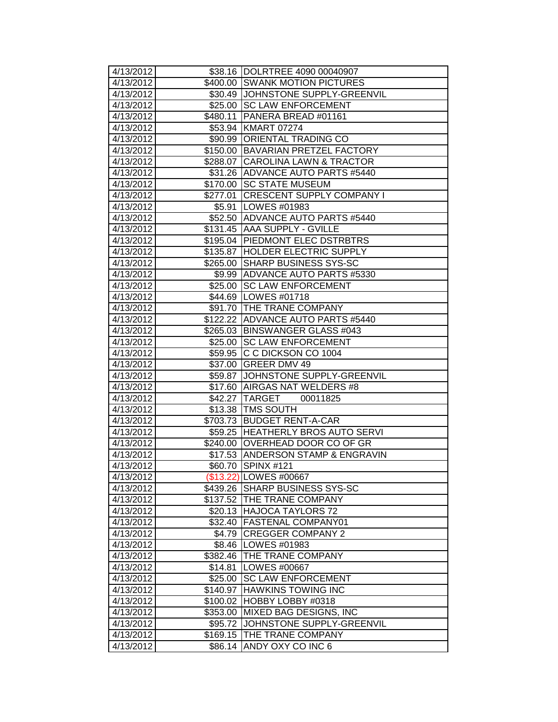| 4/13/2012           |                      | \$38.16   DOLRTREE 4090 00040907   |
|---------------------|----------------------|------------------------------------|
| 4/13/2012           |                      | \$400.00 SWANK MOTION PICTURES     |
| 4/13/2012           |                      | \$30.49 JOHNSTONE SUPPLY-GREENVIL  |
| $\frac{4}{13/2012}$ |                      | \$25.00 SC LAW ENFORCEMENT         |
| 4/13/2012           | $\overline{$}480.11$ | PANERA BREAD #01161                |
| 4/13/2012           |                      | \$53.94 KMART 07274                |
| 4/13/2012           | \$90.99              | <b>ORIENTAL TRADING CO</b>         |
| 4/13/2012           | \$150.00             | <b>BAVARIAN PRETZEL FACTORY</b>    |
| 4/13/2012           |                      | \$288.07 CAROLINA LAWN & TRACTOR   |
| 4/13/2012           |                      | \$31.26 ADVANCE AUTO PARTS #5440   |
| 4/13/2012           | \$170.00             | <b>SC STATE MUSEUM</b>             |
| 4/13/2012           | \$277.01             | <b>CRESCENT SUPPLY COMPANY I</b>   |
| 4/13/2012           |                      | \$5.91 LOWES #01983                |
| 4/13/2012           |                      | \$52.50 ADVANCE AUTO PARTS #5440   |
| 4/13/2012           |                      | \$131.45 AAA SUPPLY - GVILLE       |
| 4/13/2012           |                      | \$195.04 PIEDMONT ELEC DSTRBTRS    |
| 4/13/2012           |                      | \$135.87  HOLDER ELECTRIC SUPPLY   |
| 4/13/2012           | \$265.00             | <b>SHARP BUSINESS SYS-SC</b>       |
| 4/13/2012           |                      | \$9.99 ADVANCE AUTO PARTS #5330    |
| 4/13/2012           |                      | \$25.00 SC LAW ENFORCEMENT         |
| 4/13/2012           |                      | \$44.69   LOWES #01718             |
| 4/13/2012           |                      | \$91.70 THE TRANE COMPANY          |
| 4/13/2012           |                      | \$122.22 ADVANCE AUTO PARTS #5440  |
| 4/13/2012           |                      | \$265.03 BINSWANGER GLASS #043     |
| 4/13/2012           | \$25.00              | <b>SC LAW ENFORCEMENT</b>          |
| 4/13/2012           | \$59.95              | IC C DICKSON CO 1004               |
| 4/13/2012           | \$37.00              | <b>GREER DMV 49</b>                |
| 4/13/2012           |                      | \$59.87 JJOHNSTONE SUPPLY-GREENVIL |
| 4/13/2012           |                      | \$17.60 AIRGAS NAT WELDERS #8      |
| 4/13/2012           |                      | \$42.27 TARGET 00011825            |
| 4/13/2012           |                      | \$13.38   TMS SOUTH                |
| 4/13/2012           |                      | \$703.73 BUDGET RENT-A-CAR         |
| 4/13/2012           | \$59.25              | <b>HEATHERLY BROS AUTO SERVI</b>   |
| 4/13/2012           | \$240.00             | <b>OVERHEAD DOOR CO OF GR</b>      |
| 4/13/2012           |                      | \$17.53 ANDERSON STAMP & ENGRAVIN  |
| 4/13/2012           |                      | \$60.70 SPINX #121                 |
| 4/13/2012           |                      | (\$13.22) LOWES #00667             |
| 4/13/2012           |                      | \$439.26 SHARP BUSINESS SYS-SC     |
| 4/13/2012           |                      | \$137.52 THE TRANE COMPANY         |
| 4/13/2012           | \$20.13              | <b>HAJOCA TAYLORS 72</b>           |
| 4/13/2012           | \$32.40              | <b>FASTENAL COMPANY01</b>          |
| 4/13/2012           | \$4.79               | <b>CREGGER COMPANY 2</b>           |
| 4/13/2012           | \$8.46               | LOWES #01983                       |
| 4/13/2012           | \$382.46             | <b>THE TRANE COMPANY</b>           |
| 4/13/2012           | \$14.81              | LOWES #00667                       |
| 4/13/2012           | \$25.00              | <b>SC LAW ENFORCEMENT</b>          |
| 4/13/2012           | \$140.97             | <b>HAWKINS TOWING INC</b>          |
| 4/13/2012           | \$100.02             | HOBBY LOBBY #0318                  |
| 4/13/2012           | \$353.00             | MIXED BAG DESIGNS, INC             |
| 4/13/2012           | \$95.72              | JOHNSTONE SUPPLY-GREENVIL          |
| 4/13/2012           | \$169.15             | THE TRANE COMPANY                  |
| 4/13/2012           | \$86.14              | ANDY OXY CO INC 6                  |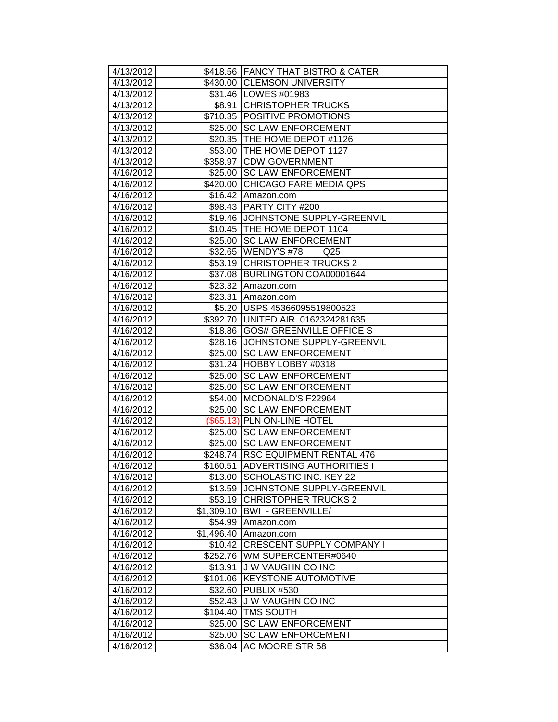| 4/13/2012              |                       | \$418.56 FANCY THAT BISTRO & CATER                           |
|------------------------|-----------------------|--------------------------------------------------------------|
| 4/13/2012              |                       | \$430.00 CLEMSON UNIVERSITY                                  |
| 4/13/2012              |                       | \$31.46   LOWES #01983                                       |
| 4/13/2012              |                       | \$8.91 CHRISTOPHER TRUCKS                                    |
| 4/13/2012              |                       | \$710.35 POSITIVE PROMOTIONS                                 |
| 4/13/2012              | \$25.00               | <b>SC LAW ENFORCEMENT</b>                                    |
| 4/13/2012              |                       | \$20.35 THE HOME DEPOT #1126                                 |
| 4/13/2012              | \$53.00               | <b>THE HOME DEPOT 1127</b>                                   |
| 4/13/2012              |                       | \$358.97 CDW GOVERNMENT                                      |
| 4/16/2012              | \$25.00               | <b>SC LAW ENFORCEMENT</b>                                    |
| 4/16/2012              | \$420.00              | <b>CHICAGO FARE MEDIA QPS</b>                                |
| 4/16/2012              | \$16.42               | Amazon.com                                                   |
| 4/16/2012              |                       | \$98.43 PARTY CITY #200                                      |
| 4/16/2012              |                       | \$19.46 JOHNSTONE SUPPLY-GREENVIL                            |
| 4/16/2012              |                       | \$10.45 THE HOME DEPOT 1104                                  |
| 4/16/2012              | \$25.00               | <b>SC LAW ENFORCEMENT</b>                                    |
| 4/16/2012              | \$32.65               | WENDY'S #78<br>Q <sub>25</sub>                               |
| 4/16/2012              | \$53.19               | <b>CHRISTOPHER TRUCKS 2</b>                                  |
| 4/16/2012              | \$37.08               | BURLINGTON COA00001644                                       |
| 4/16/2012              | \$23.32               | Amazon.com                                                   |
| 4/16/2012              | \$23.31               | <b>Amazon.com</b>                                            |
| 4/16/2012              | \$5.20                | USPS 45366095519800523                                       |
| 4/16/2012              | \$392.70              | UNITED AIR 0162324281635                                     |
| 4/16/2012              | \$18.86               | <b>GOS// GREENVILLE OFFICE S</b>                             |
| 4/16/2012              | \$28.16               | JOHNSTONE SUPPLY-GREENVIL                                    |
| 4/16/2012              | \$25.00               | <b>SC LAW ENFORCEMENT</b>                                    |
| 4/16/2012              | \$31.24               | HOBBY LOBBY #0318                                            |
| 4/16/2012              | \$25.00               | <b>SC LAW ENFORCEMENT</b>                                    |
| 4/16/2012              | \$25.00               | <b>SC LAW ENFORCEMENT</b>                                    |
| 4/16/2012              | \$54.00               | MCDONALD'S F22964                                            |
| 4/16/2012              | \$25.00               | <b>SC LAW ENFORCEMENT</b>                                    |
| 4/16/2012              |                       | $(\$65.13)$ PLN ON-LINE HOTEL                                |
| 4/16/2012              | \$25.00               | <b>SC LAW ENFORCEMENT</b>                                    |
| 4/16/2012<br>4/16/2012 | \$25.00               | <b>SC LAW ENFORCEMENT</b>                                    |
| 4/16/2012              | \$248.74]<br>\$160.51 | <b>RSC EQUIPMENT RENTAL 476</b><br>ADVERTISING AUTHORITIES I |
| 4/16/2012              |                       | \$13.00 SCHOLASTIC INC. KEY 22                               |
| 4/16/2012              | \$13.59               | JOHNSTONE SUPPLY-GREENVIL                                    |
| 4/16/2012              | \$53.19               | <b>CHRISTOPHER TRUCKS 2</b>                                  |
| 4/16/2012              | \$1,309.10            | <b>BWI - GREENVILLE/</b>                                     |
| 4/16/2012              | \$54.99               | Amazon.com                                                   |
| 4/16/2012              | \$1,496.40            | Amazon.com                                                   |
| 4/16/2012              | \$10.42               | <b>CRESCENT SUPPLY COMPANY I</b>                             |
| 4/16/2012              | \$252.76              | WM SUPERCENTER#0640                                          |
| 4/16/2012              | \$13.91               | <b>JW VAUGHN CO INC</b>                                      |
| 4/16/2012              | \$101.06              | <b>KEYSTONE AUTOMOTIVE</b>                                   |
| 4/16/2012              | \$32.60               | PUBLIX #530                                                  |
| 4/16/2012              |                       | \$52.43 J W VAUGHN CO INC                                    |
| 4/16/2012              | \$104.40              | <b>TMS SOUTH</b>                                             |
| 4/16/2012              | \$25.00               | <b>SC LAW ENFORCEMENT</b>                                    |
| 4/16/2012              | \$25.00               | <b>SC LAW ENFORCEMENT</b>                                    |
| 4/16/2012              | \$36.04               | AC MOORE STR 58                                              |
|                        |                       |                                                              |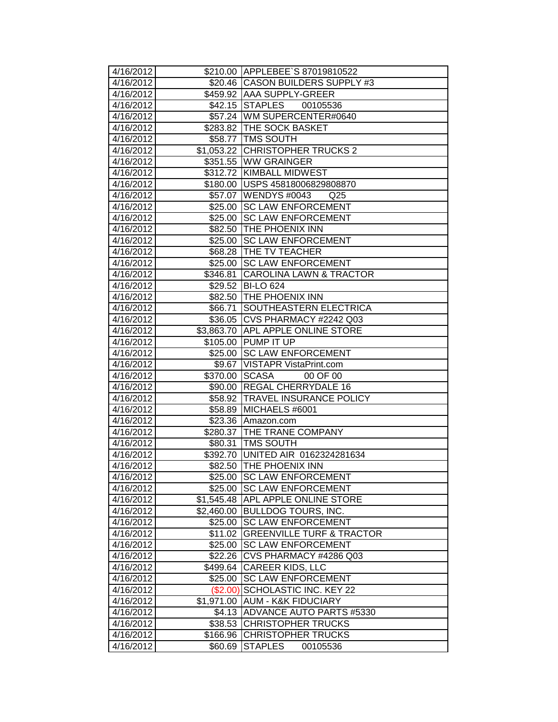| 4/16/2012 |            | \$210.00 APPLEBEE'S 87019810522         |
|-----------|------------|-----------------------------------------|
| 4/16/2012 |            | \$20.46 CASON BUILDERS SUPPLY #3        |
| 4/16/2012 |            | \$459.92 AAA SUPPLY-GREER               |
| 4/16/2012 |            | \$42.15 STAPLES<br>00105536             |
| 4/16/2012 |            | \$57.24 WM SUPERCENTER#0640             |
| 4/16/2012 |            | \$283.82 THE SOCK BASKET                |
| 4/16/2012 |            | \$58.77 TMS SOUTH                       |
| 4/16/2012 |            | \$1,053.22 CHRISTOPHER TRUCKS 2         |
| 4/16/2012 |            | \$351.55 WW GRAINGER                    |
| 4/16/2012 |            | \$312.72 KIMBALL MIDWEST                |
| 4/16/2012 | \$180.00   | USPS 45818006829808870                  |
| 4/16/2012 |            | \$57.07 WENDYS #0043<br>Q <sub>25</sub> |
| 4/16/2012 |            | \$25.00 SC LAW ENFORCEMENT              |
| 4/16/2012 | \$25.00    | <b>SC LAW ENFORCEMENT</b>               |
| 4/16/2012 |            | \$82.50 THE PHOENIX INN                 |
| 4/16/2012 | \$25.00    | <b>SC LAW ENFORCEMENT</b>               |
| 4/16/2012 |            | \$68.28   THE TV TEACHER                |
| 4/16/2012 | \$25.00    | <b>SC LAW ENFORCEMENT</b>               |
| 4/16/2012 | \$346.81   | <b>CAROLINA LAWN &amp; TRACTOR</b>      |
| 4/16/2012 |            | \$29.52 BI-LO 624                       |
| 4/16/2012 |            | \$82.50 THE PHOENIX INN                 |
| 4/16/2012 | \$66.71    | <b>SOUTHEASTERN ELECTRICA</b>           |
| 4/16/2012 |            | \$36.05 CVS PHARMACY #2242 Q03          |
| 4/16/2012 | \$3,863.70 | <b>APL APPLE ONLINE STORE</b>           |
| 4/16/2012 | \$105.00   | <b>PUMP IT UP</b>                       |
| 4/16/2012 | \$25.00    | <b>SC LAW ENFORCEMENT</b>               |
| 4/16/2012 | \$9.67     | VISTAPR VistaPrint.com                  |
| 4/16/2012 | \$370.00   | <b>SCASA</b><br>00 OF 00                |
| 4/16/2012 |            | \$90.00 REGAL CHERRYDALE 16             |
| 4/16/2012 |            | \$58.92 TRAVEL INSURANCE POLICY         |
| 4/16/2012 | \$58.89    | MICHAELS #6001                          |
| 4/16/2012 |            | \$23.36 Amazon.com                      |
| 4/16/2012 |            | \$280.37 THE TRANE COMPANY              |
| 4/16/2012 | \$80.31    | <b>TMS SOUTH</b>                        |
| 4/16/2012 | \$392.70   | UNITED AIR 0162324281634                |
| 4/16/2012 |            | \$82.50 THE PHOENIX INN                 |
| 4/16/2012 |            | \$25.00 SC LAW ENFORCEMENT              |
| 4/16/2012 | \$25.00    | <b>ISC LAW ENFORCEMENT</b>              |
| 4/16/2012 | \$1,545.48 | <b>APL APPLE ONLINE STORE</b>           |
| 4/16/2012 | \$2,460.00 | <b>BULLDOG TOURS, INC.</b>              |
| 4/16/2012 | \$25.00    | <b>SC LAW ENFORCEMENT</b>               |
| 4/16/2012 | \$11.02    | <b>GREENVILLE TURF &amp; TRACTOR</b>    |
| 4/16/2012 | \$25.00    | <b>SC LAW ENFORCEMENT</b>               |
| 4/16/2012 | \$22.26    | CVS PHARMACY #4286 Q03                  |
| 4/16/2012 | \$499.64   | <b>CAREER KIDS, LLC</b>                 |
| 4/16/2012 | \$25.00    | <b>SC LAW ENFORCEMENT</b>               |
| 4/16/2012 | (\$2.00)   | SCHOLASTIC INC. KEY 22                  |
| 4/16/2012 | \$1,971.00 | <b>AUM - K&amp;K FIDUCIARY</b>          |
| 4/16/2012 | \$4.13     | ADVANCE AUTO PARTS #5330                |
| 4/16/2012 | \$38.53    | <b>CHRISTOPHER TRUCKS</b>               |
| 4/16/2012 | \$166.96   | <b>CHRISTOPHER TRUCKS</b>               |
|           |            | 00105536                                |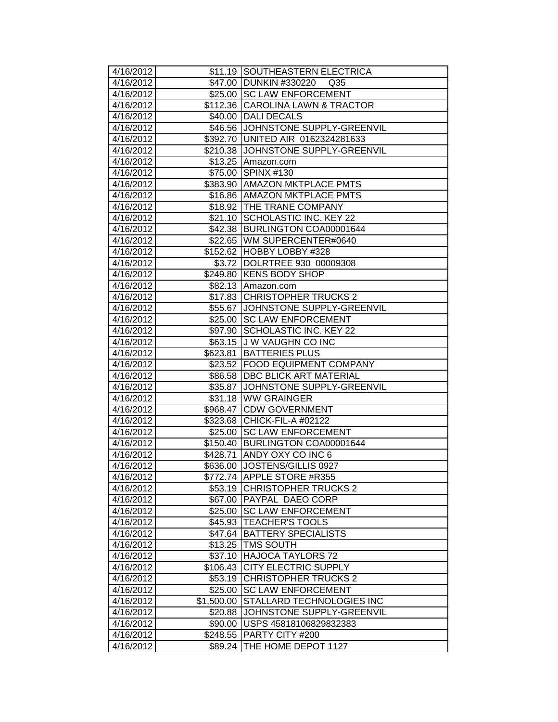| 4/16/2012              |                     | \$11.19 SOUTHEASTERN ELECTRICA                 |
|------------------------|---------------------|------------------------------------------------|
| 4/16/2012              | \$47.00             | <b>DUNKIN #330220</b><br>Q <sub>35</sub>       |
| 4/16/2012              | \$25.00             | <b>SC LAW ENFORCEMENT</b>                      |
| 4/16/2012              |                     | \$112.36 CAROLINA LAWN & TRACTOR               |
| 4/16/2012              |                     | \$40.00 DALI DECALS                            |
| 4/16/2012              | \$46.56             | JOHNSTONE SUPPLY-GREENVIL                      |
| 4/16/2012              | \$392.70            | UNITED AIR 0162324281633                       |
| 4/16/2012              | \$210.38            | JOHNSTONE SUPPLY-GREENVIL                      |
| 4/16/2012              | \$13.25             | Amazon.com                                     |
| 4/16/2012              | \$75.00             | <b>SPINX #130</b>                              |
| 4/16/2012              | \$383.90            | <b>AMAZON MKTPLACE PMTS</b>                    |
| 4/16/2012              | \$16.86             | <b>AMAZON MKTPLACE PMTS</b>                    |
| 4/16/2012              | \$18.92             | <b>THE TRANE COMPANY</b>                       |
| 4/16/2012              | \$21.10             | SCHOLASTIC INC. KEY 22                         |
| 4/16/2012              | \$42.38             | BURLINGTON COA00001644                         |
| 4/16/2012              | \$22.65             | WM SUPERCENTER#0640                            |
| 4/16/2012              | \$152.62            | HOBBY LOBBY #328                               |
| 4/16/2012              | \$3.72              | DOLRTREE 930 00009308                          |
| 4/16/2012              | \$249.80            | <b>KENS BODY SHOP</b>                          |
| 4/16/2012              | \$82.13             | Amazon.com                                     |
| 4/16/2012              | \$17.83             | <b>CHRISTOPHER TRUCKS 2</b>                    |
| 4/16/2012              | \$55.67             | JOHNSTONE SUPPLY-GREENVIL                      |
| 4/16/2012              | \$25.00             | <b>SC LAW ENFORCEMENT</b>                      |
| 4/16/2012              | \$97.90             | SCHOLASTIC INC. KEY 22                         |
| 4/16/2012              | \$63.15             | J W VAUGHN CO INC                              |
| 4/16/2012              | \$623.81            | <b>BATTERIES PLUS</b>                          |
| 4/16/2012              | \$23.52             | FOOD EQUIPMENT COMPANY                         |
| 4/16/2012              | \$86.58             | <b>DBC BLICK ART MATERIAL</b>                  |
| 4/16/2012              | \$35.87             | JOHNSTONE SUPPLY-GREENVIL                      |
| 4/16/2012              | \$31.18             | <b>IWW GRAINGER</b>                            |
| 4/16/2012              | \$968.47            | <b>CDW GOVERNMENT</b>                          |
| 4/16/2012              | \$323.68            | CHICK-FIL-A #02122                             |
| 4/16/2012              | \$25.00             | <b>SC LAW ENFORCEMENT</b>                      |
| 4/16/2012              | \$150.40            | BURLINGTON COA00001644                         |
| 4/16/2012              | \$428.71            | ANDY OXY CO INC 6                              |
| 4/16/2012              | \$636.00            | JOSTENS/GILLIS 0927                            |
| 4/16/2012              |                     | \$772.74  APPLE STORE #R355                    |
| 4/16/2012              | \$53.19             | <b>CHRISTOPHER TRUCKS 2</b>                    |
| 4/16/2012              | \$67.00             | <b>PAYPAL DAEO CORP</b>                        |
| 4/16/2012              | \$25.00             | <b>SC LAW ENFORCEMENT</b>                      |
| 4/16/2012              | \$45.93             | <b>TEACHER'S TOOLS</b>                         |
| 4/16/2012<br>4/16/2012 | \$47.64<br>\$13.25  | <b>BATTERY SPECIALISTS</b><br><b>TMS SOUTH</b> |
| 4/16/2012              |                     | <b>HAJOCA TAYLORS 72</b>                       |
| 4/16/2012              | \$37.10             | <b>CITY ELECTRIC SUPPLY</b>                    |
| 4/16/2012              | \$106.43<br>\$53.19 | <b>CHRISTOPHER TRUCKS 2</b>                    |
| 4/16/2012              | \$25.00             | <b>SC LAW ENFORCEMENT</b>                      |
| 4/16/2012              | \$1,500.00          | STALLARD TECHNOLOGIES INC                      |
| 4/16/2012              | \$20.88             | JOHNSTONE SUPPLY-GREENVIL                      |
| 4/16/2012              | \$90.00             | USPS 45818106829832383                         |
| 4/16/2012              | \$248.55            | PARTY CITY #200                                |
| 4/16/2012              | \$89.24             | THE HOME DEPOT 1127                            |
|                        |                     |                                                |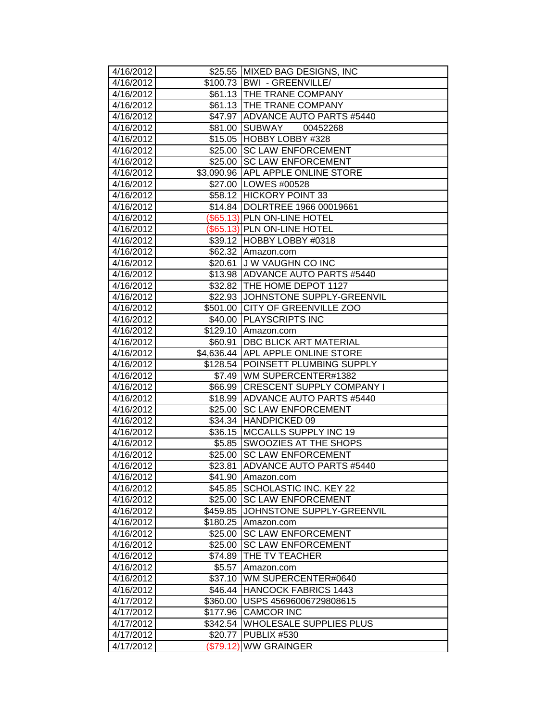| 4/16/2012              |           | \$25.55 MIXED BAG DESIGNS, INC                                |
|------------------------|-----------|---------------------------------------------------------------|
| 4/16/2012              |           | \$100.73   BWI - GREENVILLE/                                  |
| 4/16/2012              |           | \$61.13 THE TRANE COMPANY                                     |
| 4/16/2012              |           | \$61.13   THE TRANE COMPANY                                   |
| 4/16/2012              |           | \$47.97 ADVANCE AUTO PARTS #5440                              |
| 4/16/2012              |           | \$81.00 SUBWAY<br>00452268                                    |
| 4/16/2012              |           | \$15.05 HOBBY LOBBY #328                                      |
| 4/16/2012              | \$25.00   | <b>SC LAW ENFORCEMENT</b>                                     |
| 4/16/2012              | \$25.00   | <b>SC LAW ENFORCEMENT</b>                                     |
| 4/16/2012              |           | \$3,090.96 APL APPLE ONLINE STORE                             |
| 4/16/2012<br>4/16/2012 |           | \$27.00   LOWES #00528                                        |
|                        |           | \$58.12 HICKORY POINT 33                                      |
| 4/16/2012              |           | \$14.84  DOLRTREE 1966 00019661                               |
| 4/16/2012              |           | (\$65.13) PLN ON-LINE HOTEL                                   |
| 4/16/2012              |           | (\$65.13) PLN ON-LINE HOTEL                                   |
| 4/16/2012              |           | \$39.12 HOBBY LOBBY #0318<br>\$62.32 Amazon.com               |
| 4/16/2012              |           |                                                               |
| 4/16/2012<br>4/16/2012 | \$20.61   | <b>JU W VAUGHN CO INC</b><br>\$13.98 ADVANCE AUTO PARTS #5440 |
| 4/16/2012              |           | \$32.82 THE HOME DEPOT 1127                                   |
| 4/16/2012              |           | \$22.93 JJOHNSTONE SUPPLY-GREENVIL                            |
| 4/16/2012              |           | \$501.00 CITY OF GREENVILLE ZOO                               |
| 4/16/2012              |           | \$40.00 PLAYSCRIPTS INC                                       |
| 4/16/2012              | \$129.10  | Amazon.com                                                    |
| 4/16/2012              | \$60.91   | <b>DBC BLICK ART MATERIAL</b>                                 |
| 4/16/2012              |           | \$4,636.44 APL APPLE ONLINE STORE                             |
| 4/16/2012              | \$128.54  | <b>POINSETT PLUMBING SUPPLY</b>                               |
| 4/16/2012              | \$7.49    | WM SUPERCENTER#1382                                           |
| 4/16/2012              |           | \$66.99 CRESCENT SUPPLY COMPANY I                             |
| 4/16/2012              |           | \$18.99 ADVANCE AUTO PARTS #5440                              |
| 4/16/2012              |           | \$25.00 SC LAW ENFORCEMENT                                    |
| 4/16/2012              |           | \$34.34 HANDPICKED 09                                         |
| 4/16/2012              |           | \$36.15 MCCALLS SUPPLY INC 19                                 |
| 4/16/2012              |           | \$5.85 SWOOZIES AT THE SHOPS                                  |
| 4/16/2012              | \$25.00   | <b>ISC LAW ENFORCEMENT</b>                                    |
| 4/16/2012              | \$23.81   | <b>ADVANCE AUTO PARTS #5440</b>                               |
| 4/16/2012              |           | \$41.90 Amazon.com                                            |
| 4/16/2012              | \$45.85   | SCHOLASTIC INC. KEY 22                                        |
| 4/16/2012              | \$25.00   | <b>SC LAW ENFORCEMENT</b>                                     |
| 4/16/2012              | \$459.85  | JOHNSTONE SUPPLY-GREENVIL                                     |
| 4/16/2012              | \$180.25  | Amazon.com                                                    |
| 4/16/2012              | \$25.00   | <b>SC LAW ENFORCEMENT</b>                                     |
| 4/16/2012              | \$25.00   | <b>SC LAW ENFORCEMENT</b>                                     |
| 4/16/2012              | \$74.89   | THE TV TEACHER                                                |
| 4/16/2012              | \$5.57    | Amazon.com                                                    |
| 4/16/2012              | \$37.10   | WM SUPERCENTER#0640                                           |
| 4/16/2012              | \$46.44   | HANCOCK FABRICS 1443                                          |
| 4/17/2012              | \$360.00  | USPS 45696006729808615                                        |
| 4/17/2012              | \$177.96  | <b>CAMCOR INC</b>                                             |
| 4/17/2012              | \$342.54  | <b>WHOLESALE SUPPLIES PLUS</b>                                |
| 4/17/2012              | \$20.77   | PUBLIX #530                                                   |
| 4/17/2012              | (\$79.12) | <b>WW GRAINGER</b>                                            |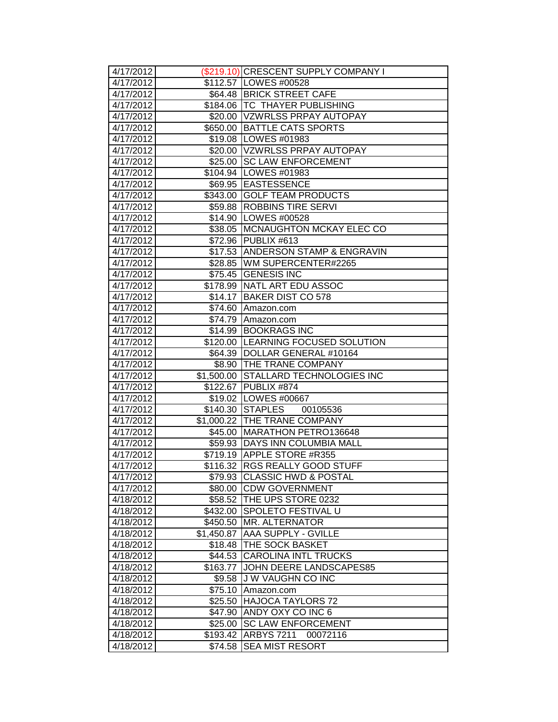| 4/17/2012              |            | (\$219.10) CRESCENT SUPPLY COMPANY I |
|------------------------|------------|--------------------------------------|
| 4/17/2012              |            | \$112.57   LOWES #00528              |
| 4/17/2012              |            | \$64.48 BRICK STREET CAFE            |
| 4/17/2012              |            | \$184.06   TC THAYER PUBLISHING      |
| 4/17/2012              |            | \$20.00 VZWRLSS PRPAY AUTOPAY        |
| 4/17/2012              |            | \$650.00 BATTLE CATS SPORTS          |
| 4/17/2012              |            | \$19.08   LOWES #01983               |
| 4/17/2012              |            | \$20.00 VZWRLSS PRPAY AUTOPAY        |
| 4/17/2012              | \$25.00    | <b>SC LAW ENFORCEMENT</b>            |
| 4/17/2012              |            | \$104.94   LOWES #01983              |
| 4/17/2012              |            | \$69.95 EASTESSENCE                  |
| 4/17/2012              |            | \$343.00 GOLF TEAM PRODUCTS          |
| 4/17/2012              |            | \$59.88 ROBBINS TIRE SERVI           |
| 4/17/2012              |            | \$14.90   LOWES #00528               |
| 4/17/2012              |            | \$38.05   MCNAUGHTON MCKAY ELEC CO   |
| 4/17/2012              |            | \$72.96 PUBLIX #613                  |
| 4/17/2012              |            | \$17.53 ANDERSON STAMP & ENGRAVIN    |
| 4/17/2012              |            | \$28.85   WM SUPERCENTER#2265        |
| 4/17/2012              |            | \$75.45 GENESIS INC                  |
| 4/17/2012              |            | \$178.99 NATL ART EDU ASSOC          |
| 4/17/2012              | \$14.17    | BAKER DIST CO 578                    |
| 4/17/2012              | \$74.60    | Amazon.com                           |
| 4/17/2012              | \$74.79    | Amazon.com                           |
| 4/17/2012              | \$14.99    | <b>BOOKRAGS INC</b>                  |
| 4/17/2012              | \$120.00   | LEARNING FOCUSED SOLUTION            |
| 4/17/2012              | \$64.39    | DOLLAR GENERAL #10164                |
| 4/17/2012              | \$8.90     | <b>THE TRANE COMPANY</b>             |
| 4/17/2012              | \$1,500.00 | STALLARD TECHNOLOGIES INC            |
| 4/17/2012              |            | \$122.67 PUBLIX #874                 |
| 4/17/2012              |            | \$19.02 LOWES #00667                 |
| 4/17/2012              |            | \$140.30 STAPLES<br>00105536         |
| 4/17/2012              |            | \$1,000.22 THE TRANE COMPANY         |
| 4/17/2012              | \$45.00    | MARATHON PETRO136648                 |
| 4/17/2012              |            | \$59.93 DAYS INN COLUMBIA MALL       |
| 4/17/2012              |            | \$719.19 APPLE STORE #R355           |
| 4/17/2012              |            | \$116.32 RGS REALLY GOOD STUFF       |
| 4/17/2012              |            | \$79.93 CLASSIC HWD & POSTAL         |
| 4/17/2012              |            | \$80.00 CDW GOVERNMENT               |
| 4/18/2012              |            | \$58.52 THE UPS STORE 0232           |
| 4/18/2012              | \$432.00   | <b>SPOLETO FESTIVAL U</b>            |
| 4/18/2012              | \$450.50   | MR. ALTERNATOR                       |
| 4/18/2012              | \$1,450.87 | <b>AAA SUPPLY - GVILLE</b>           |
| 4/18/2012              | \$18.48    | <b>THE SOCK BASKET</b>               |
| 4/18/2012              |            | \$44.53 CAROLINA INTL TRUCKS         |
| 4/18/2012              | \$163.77   | JOHN DEERE LANDSCAPES85              |
| 4/18/2012              | \$9.58     | <b>JW VAUGHN CO INC</b>              |
| 4/18/2012              | \$75.10    | Amazon.com                           |
| 4/18/2012              | \$25.50    | <b>HAJOCA TAYLORS 72</b>             |
| 4/18/2012              | \$47.90    | ANDY OXY CO INC 6                    |
| 4/18/2012              | \$25.00    | <b>SC LAW ENFORCEMENT</b>            |
| 4/18/2012<br>4/18/2012 | \$193.42   | <b>ARBYS 7211</b><br>00072116        |
|                        | \$74.58    | <b>SEA MIST RESORT</b>               |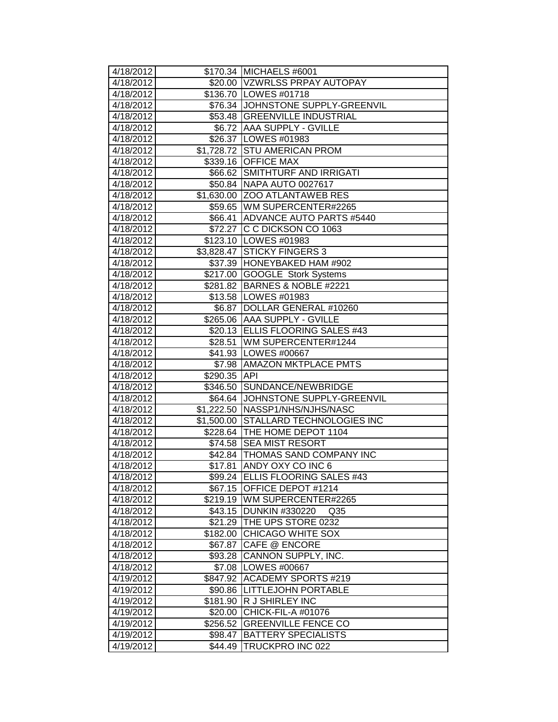| 4/18/2012              |                    | \$170.34 MICHAELS #6001                                     |
|------------------------|--------------------|-------------------------------------------------------------|
| 4/18/2012              |                    | \$20.00 VZWRLSS PRPAY AUTOPAY                               |
| 4/18/2012              |                    | \$136.70 LOWES #01718                                       |
| 4/18/2012              |                    | \$76.34 JJOHNSTONE SUPPLY-GREENVIL                          |
| 4/18/2012              |                    | \$53.48 GREENVILLE INDUSTRIAL                               |
| 4/18/2012              |                    | \$6.72   AAA SUPPLY - GVILLE                                |
| 4/18/2012              |                    | \$26.37   LOWES #01983                                      |
| 4/18/2012              |                    | \$1,728.72 STU AMERICAN PROM                                |
| 4/18/2012              |                    | \$339.16 OFFICE MAX                                         |
| 4/18/2012              |                    | \$66.62 SMITHTURF AND IRRIGATI                              |
| 4/18/2012              |                    | \$50.84 NAPA AUTO 0027617                                   |
| 4/18/2012              |                    | \$1,630.00 ZOO ATLANTAWEB RES                               |
| 4/18/2012              |                    | \$59.65   WM SUPERCENTER#2265                               |
| 4/18/2012              |                    | \$66.41 ADVANCE AUTO PARTS #5440                            |
| 4/18/2012              |                    | \$72.27 C C DICKSON CO 1063                                 |
| 4/18/2012              |                    | \$123.10 LOWES #01983                                       |
| 4/18/2012              | \$3,828.47         | <b>STICKY FINGERS 3</b>                                     |
| 4/18/2012              |                    | \$37.39  HONEYBAKED HAM #902                                |
| 4/18/2012              |                    | \$217.00 GOOGLE Stork Systems                               |
| 4/18/2012              |                    | \$281.82 BARNES & NOBLE #2221                               |
| 4/18/2012              |                    | \$13.58   LOWES #01983                                      |
| 4/18/2012              | \$6.87             | DOLLAR GENERAL #10260                                       |
| 4/18/2012              |                    | \$265.06 AAA SUPPLY - GVILLE                                |
| 4/18/2012              |                    | \$20.13 ELLIS FLOORING SALES #43                            |
| 4/18/2012              | \$28.51            | WM SUPERCENTER#1244                                         |
| 4/18/2012              |                    | \$41.93   LOWES #00667                                      |
| 4/18/2012              | \$7.98             | <b>AMAZON MKTPLACE PMTS</b>                                 |
| 4/18/2012              | \$290.35           | API                                                         |
| 4/18/2012              | \$346.50           | SUNDANCE/NEWBRIDGE                                          |
| 4/18/2012              |                    | \$64.64 JJOHNSTONE SUPPLY-GREENVIL                          |
| 4/18/2012              |                    | \$1,222.50 NASSP1/NHS/NJHS/NASC                             |
| 4/18/2012              |                    | \$1,500.00 STALLARD TECHNOLOGIES INC                        |
| 4/18/2012              |                    | \$228.64   THE HOME DEPOT 1104                              |
| 4/18/2012<br>4/18/2012 | \$74.58            | <b>SEA MIST RESORT</b><br>\$42.84   THOMAS SAND COMPANY INC |
| 4/18/2012              |                    | <b>ANDY OXY CO INC 6</b>                                    |
| 4/18/2012              | \$17.81            |                                                             |
| 4/18/2012              | \$67.15            | \$99.24 ELLIS FLOORING SALES #43<br>OFFICE DEPOT #1214      |
| 4/18/2012              | \$219.19           | WM SUPERCENTER#2265                                         |
| 4/18/2012              | \$43.15            | <b>DUNKIN #330220</b><br>Q <sub>35</sub>                    |
| 4/18/2012              | \$21.29            | THE UPS STORE 0232                                          |
| 4/18/2012              | \$182.00           | <b>CHICAGO WHITE SOX</b>                                    |
| 4/18/2012              | \$67.87            | <b>CAFE @ ENCORE</b>                                        |
| 4/18/2012              | \$93.28            | CANNON SUPPLY, INC.                                         |
| 4/18/2012              | \$7.08             | LOWES #00667                                                |
| 4/19/2012              | \$847.92           | <b>ACADEMY SPORTS #219</b>                                  |
| 4/19/2012              | \$90.86            | <b>ILITTLEJOHN PORTABLE</b>                                 |
| 4/19/2012              | \$181.90           | R J SHIRLEY INC                                             |
| 4/19/2012              | \$20.00            | CHICK-FIL-A #01076                                          |
| 4/19/2012              | \$256.52           | <b>GREENVILLE FENCE CO</b>                                  |
|                        |                    |                                                             |
|                        |                    |                                                             |
| 4/19/2012<br>4/19/2012 | \$98.47<br>\$44.49 | <b>BATTERY SPECIALISTS</b><br>TRUCKPRO INC 022              |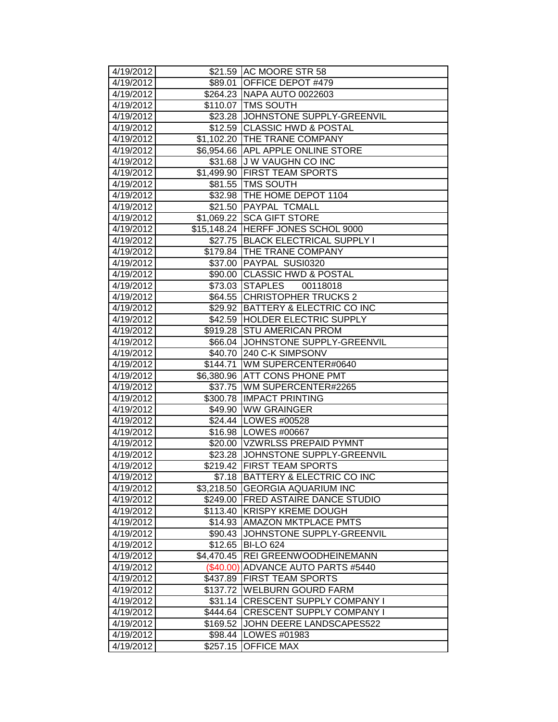| 4/19/2012              |                        | \$21.59 AC MOORE STR 58                          |
|------------------------|------------------------|--------------------------------------------------|
| 4/19/2012              |                        | \$89.01 OFFICE DEPOT #479                        |
| 4/19/2012              |                        | \$264.23   NAPA AUTO 0022603                     |
| 4/19/2012              |                        | \$110.07 TMS SOUTH                               |
| 4/19/2012              |                        | \$23.28 JOHNSTONE SUPPLY-GREENVIL                |
| 4/19/2012              |                        | \$12.59 CLASSIC HWD & POSTAL                     |
| 4/19/2012              |                        | \$1,102.20 THE TRANE COMPANY                     |
| 4/19/2012              |                        | \$6,954.66 APL APPLE ONLINE STORE                |
| 4/19/2012              |                        | \$31.68 J W VAUGHN CO INC                        |
| 4/19/2012              | \$1,499.90             | <b>FIRST TEAM SPORTS</b>                         |
| 4/19/2012              |                        | \$81.55 TMS SOUTH                                |
| 4/19/2012              |                        | \$32.98   THE HOME DEPOT 1104                    |
| 4/19/2012              |                        | \$21.50 PAYPAL TCMALL                            |
| 4/19/2012              |                        | \$1,069.22 SCA GIFT STORE                        |
| 4/19/2012              |                        | \$15,148.24 HERFF JONES SCHOL 9000               |
| 4/19/2012              |                        | \$27.75 BLACK ELECTRICAL SUPPLY I                |
| 4/19/2012              |                        | \$179.84 THE TRANE COMPANY                       |
| 4/19/2012              |                        | \$37.00 PAYPAL SUSI0320                          |
| 4/19/2012              |                        | \$90.00 CLASSIC HWD & POSTAL                     |
| 4/19/2012              |                        | \$73.03 STAPLES<br>00118018                      |
| 4/19/2012              |                        | \$64.55 CHRISTOPHER TRUCKS 2                     |
| 4/19/2012              | \$29.92                | BATTERY & ELECTRIC CO INC                        |
| 4/19/2012              | \$42.59                | <b>HOLDER ELECTRIC SUPPLY</b>                    |
| 4/19/2012              | \$919.28               | <b>STU AMERICAN PROM</b>                         |
| 4/19/2012              |                        | \$66.04 JOHNSTONE SUPPLY-GREENVIL                |
| 4/19/2012              | \$40.70                | 240 C-K SIMPSONV                                 |
| 4/19/2012<br>4/19/2012 | \$144.71<br>\$6,380.96 | WM SUPERCENTER#0640<br><b>ATT CONS PHONE PMT</b> |
| 4/19/2012              |                        | \$37.75 WM SUPERCENTER#2265                      |
| 4/19/2012              | \$300.78               | <b>IMPACT PRINTING</b>                           |
| 4/19/2012              |                        | \$49.90 WW GRAINGER                              |
| 4/19/2012              |                        | \$24.44   LOWES #00528                           |
| 4/19/2012              |                        | \$16.98   LOWES #00667                           |
| 4/19/2012              |                        | \$20.00 VZWRLSS PREPAID PYMNT                    |
| 4/19/2012              |                        | \$23.28 JJOHNSTONE SUPPLY-GREENVIL               |
| 4/19/2012              |                        | \$219.42 FIRST TEAM SPORTS                       |
| 4/19/2012              |                        | \$7.18 BATTERY & ELECTRIC CO INC                 |
| 4/19/2012              |                        | \$3,218.50 GEORGIA AQUARIUM INC                  |
| 4/19/2012              | \$249.00               | <b>FRED ASTAIRE DANCE STUDIO</b>                 |
| 4/19/2012              | \$113.40               | <b>KRISPY KREME DOUGH</b>                        |
| 4/19/2012              | \$14.93                | <b>AMAZON MKTPLACE PMTS</b>                      |
| 4/19/2012              | \$90.43                | JOHNSTONE SUPPLY-GREENVIL                        |
| 4/19/2012              | \$12.65                | <b>BI-LO 624</b>                                 |
| 4/19/2012              | \$4,470.45             | REI GREENWOODHEINEMANN                           |
| 4/19/2012              | $(\$40.00)$            | ADVANCE AUTO PARTS #5440                         |
| 4/19/2012              | \$437.89               | <b>FIRST TEAM SPORTS</b>                         |
| 4/19/2012              | \$137.72               | <b>WELBURN GOURD FARM</b>                        |
| 4/19/2012              | \$31.14                | <b>CRESCENT SUPPLY COMPANY I</b>                 |
| 4/19/2012              | \$444.64               | <b>CRESCENT SUPPLY COMPANY I</b>                 |
| 4/19/2012              | \$169.52               | JOHN DEERE LANDSCAPES522                         |
| 4/19/2012              |                        | \$98.44   LOWES #01983                           |
| 4/19/2012              | \$257.15               | <b>OFFICE MAX</b>                                |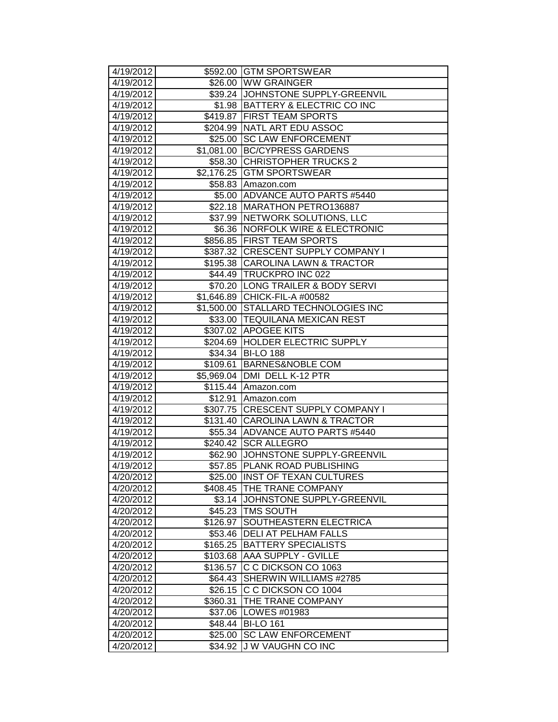| 4/19/2012 |            | \$592.00 GTM SPORTSWEAR              |
|-----------|------------|--------------------------------------|
| 4/19/2012 |            | \$26.00 WW GRAINGER                  |
| 4/19/2012 |            | \$39.24 JJOHNSTONE SUPPLY-GREENVIL   |
| 4/19/2012 |            | \$1.98   BATTERY & ELECTRIC CO INC   |
| 4/19/2012 |            | \$419.87 FIRST TEAM SPORTS           |
| 4/19/2012 |            | \$204.99 NATL ART EDU ASSOC          |
| 4/19/2012 |            | \$25.00 SC LAW ENFORCEMENT           |
| 4/19/2012 |            | \$1,081.00 BC/CYPRESS GARDENS        |
| 4/19/2012 | \$58.30    | <b>CHRISTOPHER TRUCKS 2</b>          |
| 4/19/2012 |            | \$2,176.25 GTM SPORTSWEAR            |
| 4/19/2012 |            | \$58.83 Amazon.com                   |
| 4/19/2012 | \$5.00     | <b>ADVANCE AUTO PARTS #5440</b>      |
| 4/19/2012 |            | \$22.18 MARATHON PETRO136887         |
| 4/19/2012 |            | \$37.99 NETWORK SOLUTIONS, LLC       |
| 4/19/2012 |            | \$6.36 NORFOLK WIRE & ELECTRONIC     |
| 4/19/2012 |            | \$856.85 FIRST TEAM SPORTS           |
| 4/19/2012 |            | \$387.32 CRESCENT SUPPLY COMPANY I   |
| 4/19/2012 |            | \$195.38 CAROLINA LAWN & TRACTOR     |
| 4/19/2012 |            | \$44.49 TRUCKPRO INC 022             |
| 4/19/2012 |            | \$70.20 LONG TRAILER & BODY SERVI    |
| 4/19/2012 |            | \$1,646.89 CHICK-FIL-A #00582        |
| 4/19/2012 |            | \$1,500.00 STALLARD TECHNOLOGIES INC |
| 4/19/2012 |            | \$33.00 TEQUILANA MEXICAN REST       |
| 4/19/2012 |            | \$307.02 APOGEE KITS                 |
| 4/19/2012 | \$204.69   | <b>HOLDER ELECTRIC SUPPLY</b>        |
| 4/19/2012 |            | \$34.34 BI-LO 188                    |
| 4/19/2012 | \$109.61   | <b>BARNES&amp;NOBLE COM</b>          |
| 4/19/2012 | \$5,969.04 | DMI DELL K-12 PTR                    |
| 4/19/2012 |            | \$115.44 Amazon.com                  |
| 4/19/2012 |            | \$12.91 Amazon.com                   |
| 4/19/2012 |            | \$307.75 CRESCENT SUPPLY COMPANY I   |
| 4/19/2012 |            | \$131.40 CAROLINA LAWN & TRACTOR     |
| 4/19/2012 |            | \$55.34 ADVANCE AUTO PARTS #5440     |
| 4/19/2012 | \$240.42   | <b>SCR ALLEGRO</b>                   |
| 4/19/2012 | \$62.90    | JOHNSTONE SUPPLY-GREENVIL            |
| 4/19/2012 | \$57.85    | PLANK ROAD PUBLISHING                |
| 4/20/2012 |            | \$25.00 IINST OF TEXAN CULTURES      |
| 4/20/2012 |            | \$408.45 THE TRANE COMPANY           |
| 4/20/2012 |            | \$3.14 JJOHNSTONE SUPPLY-GREENVIL    |
| 4/20/2012 | \$45.23    | <b>TMS SOUTH</b>                     |
| 4/20/2012 | \$126.97   | SOUTHEASTERN ELECTRICA               |
| 4/20/2012 | \$53.46    | <b>DELI AT PELHAM FALLS</b>          |
| 4/20/2012 | \$165.25   | <b>BATTERY SPECIALISTS</b>           |
| 4/20/2012 | \$103.68   | <b>AAA SUPPLY - GVILLE</b>           |
| 4/20/2012 | \$136.57   | C C DICKSON CO 1063                  |
| 4/20/2012 | \$64.43    | SHERWIN WILLIAMS #2785               |
| 4/20/2012 | \$26.15    | C C DICKSON CO 1004                  |
| 4/20/2012 | \$360.31   | THE TRANE COMPANY                    |
| 4/20/2012 | \$37.06    | LOWES #01983                         |
| 4/20/2012 | \$48.44    | <b>BI-LO 161</b>                     |
| 4/20/2012 | \$25.00    | <b>SC LAW ENFORCEMENT</b>            |
| 4/20/2012 | \$34.92    | J W VAUGHN CO INC                    |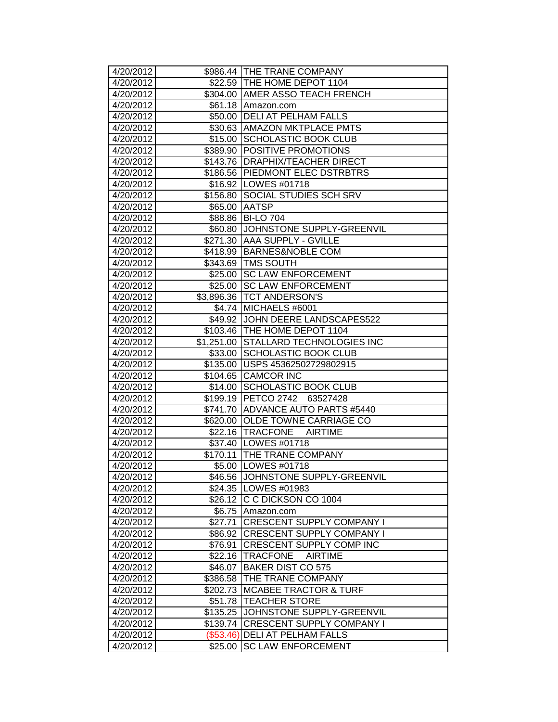| 4/20/2012              |            | \$986.44 THE TRANE COMPANY                                   |
|------------------------|------------|--------------------------------------------------------------|
| 4/20/2012              |            | \$22.59   THE HOME DEPOT 1104                                |
| 4/20/2012              |            | \$304.00 AMER ASSO TEACH FRENCH                              |
| 4/20/2012              |            | \$61.18 Amazon.com                                           |
| 4/20/2012              |            | \$50.00   DELI AT PELHAM FALLS                               |
| 4/20/2012              |            | \$30.63 AMAZON MKTPLACE PMTS                                 |
| 4/20/2012              |            | \$15.00 SCHOLASTIC BOOK CLUB                                 |
| 4/20/2012              |            | \$389.90 POSITIVE PROMOTIONS                                 |
| 4/20/2012              |            | \$143.76   DRAPHIX/TEACHER DIRECT                            |
| 4/20/2012              | \$186.56   | <b>PIEDMONT ELEC DSTRBTRS</b>                                |
| 4/20/2012              |            | \$16.92 LOWES #01718                                         |
| 4/20/2012              | \$156.80   | <b>SOCIAL STUDIES SCH SRV</b>                                |
| 4/20/2012              | \$65.00    | <b>AATSP</b>                                                 |
| 4/20/2012              | \$88.86    | <b>BI-LO 704</b>                                             |
| 4/20/2012              | \$60.80    | JOHNSTONE SUPPLY-GREENVIL                                    |
| 4/20/2012              |            | \$271.30 AAA SUPPLY - GVILLE                                 |
| 4/20/2012              |            | \$418.99 BARNES&NOBLE COM                                    |
| 4/20/2012              |            | \$343.69 TMS SOUTH                                           |
| 4/20/2012              |            | \$25.00 SC LAW ENFORCEMENT                                   |
| 4/20/2012              |            | \$25.00 SC LAW ENFORCEMENT                                   |
| 4/20/2012              |            | \$3,896.36   TCT ANDERSON'S                                  |
| 4/20/2012              |            | \$4.74 MICHAELS #6001                                        |
| 4/20/2012              |            | \$49.92 JOHN DEERE LANDSCAPES522                             |
| 4/20/2012              |            | \$103.46   THE HOME DEPOT 1104                               |
| 4/20/2012              | \$1,251.00 | <b>STALLARD TECHNOLOGIES INC</b>                             |
| 4/20/2012              | \$33.00    | <b>SCHOLASTIC BOOK CLUB</b>                                  |
| 4/20/2012              | \$135.00   | USPS 45362502729802915                                       |
| 4/20/2012              | \$104.65   | <b>CAMCOR INC</b>                                            |
| 4/20/2012              | \$14.00    | <b>SCHOLASTIC BOOK CLUB</b>                                  |
| 4/20/2012              |            | \$199.19 PETCO 2742 63527428                                 |
| 4/20/2012              | \$741.70   | ADVANCE AUTO PARTS #5440                                     |
| 4/20/2012              |            | \$620.00 OLDE TOWNE CARRIAGE CO                              |
| 4/20/2012              |            | \$22.16 TRACFONE<br>AIRTIME                                  |
| 4/20/2012<br>4/20/2012 | \$170.11   | \$37.40   LOWES #01718<br><b>THE TRANE COMPANY</b>           |
| 4/20/2012              |            |                                                              |
|                        |            | \$5.00  LOWES #01718                                         |
| 4/20/2012<br>4/20/2012 |            | \$46.56 JJOHNSTONE SUPPLY-GREENVIL<br>\$24.35   LOWES #01983 |
| 4/20/2012              |            | \$26.12 C C DICKSON CO 1004                                  |
| 4/20/2012              | \$6.75     | Amazon.com                                                   |
| 4/20/2012              | \$27.71    | <b>CRESCENT SUPPLY COMPANY I</b>                             |
| 4/20/2012              | \$86.92    | <b>CRESCENT SUPPLY COMPANY I</b>                             |
| 4/20/2012              | \$76.91    | <b>CRESCENT SUPPLY COMP INC</b>                              |
| 4/20/2012              | \$22.16    | TRACFONE<br><b>AIRTIME</b>                                   |
| 4/20/2012              | \$46.07    | <b>BAKER DIST CO 575</b>                                     |
| 4/20/2012              | \$386.58   | <b>THE TRANE COMPANY</b>                                     |
| 4/20/2012              | \$202.73   | <b>MCABEE TRACTOR &amp; TURF</b>                             |
| 4/20/2012              | \$51.78    | <b>TEACHER STORE</b>                                         |
| 4/20/2012              | \$135.25   | JOHNSTONE SUPPLY-GREENVIL                                    |
| 4/20/2012              | \$139.74   | <b>CRESCENT SUPPLY COMPANY I</b>                             |
| 4/20/2012              | (\$53.46)  | <b> DELI AT PELHAM FALLS</b>                                 |
| 4/20/2012              | \$25.00    | <b>SC LAW ENFORCEMENT</b>                                    |
|                        |            |                                                              |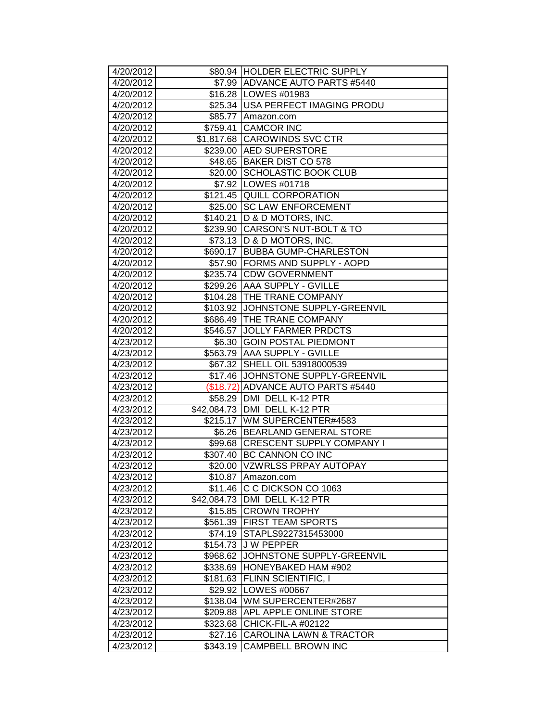| 4/20/2012              |          | \$80.94 HOLDER ELECTRIC SUPPLY                                  |
|------------------------|----------|-----------------------------------------------------------------|
| 4/20/2012              |          | \$7.99 ADVANCE AUTO PARTS #5440                                 |
| 4/20/2012              |          | \$16.28   LOWES #01983                                          |
| 4/20/2012              |          | \$25.34   USA PERFECT IMAGING PRODU                             |
| 4/20/2012              |          | \$85.77 Amazon.com                                              |
| 4/20/2012              |          | \$759.41 CAMCOR INC                                             |
| 4/20/2012              |          | \$1,817.68 CAROWINDS SVC CTR                                    |
| 4/20/2012              |          | \$239.00 AED SUPERSTORE                                         |
| 4/20/2012              |          | \$48.65 BAKER DIST CO 578                                       |
| 4/20/2012              | \$20.00  | SCHOLASTIC BOOK CLUB                                            |
| 4/20/2012              |          | \$7.92 LOWES #01718                                             |
| 4/20/2012              |          | \$121.45 QUILL CORPORATION                                      |
| 4/20/2012              | \$25.00  | <b>SC LAW ENFORCEMENT</b>                                       |
| 4/20/2012              | \$140.21 | D & D MOTORS, INC.                                              |
| 4/20/2012              |          | \$239.90 CARSON'S NUT-BOLT & TO                                 |
| 4/20/2012              |          | \$73.13   D & D MOTORS, INC.                                    |
| 4/20/2012              |          | \$690.17 BUBBA GUMP-CHARLESTON                                  |
| 4/20/2012              |          | \$57.90 FORMS AND SUPPLY - AOPD                                 |
| 4/20/2012              |          | \$235.74 CDW GOVERNMENT                                         |
| 4/20/2012              |          | \$299.26 AAA SUPPLY - GVILLE                                    |
| 4/20/2012              |          | \$104.28 THE TRANE COMPANY                                      |
| 4/20/2012              |          | \$103.92 JOHNSTONE SUPPLY-GREENVIL                              |
| 4/20/2012              |          | \$686.49 THE TRANE COMPANY                                      |
| 4/20/2012              | \$546.57 | <b>JOLLY FARMER PRDCTS</b>                                      |
| 4/23/2012              | \$6.30   | <b>GOIN POSTAL PIEDMONT</b>                                     |
| 4/23/2012              |          | \$563.79 AAA SUPPLY - GVILLE                                    |
| 4/23/2012              | \$67.32  | SHELL OIL 53918000539                                           |
| 4/23/2012              |          | \$17.46 JOHNSTONE SUPPLY-GREENVIL                               |
| 4/23/2012              |          | (\$18.72) ADVANCE AUTO PARTS #5440                              |
| 4/23/2012              |          | \$58.29 DMI DELL K-12 PTR                                       |
| 4/23/2012<br>4/23/2012 |          | \$42,084.73 DMI DELL K-12 PTR<br>\$215.17   WM SUPERCENTER#4583 |
| 4/23/2012              |          | \$6.26 BEARLAND GENERAL STORE                                   |
| 4/23/2012              |          | \$99.68 CRESCENT SUPPLY COMPANY I                               |
| 4/23/2012              | \$307.40 | <b>BC CANNON CO INC</b>                                         |
| 4/23/2012              | \$20.00  | <b>VZWRLSS PRPAY AUTOPAY</b>                                    |
| 4/23/2012              |          | \$10.87 Amazon.com                                              |
| 4/23/2012              |          | \$11.46 C C DICKSON CO 1063                                     |
| 4/23/2012              |          | \$42,084.73 DMI DELL K-12 PTR                                   |
| 4/23/2012              | \$15.85  | <b>CROWN TROPHY</b>                                             |
| 4/23/2012              | \$561.39 | <b>FIRST TEAM SPORTS</b>                                        |
| 4/23/2012              | \$74.19  | STAPLS9227315453000                                             |
| 4/23/2012              | \$154.73 | <b>JW PEPPER</b>                                                |
| 4/23/2012              | \$968.62 | JOHNSTONE SUPPLY-GREENVIL                                       |
| 4/23/2012              | \$338.69 | HONEYBAKED HAM #902                                             |
| 4/23/2012              | \$181.63 | FLINN SCIENTIFIC, I                                             |
| 4/23/2012              |          | \$29.92 LOWES #00667                                            |
| 4/23/2012              | \$138.04 | WM SUPERCENTER#2687                                             |
| 4/23/2012              | \$209.88 | APL APPLE ONLINE STORE                                          |
| 4/23/2012              | \$323.68 | CHICK-FIL-A #02122                                              |
| 4/23/2012              | \$27.16  | CAROLINA LAWN & TRACTOR                                         |
| 4/23/2012              | \$343.19 | <b>CAMPBELL BROWN INC</b>                                       |
|                        |          |                                                                 |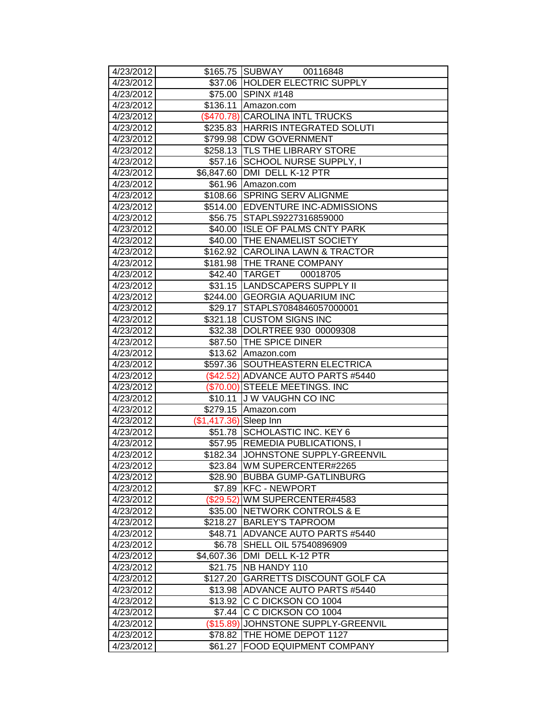| 4/23/2012              |                        | \$165.75 SUBWAY 00116848                         |
|------------------------|------------------------|--------------------------------------------------|
| 4/23/2012              |                        | \$37.06 HOLDER ELECTRIC SUPPLY                   |
| 4/23/2012              |                        | \$75.00 SPINX #148                               |
| 4/23/2012              |                        | \$136.11 Amazon.com                              |
| 4/23/2012              |                        | (\$470.78) CAROLINA INTL TRUCKS                  |
| 4/23/2012              |                        | \$235.83 HARRIS INTEGRATED SOLUTI                |
| 4/23/2012              |                        | \$799.98 CDW GOVERNMENT                          |
| 4/23/2012              |                        | \$258.13 TLS THE LIBRARY STORE                   |
| 4/23/2012              |                        | \$57.16 SCHOOL NURSE SUPPLY, I                   |
| 4/23/2012              |                        | \$6,847.60 DMI DELL K-12 PTR                     |
| 4/23/2012              |                        | \$61.96 Amazon.com                               |
| 4/23/2012              | \$108.66               | <b>SPRING SERV ALIGNME</b>                       |
| 4/23/2012              |                        | \$514.00 EDVENTURE INC-ADMISSIONS                |
| 4/23/2012              |                        | \$56.75 STAPLS9227316859000                      |
| 4/23/2012              |                        | \$40.00 ISLE OF PALMS CNTY PARK                  |
| 4/23/2012              |                        | \$40.00 THE ENAMELIST SOCIETY                    |
| 4/23/2012              |                        | \$162.92 CAROLINA LAWN & TRACTOR                 |
| 4/23/2012              |                        | \$181.98 THE TRANE COMPANY                       |
| 4/23/2012              |                        | \$42.40 TARGET<br>00018705                       |
| 4/23/2012              |                        | \$31.15  LANDSCAPERS SUPPLY II                   |
| 4/23/2012              |                        | \$244.00 GEORGIA AQUARIUM INC                    |
| 4/23/2012              |                        | \$29.17 STAPLS7084846057000001                   |
| 4/23/2012              |                        | \$321.18 CUSTOM SIGNS INC                        |
| 4/23/2012              |                        | \$32.38  DOLRTREE 930 00009308                   |
| 4/23/2012              |                        | \$87.50 THE SPICE DINER                          |
| 4/23/2012              | \$13.62                | Amazon.com                                       |
| 4/23/2012              | \$597.36               | SOUTHEASTERN ELECTRICA                           |
| 4/23/2012              | (\$42.52)              | ADVANCE AUTO PARTS #5440                         |
| 4/23/2012              | $(\$70.00)$            | <b>STEELE MEETINGS. INC</b>                      |
| 4/23/2012              | \$10.11                | <b>JW VAUGHN CO INC</b>                          |
| 4/23/2012              |                        | \$279.15 Amazon.com                              |
| 4/23/2012              | (\$1,417.36) Sleep Inn |                                                  |
| 4/23/2012              | \$51.78                | <b>SCHOLASTIC INC. KEY 6</b>                     |
| 4/23/2012              | \$57.95                | <b>REMEDIA PUBLICATIONS, I</b>                   |
| 4/23/2012              | \$182.34               | JOHNSTONE SUPPLY-GREENVIL                        |
| 4/23/2012              |                        | \$23.84 WM SUPERCENTER#2265                      |
| 4/23/2012              |                        | \$28.90  BUBBA GUMP-GATLINBURG                   |
| 4/23/2012              |                        | \$7.89 KFC - NEWPORT                             |
| 4/23/2012              |                        | (\$29.52) WM SUPERCENTER#4583                    |
| 4/23/2012              |                        | \$35.00 NETWORK CONTROLS & E                     |
| 4/23/2012              | \$218.27               | <b>BARLEY'S TAPROOM</b>                          |
| 4/23/2012              | \$48.71                | ADVANCE AUTO PARTS #5440                         |
| 4/23/2012              | \$6.78                 | SHELL OIL 57540896909                            |
| 4/23/2012              | \$4,607.36             | DMI DELL K-12 PTR                                |
| 4/23/2012              | \$21.75                | NB HANDY 110<br><b>GARRETTS DISCOUNT GOLF CA</b> |
| 4/23/2012              | \$127.20               | \$13.98 ADVANCE AUTO PARTS #5440                 |
| 4/23/2012              |                        | \$13.92 C C DICKSON CO 1004                      |
| 4/23/2012<br>4/23/2012 |                        | \$7.44 C C DICKSON CO 1004                       |
| 4/23/2012              |                        | (\$15.89) JOHNSTONE SUPPLY-GREENVIL              |
| 4/23/2012              | \$78.82                | THE HOME DEPOT 1127                              |
| 4/23/2012              | \$61.27                | <b>FOOD EQUIPMENT COMPANY</b>                    |
|                        |                        |                                                  |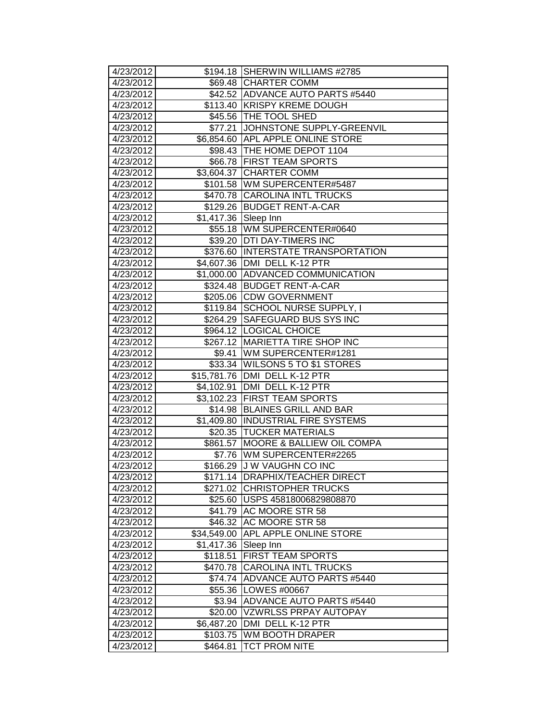| 4/23/2012              |                         | \$194.18 SHERWIN WILLIAMS #2785                                 |
|------------------------|-------------------------|-----------------------------------------------------------------|
| 4/23/2012              |                         | \$69.48 CHARTER COMM                                            |
| 4/23/2012              |                         | \$42.52 ADVANCE AUTO PARTS #5440                                |
| 4/23/2012              |                         | \$113.40 KRISPY KREME DOUGH                                     |
| 4/23/2012              |                         | \$45.56 THE TOOL SHED                                           |
| 4/23/2012              | \$77.21                 | JOHNSTONE SUPPLY-GREENVIL                                       |
| 4/23/2012              |                         | \$6,854.60 APL APPLE ONLINE STORE                               |
| 4/23/2012              |                         | \$98.43 THE HOME DEPOT 1104                                     |
| 4/23/2012              | \$66.78                 | <b>FIRST TEAM SPORTS</b>                                        |
| 4/23/2012              | \$3,604.37              | <b>CHARTER COMM</b>                                             |
| 4/23/2012              | \$101.58                | WM SUPERCENTER#5487                                             |
| 4/23/2012              | \$470.78                | <b>CAROLINA INTL TRUCKS</b>                                     |
| 4/23/2012              | \$129.26                | <b>BUDGET RENT-A-CAR</b>                                        |
| 4/23/2012              | \$1,417.36 Sleep Inn    |                                                                 |
| 4/23/2012              | \$55.18                 | WM SUPERCENTER#0640                                             |
| 4/23/2012              | \$39.20                 | <b>DTI DAY-TIMERS INC</b>                                       |
| 4/23/2012              | \$376.60                | <b>INTERSTATE TRANSPORTATION</b>                                |
| 4/23/2012              | \$4,607.36              | DMI DELL K-12 PTR                                               |
| 4/23/2012              | \$1,000.00              | ADVANCED COMMUNICATION                                          |
| 4/23/2012              | \$324.48                | <b>BUDGET RENT-A-CAR</b>                                        |
| 4/23/2012              |                         | \$205.06 CDW GOVERNMENT                                         |
| 4/23/2012              |                         | \$119.84 SCHOOL NURSE SUPPLY, I                                 |
| 4/23/2012              | \$264.29                | SAFEGUARD BUS SYS INC                                           |
| 4/23/2012              |                         | \$964.12 LOGICAL CHOICE                                         |
| 4/23/2012              | \$267.12                | MARIETTA TIRE SHOP INC                                          |
| 4/23/2012              | \$9.41                  | WM SUPERCENTER#1281                                             |
| 4/23/2012              | \$33.34                 | <b>WILSONS 5 TO \$1 STORES</b>                                  |
| 4/23/2012              | $\overline{$15,781.76}$ | DMI DELL K-12 PTR                                               |
| 4/23/2012              | \$4,102.91              | DMI DELL K-12 PTR                                               |
| 4/23/2012              |                         | \$3,102.23 FIRST TEAM SPORTS                                    |
| 4/23/2012              | \$14.98                 | <b>BLAINES GRILL AND BAR</b>                                    |
| 4/23/2012              | \$1,409.80              | <b>INDUSTRIAL FIRE SYSTEMS</b><br>\$20.35 TUCKER MATERIALS      |
| 4/23/2012              |                         | MOORE & BALLIEW OIL COMPA                                       |
| 4/23/2012<br>4/23/2012 | \$861.57                |                                                                 |
| 4/23/2012              | \$7.76                  | WM SUPERCENTER#2265<br>J W VAUGHN CO INC                        |
|                        | \$166.29                |                                                                 |
| 4/23/2012<br>4/23/2012 |                         | \$171.14  DRAPHIX/TEACHER DIRECT<br>\$271.02 CHRISTOPHER TRUCKS |
|                        | \$25.60                 | USPS 45818006829808870                                          |
| 4/23/2012<br>4/23/2012 | \$41.79                 | AC MOORE STR 58                                                 |
| 4/23/2012              | \$46.32                 | AC MOORE STR 58                                                 |
| 4/23/2012              | \$34,549.00             | APL APPLE ONLINE STORE                                          |
| 4/23/2012              | \$1,417.36              | Sleep Inn                                                       |
| 4/23/2012              | \$118.51                | <b>FIRST TEAM SPORTS</b>                                        |
| 4/23/2012              | \$470.78                | <b>CAROLINA INTL TRUCKS</b>                                     |
|                        |                         | ADVANCE AUTO PARTS #5440                                        |
| 4/23/2012              | \$74.74<br>\$55.36      | LOWES #00667                                                    |
| 4/23/2012<br>4/23/2012 | \$3.94                  | ADVANCE AUTO PARTS #5440                                        |
| 4/23/2012              | \$20.00                 | <b>VZWRLSS PRPAY AUTOPAY</b>                                    |
| 4/23/2012              | \$6,487.20              | DMI DELL K-12 PTR                                               |
| 4/23/2012              | \$103.75                | WM BOOTH DRAPER                                                 |
| 4/23/2012              | \$464.81                | TCT PROM NITE                                                   |
|                        |                         |                                                                 |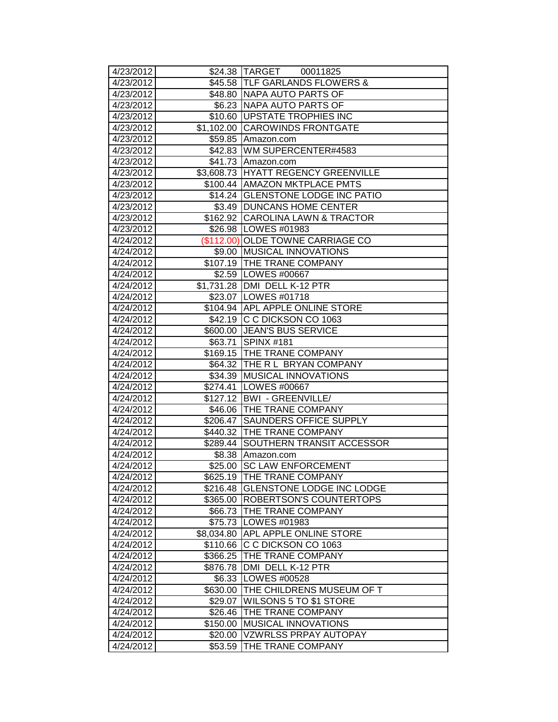| 4/23/2012              |            | \$24.38 TARGET 00011825                                 |
|------------------------|------------|---------------------------------------------------------|
| 4/23/2012              |            | \$45.58 TLF GARLANDS FLOWERS &                          |
| 4/23/2012              |            | \$48.80   NAPA AUTO PARTS OF                            |
| 4/23/2012              |            | \$6.23   NAPA AUTO PARTS OF                             |
| 4/23/2012              |            | \$10.60   UPSTATE TROPHIES INC                          |
| 4/23/2012              |            | \$1,102.00 CAROWINDS FRONTGATE                          |
| 4/23/2012              |            | \$59.85 Amazon.com                                      |
| 4/23/2012              |            | \$42.83 WM SUPERCENTER#4583                             |
| 4/23/2012              |            | \$41.73 Amazon.com                                      |
| 4/23/2012              |            | \$3,608.73 HYATT REGENCY GREENVILLE                     |
| 4/23/2012              |            | \$100.44 AMAZON MKTPLACE PMTS                           |
| 4/23/2012              |            | \$14.24 GLENSTONE LODGE INC PATIO                       |
| 4/23/2012              |            | \$3.49   DUNCANS HOME CENTER                            |
| 4/23/2012              |            | \$162.92 CAROLINA LAWN & TRACTOR                        |
| 4/23/2012              |            | \$26.98   LOWES #01983                                  |
| 4/24/2012              |            | (\$112.00) OLDE TOWNE CARRIAGE CO                       |
| 4/24/2012              |            | \$9.00 MUSICAL INNOVATIONS                              |
| 4/24/2012              |            | \$107.19 THE TRANE COMPANY                              |
| 4/24/2012              |            | \$2.59 LOWES #00667                                     |
| 4/24/2012              |            | \$1,731.28 DMI DELL K-12 PTR                            |
| 4/24/2012              |            | \$23.07   LOWES #01718                                  |
| 4/24/2012              |            | \$104.94 APL APPLE ONLINE STORE                         |
| 4/24/2012              |            | \$42.19 C C DICKSON CO 1063                             |
| 4/24/2012              |            | \$600.00 JEAN'S BUS SERVICE                             |
| 4/24/2012              | \$63.71    | SPINX #181                                              |
| 4/24/2012              |            | \$169.15 THE TRANE COMPANY                              |
| 4/24/2012              |            | \$64.32 THE R L BRYAN COMPANY                           |
| 4/24/2012              | \$34.39    | <b>MUSICAL INNOVATIONS</b>                              |
| 4/24/2012              |            | \$274.41   LOWES #00667                                 |
| 4/24/2012              |            | \$127.12 BWI - GREENVILLE/<br>\$46.06 THE TRANE COMPANY |
| 4/24/2012<br>4/24/2012 |            | \$206.47 SAUNDERS OFFICE SUPPLY                         |
| 4/24/2012              |            | \$440.32 THE TRANE COMPANY                              |
| 4/24/2012              |            | \$289.44 SOUTHERN TRANSIT ACCESSOR                      |
| 4/24/2012              | \$8.38     | Amazon.com                                              |
| 4/24/2012              | \$25.00    | <b>SC LAW ENFORCEMENT</b>                               |
| 4/24/2012              |            | \$625.19  THE TRANE COMPANY                             |
| 4/24/2012              |            | \$216.48 GLENSTONE LODGE INC LODGE                      |
| 4/24/2012              | \$365.00   | <b>ROBERTSON'S COUNTERTOPS</b>                          |
| 4/24/2012              | \$66.73    | <b>THE TRANE COMPANY</b>                                |
| 4/24/2012              | \$75.73    | LOWES #01983                                            |
| 4/24/2012              | \$8,034.80 | <b>APL APPLE ONLINE STORE</b>                           |
| 4/24/2012              | \$110.66   | C C DICKSON CO 1063                                     |
| 4/24/2012              | \$366.25   | <b>THE TRANE COMPANY</b>                                |
| 4/24/2012              | \$876.78   | DMI DELL K-12 PTR                                       |
| 4/24/2012              | \$6.33     | LOWES #00528                                            |
| 4/24/2012              | \$630.00   | <b>THE CHILDRENS MUSEUM OF T</b>                        |
| 4/24/2012              | \$29.07    | <b>WILSONS 5 TO \$1 STORE</b>                           |
| 4/24/2012              | \$26.46    | <b>THE TRANE COMPANY</b>                                |
| 4/24/2012              | \$150.00   | <b>MUSICAL INNOVATIONS</b>                              |
| 4/24/2012              | \$20.00    | <b>VZWRLSS PRPAY AUTOPAY</b>                            |
| 4/24/2012              | \$53.59    | THE TRANE COMPANY                                       |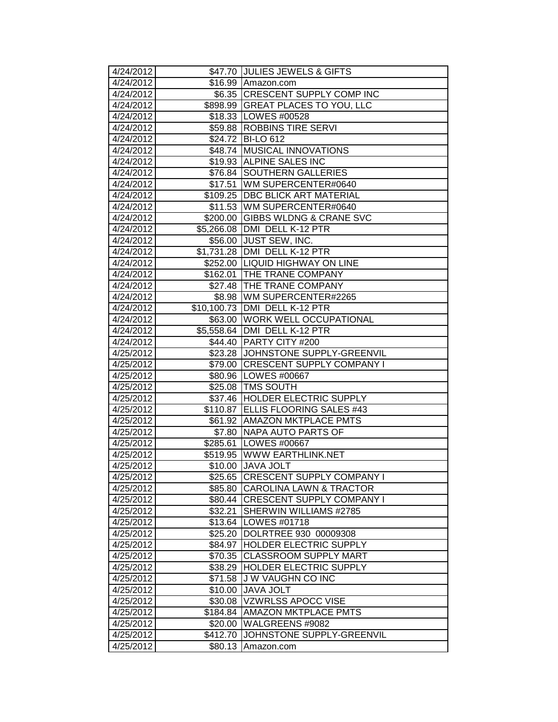| 4/24/2012              |            | \$47.70 JULIES JEWELS & GIFTS                                            |
|------------------------|------------|--------------------------------------------------------------------------|
| 4/24/2012              |            | \$16.99 Amazon.com                                                       |
| 4/24/2012              |            | \$6.35 CRESCENT SUPPLY COMP INC                                          |
| 4/24/2012              |            | \$898.99 GREAT PLACES TO YOU, LLC                                        |
| 4/24/2012              |            | \$18.33   LOWES #00528                                                   |
| 4/24/2012              |            | \$59.88 ROBBINS TIRE SERVI                                               |
| 4/24/2012              |            | \$24.72 BI-LO 612                                                        |
| 4/24/2012              |            | \$48.74 MUSICAL INNOVATIONS                                              |
| 4/24/2012              |            | \$19.93 ALPINE SALES INC                                                 |
| 4/24/2012              | \$76.84    | <b>SOUTHERN GALLERIES</b>                                                |
| 4/24/2012              | \$17.51    | WM SUPERCENTER#0640                                                      |
| 4/24/2012              |            | \$109.25   DBC BLICK ART MATERIAL                                        |
| 4/24/2012              |            | \$11.53 WM SUPERCENTER#0640                                              |
| 4/24/2012              |            | \$200.00 GIBBS WLDNG & CRANE SVC                                         |
| 4/24/2012              |            | \$5,266.08 DMI DELL K-12 PTR                                             |
| 4/24/2012              | \$56.00    | <b>JUST SEW, INC.</b>                                                    |
| 4/24/2012              | \$1,731.28 | DMI DELL K-12 PTR                                                        |
| 4/24/2012              |            | \$252.00 LIQUID HIGHWAY ON LINE                                          |
| 4/24/2012              | \$162.01   | <b>ITHE TRANE COMPANY</b>                                                |
| 4/24/2012              |            | \$27.48 THE TRANE COMPANY                                                |
| 4/24/2012              |            | \$8.98   WM SUPERCENTER#2265                                             |
| 4/24/2012              |            | \$10,100.73 DMI DELL K-12 PTR                                            |
| 4/24/2012              | \$63.00    | <b>WORK WELL OCCUPATIONAL</b>                                            |
| 4/24/2012              |            | \$5,558.64 DMI DELL K-12 PTR                                             |
| 4/24/2012              | \$44.40    | <b>PARTY CITY #200</b>                                                   |
| 4/25/2012              |            | \$23.28 JJOHNSTONE SUPPLY-GREENVIL                                       |
| 4/25/2012              | \$79.00    | <b>CRESCENT SUPPLY COMPANY I</b>                                         |
| 4/25/2012              | \$80.96    | LOWES #00667                                                             |
| 4/25/2012              | \$25.08    | <b>TMS SOUTH</b>                                                         |
| 4/25/2012              |            | \$37.46 HOLDER ELECTRIC SUPPLY                                           |
| 4/25/2012              | \$110.87   | ELLIS FLOORING SALES #43                                                 |
| 4/25/2012              |            | \$61.92 AMAZON MKTPLACE PMTS                                             |
| 4/25/2012              | \$7.80     | NAPA AUTO PARTS OF                                                       |
| 4/25/2012              | \$285.61   | LOWES #00667                                                             |
| 4/25/2012              | \$519.95   | WWW EARTHLINK.NET                                                        |
| 4/25/2012              | \$10.00    | <b>JAVA JOLT</b>                                                         |
| 4/25/2012<br>4/25/2012 | \$85.80    | \$25.65  CRESCENT SUPPLY COMPANY I<br><b>CAROLINA LAWN &amp; TRACTOR</b> |
| 4/25/2012              |            | \$80.44 CRESCENT SUPPLY COMPANY I                                        |
| 4/25/2012              | \$32.21    | SHERWIN WILLIAMS #2785                                                   |
| 4/25/2012              | \$13.64    | LOWES #01718                                                             |
| 4/25/2012              | \$25.20    | DOLRTREE 930 00009308                                                    |
| 4/25/2012              | \$84.97    | <b>HOLDER ELECTRIC SUPPLY</b>                                            |
| 4/25/2012              | \$70.35    | <b>CLASSROOM SUPPLY MART</b>                                             |
| 4/25/2012              | \$38.29    | HOLDER ELECTRIC SUPPLY                                                   |
| 4/25/2012              | \$71.58    | J W VAUGHN CO INC                                                        |
| 4/25/2012              | \$10.00    | <b>JAVA JOLT</b>                                                         |
| 4/25/2012              | \$30.08    | <b>VZWRLSS APOCC VISE</b>                                                |
| 4/25/2012              | \$184.84   | <b>AMAZON MKTPLACE PMTS</b>                                              |
| 4/25/2012              | \$20.00    | WALGREENS #9082                                                          |
| 4/25/2012              | \$412.70   | JOHNSTONE SUPPLY-GREENVIL                                                |
| 4/25/2012              | \$80.13    | Amazon.com                                                               |
|                        |            |                                                                          |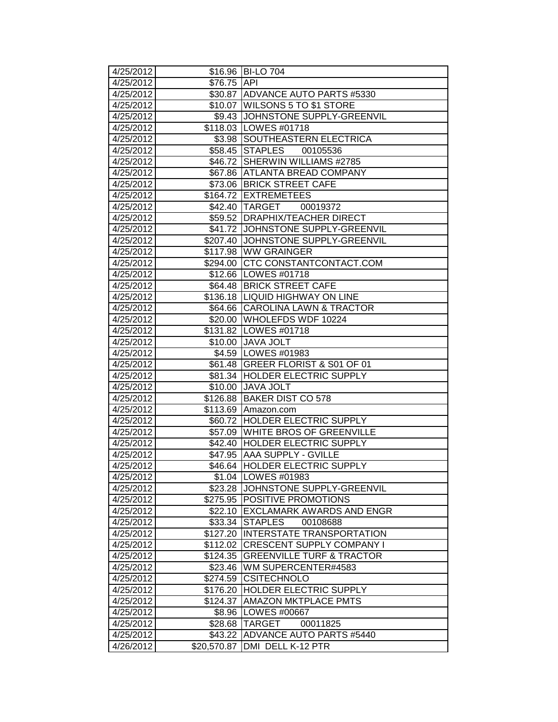| 4/25/2012              |             | \$16.96 BI-LO 704                                             |
|------------------------|-------------|---------------------------------------------------------------|
| 4/25/2012              | \$76.75 API |                                                               |
| 4/25/2012              |             | \$30.87 ADVANCE AUTO PARTS #5330                              |
| 4/25/2012              |             | \$10.07 WILSONS 5 TO \$1 STORE                                |
| 4/25/2012              |             | \$9.43 JJOHNSTONE SUPPLY-GREENVIL                             |
| 4/25/2012              |             | \$118.03 LOWES #01718                                         |
| 4/25/2012              |             | \$3.98 SOUTHEASTERN ELECTRICA                                 |
| 4/25/2012              |             | \$58.45 STAPLES<br>00105536                                   |
| 4/25/2012              |             | \$46.72 SHERWIN WILLIAMS #2785                                |
| 4/25/2012              |             | \$67.86 ATLANTA BREAD COMPANY                                 |
| 4/25/2012              |             | \$73.06 BRICK STREET CAFE                                     |
| 4/25/2012              |             | \$164.72 EXTREMETEES                                          |
| 4/25/2012              |             | \$42.40 TARGET 00019372                                       |
| 4/25/2012              |             | \$59.52 DRAPHIX/TEACHER DIRECT                                |
| 4/25/2012              |             | \$41.72 JOHNSTONE SUPPLY-GREENVIL                             |
| 4/25/2012              |             | \$207.40 JJOHNSTONE SUPPLY-GREENVIL                           |
| 4/25/2012              |             | \$117.98 WW GRAINGER                                          |
| 4/25/2012              |             | \$294.00 CTC CONSTANTCONTACT.COM                              |
| 4/25/2012              |             | \$12.66   LOWES #01718                                        |
| 4/25/2012              |             | \$64.48 BRICK STREET CAFE                                     |
| 4/25/2012              |             | \$136.18  LIQUID HIGHWAY ON LINE                              |
| 4/25/2012              |             | \$64.66 CAROLINA LAWN & TRACTOR                               |
| 4/25/2012              |             | \$20.00 WHOLEFDS WDF 10224                                    |
| 4/25/2012              |             | \$131.82 LOWES #01718                                         |
| 4/25/2012              |             | \$10.00 JAVA JOLT                                             |
| 4/25/2012              |             | \$4.59 LOWES #01983                                           |
| 4/25/2012              |             | \$61.48 GREER FLORIST & S01 OF 01                             |
| 4/25/2012              |             | \$81.34 HOLDER ELECTRIC SUPPLY                                |
| 4/25/2012              | \$10.00     | <b>JAVA JOLT</b>                                              |
| 4/25/2012              |             | \$126.88 BAKER DIST CO 578                                    |
| 4/25/2012              |             | \$113.69 Amazon.com                                           |
| 4/25/2012              |             | \$60.72 HOLDER ELECTRIC SUPPLY                                |
| 4/25/2012              |             | \$57.09 WHITE BROS OF GREENVILLE                              |
| 4/25/2012<br>4/25/2012 |             | \$42.40 HOLDER ELECTRIC SUPPLY                                |
| 4/25/2012              |             | \$47.95 AAA SUPPLY - GVILLE<br>\$46.64 HOLDER ELECTRIC SUPPLY |
|                        |             |                                                               |
| 4/25/2012<br>4/25/2012 |             | \$1.04 ILOWES #01983<br>\$23.28 JJOHNSTONE SUPPLY-GREENVIL    |
| 4/25/2012              |             | \$275.95 POSITIVE PROMOTIONS                                  |
| 4/25/2012              | \$22.10     | <b>IEXCLAMARK AWARDS AND ENGR</b>                             |
| 4/25/2012              | \$33.34     | <b>STAPLES</b><br>00108688                                    |
| 4/25/2012              | \$127.20    | <b>INTERSTATE TRANSPORTATION</b>                              |
| 4/25/2012              | \$112.02    | <b>CRESCENT SUPPLY COMPANY I</b>                              |
| 4/25/2012              | \$124.35    | <b>GREENVILLE TURF &amp; TRACTOR</b>                          |
| 4/25/2012              | \$23.46     | WM SUPERCENTER#4583                                           |
| 4/25/2012              | \$274.59    | <b>CSITECHNOLO</b>                                            |
| 4/25/2012              | \$176.20    | <b>HOLDER ELECTRIC SUPPLY</b>                                 |
| 4/25/2012              | \$124.37    | <b>AMAZON MKTPLACE PMTS</b>                                   |
| 4/25/2012              | \$8.96      | <b>LOWES #00667</b>                                           |
| 4/25/2012              |             | \$28.68 TARGET<br>00011825                                    |
| 4/25/2012              | \$43.22     | ADVANCE AUTO PARTS #5440                                      |
| 4/26/2012              | \$20,570.87 | DMI DELL K-12 PTR                                             |
|                        |             |                                                               |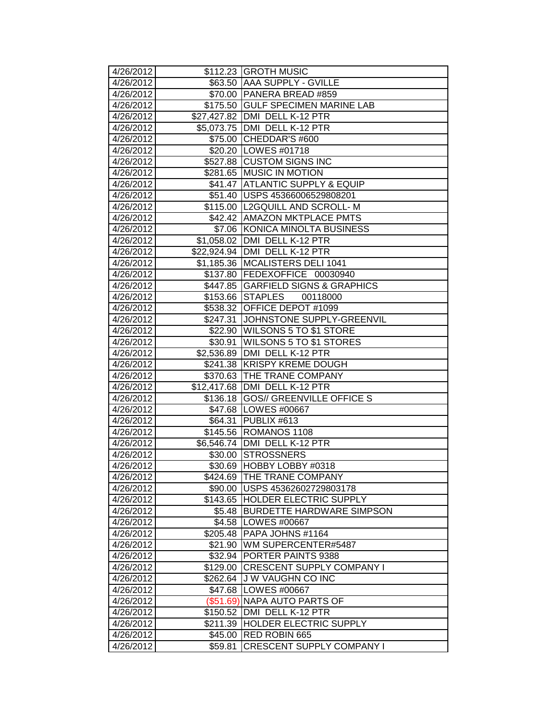| 4/26/2012              |                    | \$112.23 GROTH MUSIC                                              |
|------------------------|--------------------|-------------------------------------------------------------------|
| 4/26/2012              |                    | \$63.50 AAA SUPPLY - GVILLE                                       |
| 4/26/2012              |                    | \$70.00 PANERA BREAD #859                                         |
| 4/26/2012              |                    | \$175.50 GULF SPECIMEN MARINE LAB                                 |
| 4/26/2012              |                    | \$27,427.82   DMI DELL K-12 PTR                                   |
| 4/26/2012              |                    | \$5,073.75 DMI DELL K-12 PTR                                      |
| 4/26/2012              |                    | \$75.00 CHEDDAR'S #600                                            |
| 4/26/2012              |                    | \$20.20 LOWES #01718                                              |
| 4/26/2012              |                    | \$527.88 CUSTOM SIGNS INC                                         |
| 4/26/2012              | \$281.65           | <b>MUSIC IN MOTION</b>                                            |
| 4/26/2012              | \$41.47            | <b>ATLANTIC SUPPLY &amp; EQUIP</b>                                |
| 4/26/2012              |                    | \$51.40 USPS 45366006529808201                                    |
| 4/26/2012              |                    | \$115.00  L2GQUILL AND SCROLL-M                                   |
| 4/26/2012              |                    | \$42.42 AMAZON MKTPLACE PMTS                                      |
| 4/26/2012              |                    | \$7.06 KONICA MINOLTA BUSINESS                                    |
| 4/26/2012              |                    | \$1,058.02 DMI DELL K-12 PTR                                      |
| 4/26/2012              | \$22,924.94        | DMI DELL K-12 PTR                                                 |
| 4/26/2012              | \$1,185.36         | MCALISTERS DELI 1041                                              |
| 4/26/2012              | \$137.80           | <b>FEDEXOFFICE</b><br>00030940                                    |
| 4/26/2012              |                    | \$447.85 GARFIELD SIGNS & GRAPHICS                                |
| 4/26/2012              |                    | \$153.66 STAPLES<br>00118000                                      |
| 4/26/2012              |                    | \$538.32 OFFICE DEPOT #1099                                       |
| 4/26/2012              | \$247.31           | JOHNSTONE SUPPLY-GREENVIL                                         |
| 4/26/2012              | \$22.90            | <b>WILSONS 5 TO \$1 STORE</b>                                     |
| 4/26/2012              | \$30.91            | WILSONS 5 TO \$1 STORES                                           |
| 4/26/2012              | \$2,536.89         | DMI DELL K-12 PTR                                                 |
| 4/26/2012              | \$241.38           | <b>KRISPY KREME DOUGH</b>                                         |
| 4/26/2012              | \$370.63           | <b>THE TRANE COMPANY</b>                                          |
| 4/26/2012              | \$12,417.68        | DMI DELL K-12 PTR                                                 |
| 4/26/2012              |                    | \$136.18 GOS// GREENVILLE OFFICE S                                |
| 4/26/2012              |                    | \$47.68   LOWES #00667                                            |
| 4/26/2012              | \$64.31            | PUBLIX #613                                                       |
| 4/26/2012              |                    | \$145.56 ROMANOS 1108                                             |
| 4/26/2012              | \$6,546.74         | DMI DELL K-12 PTR                                                 |
| 4/26/2012              | \$30.00            | <b>STROSSNERS</b>                                                 |
| 4/26/2012              | \$30.69            | HOBBY LOBBY #0318                                                 |
| 4/26/2012              |                    | \$424.69  THE TRANE COMPANY                                       |
| 4/26/2012              |                    | \$90.00   USPS 45362602729803178                                  |
| 4/26/2012              | \$143.65           | <b>HOLDER ELECTRIC SUPPLY</b><br><b>BURDETTE HARDWARE SIMPSON</b> |
| 4/26/2012              | \$5.48             |                                                                   |
| 4/26/2012<br>4/26/2012 | \$4.58<br>\$205.48 | LOWES #00667<br>PAPA JOHNS #1164                                  |
| 4/26/2012              | \$21.90            |                                                                   |
| 4/26/2012              | \$32.94            | WM SUPERCENTER#5487<br><b>PORTER PAINTS 9388</b>                  |
| 4/26/2012              | \$129.00           | <b>CRESCENT SUPPLY COMPANY I</b>                                  |
| 4/26/2012              | \$262.64           | J W VAUGHN CO INC                                                 |
| 4/26/2012              | \$47.68            | LOWES #00667                                                      |
| 4/26/2012              | $(\$51.69)$        | <b>NAPA AUTO PARTS OF</b>                                         |
| 4/26/2012              | \$150.52           | DMI DELL K-12 PTR                                                 |
| 4/26/2012              | \$211.39           | HOLDER ELECTRIC SUPPLY                                            |
| 4/26/2012              | \$45.00            | RED ROBIN 665                                                     |
| 4/26/2012              | \$59.81            | CRESCENT SUPPLY COMPANY I                                         |
|                        |                    |                                                                   |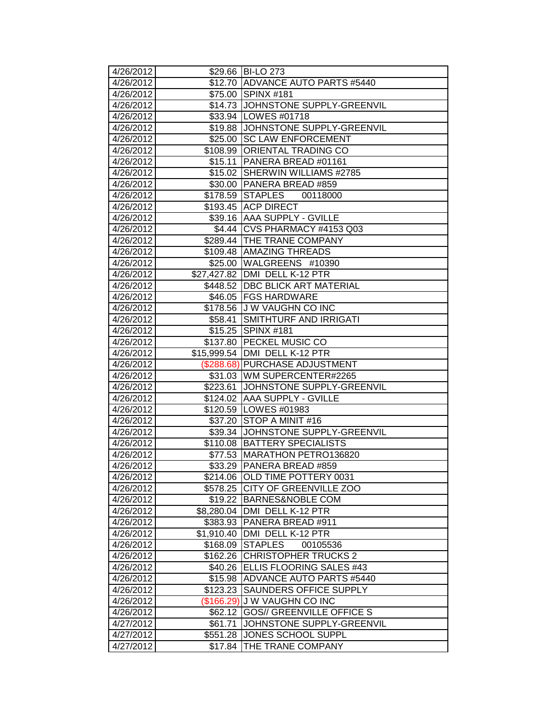| 4/26/2012 |             | \$29.66 BI-LO 273                |
|-----------|-------------|----------------------------------|
| 4/26/2012 | \$12.70     | ADVANCE AUTO PARTS #5440         |
| 4/26/2012 | \$75.00     | SPINX #181                       |
| 4/26/2012 | \$14.73     | JOHNSTONE SUPPLY-GREENVIL        |
| 4/26/2012 | \$33.94     | LOWES #01718                     |
| 4/26/2012 | \$19.88     | JOHNSTONE SUPPLY-GREENVIL        |
| 4/26/2012 | \$25.00     | <b>SC LAW ENFORCEMENT</b>        |
| 4/26/2012 |             | \$108.99 ORIENTAL TRADING CO     |
| 4/26/2012 | \$15.11     | PANERA BREAD #01161              |
| 4/26/2012 |             | \$15.02 SHERWIN WILLIAMS #2785   |
| 4/26/2012 | \$30.00     | PANERA BREAD #859                |
| 4/26/2012 | \$178.59    | <b>STAPLES</b><br>00118000       |
| 4/26/2012 | \$193.45    | <b>ACP DIRECT</b>                |
| 4/26/2012 | \$39.16     | <b>AAA SUPPLY - GVILLE</b>       |
| 4/26/2012 | \$4.44      | CVS PHARMACY #4153 Q03           |
| 4/26/2012 |             | \$289.44 THE TRANE COMPANY       |
| 4/26/2012 | \$109.48    | <b>AMAZING THREADS</b>           |
| 4/26/2012 | \$25.00     | WALGREENS #10390                 |
| 4/26/2012 | \$27,427.82 | DMI DELL K-12 PTR                |
| 4/26/2012 | \$448.52    | DBC BLICK ART MATERIAL           |
| 4/26/2012 | \$46.05     | <b>FGS HARDWARE</b>              |
| 4/26/2012 | \$178.56    | <b>JU W VAUGHN CO INC</b>        |
| 4/26/2012 | \$58.41     | SMITHTURF AND IRRIGATI           |
| 4/26/2012 |             | \$15.25 SPINX #181               |
| 4/26/2012 | \$137.80    | <b>PECKEL MUSIC CO</b>           |
| 4/26/2012 | \$15,999.54 | DMI DELL K-12 PTR                |
| 4/26/2012 | (\$288.68)  | <b>PURCHASE ADJUSTMENT</b>       |
| 4/26/2012 | \$31.03     | WM SUPERCENTER#2265              |
| 4/26/2012 | \$223.61    | JOHNSTONE SUPPLY-GREENVIL        |
| 4/26/2012 | \$124.02    | <b>AAA SUPPLY - GVILLE</b>       |
| 4/26/2012 | \$120.59    | LOWES #01983                     |
| 4/26/2012 | \$37.20     | STOP A MINIT #16                 |
| 4/26/2012 | \$39.34     | JOHNSTONE SUPPLY-GREENVIL        |
| 4/26/2012 | \$110.08    | <b>BATTERY SPECIALISTS</b>       |
| 4/26/2012 | \$77.53     | MARATHON PETRO136820             |
| 4/26/2012 | \$33.29     | PANERA BREAD #859                |
| 4/26/2012 |             | \$214.06 OLD TIME POTTERY 0031   |
| 4/26/2012 | \$578.25    | <b>CITY OF GREENVILLE ZOO</b>    |
| 4/26/2012 | \$19.22     | <b>BARNES&amp;NOBLE COM</b>      |
| 4/26/2012 | \$8,280.04  | DMI DELL K-12 PTR                |
| 4/26/2012 | \$383.93    | <b>PANERA BREAD #911</b>         |
| 4/26/2012 | \$1,910.40  | DMI DELL K-12 PTR                |
| 4/26/2012 | \$168.09    | <b>STAPLES</b><br>00105536       |
| 4/26/2012 | \$162.26    | <b>CHRISTOPHER TRUCKS 2</b>      |
| 4/26/2012 | \$40.26     | ELLIS FLOORING SALES #43         |
| 4/26/2012 | \$15.98     | ADVANCE AUTO PARTS #5440         |
| 4/26/2012 | \$123.23    | SAUNDERS OFFICE SUPPLY           |
| 4/26/2012 | (\$166.29)  | <b>JW VAUGHN CO INC</b>          |
| 4/26/2012 | \$62.12     | <b>GOS// GREENVILLE OFFICE S</b> |
| 4/27/2012 | \$61.71     | JOHNSTONE SUPPLY-GREENVIL        |
| 4/27/2012 | \$551.28    | JONES SCHOOL SUPPL               |
| 4/27/2012 | \$17.84     | THE TRANE COMPANY                |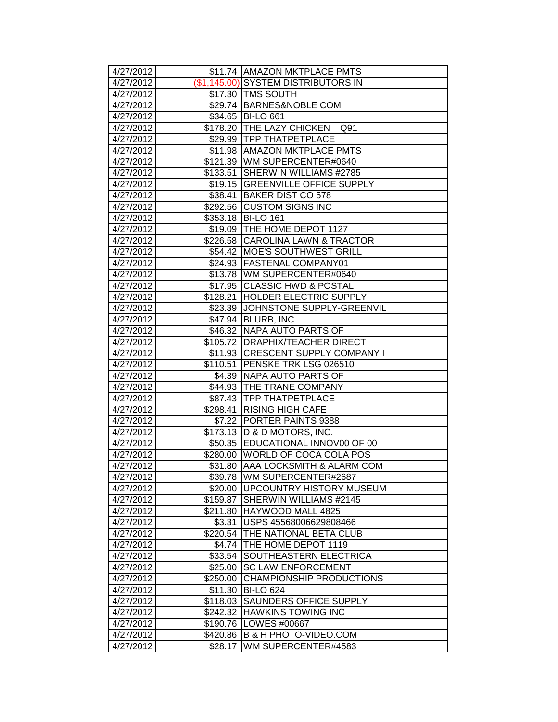| 4/27/2012              |          | \$11.74 AMAZON MKTPLACE PMTS                                        |
|------------------------|----------|---------------------------------------------------------------------|
| 4/27/2012              |          | (\$1,145.00) SYSTEM DISTRIBUTORS IN                                 |
| 4/27/2012              |          | \$17.30 TMS SOUTH                                                   |
| 4/27/2012              |          | \$29.74 BARNES&NOBLE COM                                            |
| 4/27/2012              |          | \$34.65 BI-LO 661                                                   |
| 4/27/2012              |          | \$178.20 THE LAZY CHICKEN<br>Q91                                    |
| 4/27/2012              |          | \$29.99 TPP THATPETPLACE                                            |
| 4/27/2012              |          | \$11.98 AMAZON MKTPLACE PMTS                                        |
| 4/27/2012              |          | \$121.39 WM SUPERCENTER#0640                                        |
| 4/27/2012              | \$133.51 | SHERWIN WILLIAMS #2785                                              |
| 4/27/2012              |          | \$19.15 GREENVILLE OFFICE SUPPLY                                    |
| 4/27/2012              | \$38.41  | <b>BAKER DIST CO 578</b>                                            |
| 4/27/2012              |          | \$292.56 CUSTOM SIGNS INC                                           |
| 4/27/2012              |          | \$353.18 BI-LO 161                                                  |
| 4/27/2012              |          | \$19.09 THE HOME DEPOT 1127                                         |
| 4/27/2012              |          | \$226.58 CAROLINA LAWN & TRACTOR                                    |
| 4/27/2012              | \$54.42  | <b>MOE'S SOUTHWEST GRILL</b>                                        |
| 4/27/2012              | \$24.93  | <b>FASTENAL COMPANY01</b>                                           |
| 4/27/2012              |          | \$13.78   WM SUPERCENTER#0640                                       |
| 4/27/2012              |          | \$17.95 CLASSIC HWD & POSTAL                                        |
| 4/27/2012              | \$128.21 | <b>HOLDER ELECTRIC SUPPLY</b>                                       |
| 4/27/2012              |          | \$23.39 JJOHNSTONE SUPPLY-GREENVIL                                  |
| 4/27/2012              |          | \$47.94 BLURB, INC.                                                 |
| 4/27/2012              |          | \$46.32 NAPA AUTO PARTS OF                                          |
| 4/27/2012              |          | \$105.72   DRAPHIX/TEACHER DIRECT                                   |
| 4/27/2012              |          | \$11.93 CRESCENT SUPPLY COMPANY I                                   |
| 4/27/2012              | \$110.51 | PENSKE TRK LSG 026510                                               |
| 4/27/2012              | \$4.39   | NAPA AUTO PARTS OF                                                  |
| 4/27/2012              |          | \$44.93 THE TRANE COMPANY                                           |
| 4/27/2012              |          | \$87.43 TPP THATPETPLACE                                            |
| 4/27/2012              |          | \$298.41 RISING HIGH CAFE                                           |
| 4/27/2012              |          | \$7.22 PORTER PAINTS 9388                                           |
| 4/27/2012              |          | \$173.13   D & D MOTORS, INC.                                       |
| 4/27/2012              |          | \$50.35 EDUCATIONAL INNOV00 OF 00                                   |
| 4/27/2012              | \$280.00 | <b>WORLD OF COCA COLA POS</b>                                       |
| 4/27/2012              |          | \$31.80 AAA LOCKSMITH & ALARM COM                                   |
| 4/27/2012              |          | \$39.78  WM SUPERCENTER#2687                                        |
| 4/27/2012<br>4/27/2012 | \$159.87 | \$20.00   UPCOUNTRY HISTORY MUSEUM<br><b>SHERWIN WILLIAMS #2145</b> |
| 4/27/2012              | \$211.80 | HAYWOOD MALL 4825                                                   |
| 4/27/2012              | \$3.31   | USPS 45568006629808466                                              |
| 4/27/2012              | \$220.54 | <b>THE NATIONAL BETA CLUB</b>                                       |
| 4/27/2012              | \$4.74   | THE HOME DEPOT 1119                                                 |
| 4/27/2012              | \$33.54  | SOUTHEASTERN ELECTRICA                                              |
| 4/27/2012              | \$25.00  | <b>SC LAW ENFORCEMENT</b>                                           |
| 4/27/2012              | \$250.00 | CHAMPIONSHIP PRODUCTIONS                                            |
| 4/27/2012              | \$11.30  | <b>BI-LO 624</b>                                                    |
| 4/27/2012              | \$118.03 | <b>SAUNDERS OFFICE SUPPLY</b>                                       |
| 4/27/2012              | \$242.32 | <b>HAWKINS TOWING INC</b>                                           |
| 4/27/2012              | \$190.76 | LOWES #00667                                                        |
| 4/27/2012              | \$420.86 | <b>B &amp; H PHOTO-VIDEO.COM</b>                                    |
| 4/27/2012              | \$28.17  | WM SUPERCENTER#4583                                                 |
|                        |          |                                                                     |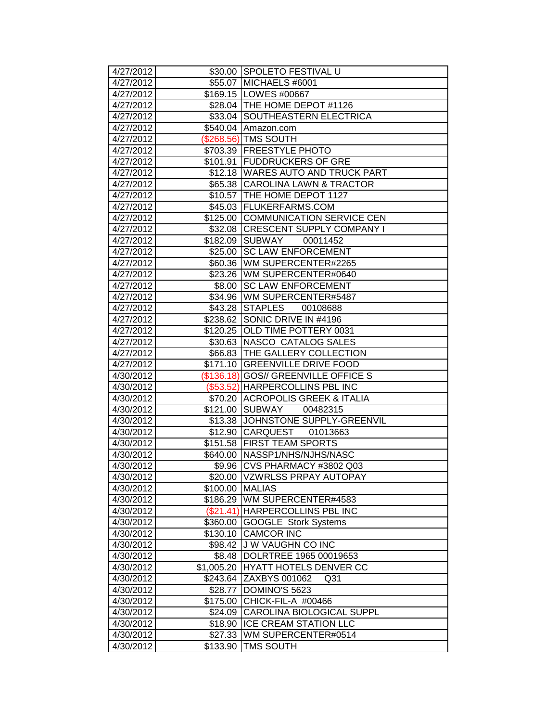| 4/27/2012              |                        | \$30.00 SPOLETO FESTIVAL U                         |
|------------------------|------------------------|----------------------------------------------------|
| 4/27/2012              |                        | \$55.07 MICHAELS #6001                             |
| 4/27/2012              |                        | \$169.15   LOWES #00667                            |
| 4/27/2012              |                        | \$28.04   THE HOME DEPOT #1126                     |
| 4/27/2012              |                        | \$33.04 SOUTHEASTERN ELECTRICA                     |
| 4/27/2012              |                        | \$540.04 Amazon.com                                |
| 4/27/2012              |                        | (\$268.56) TMS SOUTH                               |
| 4/27/2012              |                        | \$703.39 FREESTYLE PHOTO                           |
| 4/27/2012              | \$101.91               | <b>FUDDRUCKERS OF GRE</b>                          |
| 4/27/2012              |                        | \$12.18 WARES AUTO AND TRUCK PART                  |
| 4/27/2012              |                        | \$65.38 CAROLINA LAWN & TRACTOR                    |
| 4/27/2012              | \$10.57                | THE HOME DEPOT 1127                                |
| 4/27/2012              |                        | \$45.03 FLUKERFARMS.COM                            |
| 4/27/2012              |                        | \$125.00 COMMUNICATION SERVICE CEN                 |
| 4/27/2012              |                        | \$32.08 CRESCENT SUPPLY COMPANY I                  |
| 4/27/2012              | \$182.09               | <b>SUBWAY</b><br>00011452                          |
| 4/27/2012              | \$25.00                | <b>SC LAW ENFORCEMENT</b>                          |
| 4/27/2012              | \$60.36                | WM SUPERCENTER#2265                                |
| 4/27/2012              |                        | \$23.26 WM SUPERCENTER#0640                        |
| 4/27/2012              | \$8.00                 | <b>SC LAW ENFORCEMENT</b>                          |
| 4/27/2012              |                        | \$34.96   WM SUPERCENTER#5487                      |
| 4/27/2012              |                        | \$43.28 STAPLES<br>00108688                        |
| 4/27/2012              |                        | \$238.62 SONIC DRIVE IN #4196                      |
| 4/27/2012              |                        | \$120.25 OLD TIME POTTERY 0031                     |
| 4/27/2012              | \$30.63                | NASCO CATALOG SALES                                |
| 4/27/2012              | \$66.83                | <b>THE GALLERY COLLECTION</b>                      |
| 4/27/2012              | \$171.10               | <b>GREENVILLE DRIVE FOOD</b>                       |
| 4/30/2012              |                        | (\$136.18) GOS// GREENVILLE OFFICE S               |
| 4/30/2012              | (\$53.52)              | <b>HARPERCOLLINS PBL INC</b>                       |
| 4/30/2012              | \$70.20                | <b>ACROPOLIS GREEK &amp; ITALIA</b>                |
| 4/30/2012              | \$121.00               | SUBWAY<br>00482315                                 |
| 4/30/2012              | \$13.38                | JOHNSTONE SUPPLY-GREENVIL                          |
| 4/30/2012              |                        | \$12.90 CARQUEST 01013663                          |
| 4/30/2012              |                        | \$151.58 FIRST TEAM SPORTS                         |
| 4/30/2012              | \$640.00               | NASSP1/NHS/NJHS/NASC                               |
| 4/30/2012              | \$9.96                 | CVS PHARMACY #3802 Q03                             |
| 4/30/2012              |                        | \$20.00  VZWRLSS PRPAY AUTOPAY                     |
| 4/30/2012              | \$100.00               | <b>MALIAS</b>                                      |
| 4/30/2012              | \$186.29               | WM SUPERCENTER#4583                                |
| 4/30/2012              |                        | (\$21.41) HARPERCOLLINS PBL INC                    |
| 4/30/2012              | \$360.00               | GOOGLE Stork Systems                               |
| 4/30/2012              | \$130.10               | <b>CAMCOR INC</b>                                  |
| 4/30/2012<br>4/30/2012 | \$98.42                | <b>J W VAUGHN CO INC</b><br>DOLRTREE 1965 00019653 |
|                        | \$8.48                 | HYATT HOTELS DENVER CC                             |
| 4/30/2012<br>4/30/2012 | \$1,005.20<br>\$243.64 | ZAXBYS 001062<br>Q <sub>31</sub>                   |
| 4/30/2012              | \$28.77                | DOMINO'S 5623                                      |
| 4/30/2012              | \$175.00               | CHICK-FIL-A #00466                                 |
| 4/30/2012              | \$24.09                | CAROLINA BIOLOGICAL SUPPL                          |
| 4/30/2012              | \$18.90                | <b>ICE CREAM STATION LLC</b>                       |
| 4/30/2012              | \$27.33                | WM SUPERCENTER#0514                                |
| 4/30/2012              | \$133.90               | <b>TMS SOUTH</b>                                   |
|                        |                        |                                                    |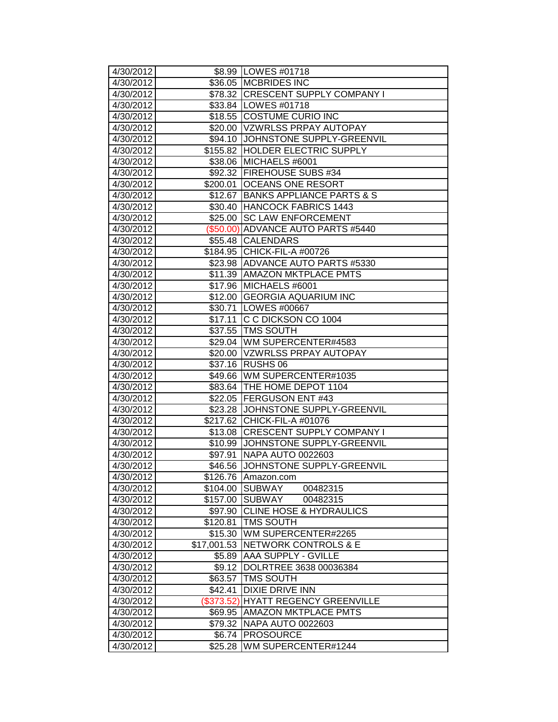| 4/30/2012              |             | \$8.99 LOWES #01718                                               |
|------------------------|-------------|-------------------------------------------------------------------|
| 4/30/2012              |             | \$36.05 MCBRIDES INC                                              |
| 4/30/2012              |             | \$78.32 CRESCENT SUPPLY COMPANY I                                 |
| 4/30/2012              |             | \$33.84   LOWES #01718                                            |
| 4/30/2012              |             | \$18.55 COSTUME CURIO INC                                         |
| 4/30/2012              |             | \$20.00 VZWRLSS PRPAY AUTOPAY                                     |
| 4/30/2012              |             | \$94.10 JOHNSTONE SUPPLY-GREENVIL                                 |
| 4/30/2012              |             | \$155.82 HOLDER ELECTRIC SUPPLY                                   |
| 4/30/2012              |             | \$38.06 MICHAELS #6001                                            |
| 4/30/2012              |             | \$92.32 FIREHOUSE SUBS #34                                        |
| 4/30/2012              | \$200.01    | <b>OCEANS ONE RESORT</b>                                          |
| 4/30/2012              | \$12.67     | <b>BANKS APPLIANCE PARTS &amp; S</b>                              |
| 4/30/2012              | \$30.40     | <b>HANCOCK FABRICS 1443</b>                                       |
| 4/30/2012              | \$25.00     | <b>SC LAW ENFORCEMENT</b>                                         |
| 4/30/2012              |             | (\$50.00) ADVANCE AUTO PARTS #5440                                |
| 4/30/2012              |             | \$55.48 CALENDARS                                                 |
| 4/30/2012              |             | \$184.95 CHICK-FIL-A #00726                                       |
| 4/30/2012              |             | \$23.98 ADVANCE AUTO PARTS #5330                                  |
| 4/30/2012              |             | \$11.39 AMAZON MKTPLACE PMTS                                      |
| 4/30/2012              | \$17.96     | MICHAELS #6001                                                    |
| 4/30/2012              |             | \$12.00 GEORGIA AQUARIUM INC                                      |
| 4/30/2012              |             | \$30.71   LOWES #00667                                            |
| 4/30/2012              | \$17.11     | IC C DICKSON CO 1004                                              |
| 4/30/2012              |             | \$37.55 TMS SOUTH                                                 |
| 4/30/2012              |             | \$29.04 WM SUPERCENTER#4583                                       |
| 4/30/2012              |             | \$20.00 VZWRLSS PRPAY AUTOPAY                                     |
| 4/30/2012              | \$37.16     | <b>RUSHS 06</b>                                                   |
| 4/30/2012              | \$49.66     | WM SUPERCENTER#1035                                               |
| 4/30/2012              |             | \$83.64 THE HOME DEPOT 1104                                       |
| 4/30/2012              |             | \$22.05   FERGUSON ENT #43                                        |
| 4/30/2012<br>4/30/2012 |             | \$23.28 JJOHNSTONE SUPPLY-GREENVIL<br>\$217.62 CHICK-FIL-A #01076 |
| 4/30/2012              |             | \$13.08 CRESCENT SUPPLY COMPANY I                                 |
| 4/30/2012              | \$10.99     | JOHNSTONE SUPPLY-GREENVIL                                         |
| 4/30/2012              | \$97.91     | NAPA AUTO 0022603                                                 |
| 4/30/2012              | \$46.56     | JOHNSTONE SUPPLY-GREENVIL                                         |
| 4/30/2012              |             | \$126.76   Amazon.com                                             |
| 4/30/2012              | \$104.00    | <b>SUBWAY</b><br>00482315                                         |
| 4/30/2012              | \$157.00    | SUBWAY<br>00482315                                                |
| 4/30/2012              | \$97.90     | <b>CLINE HOSE &amp; HYDRAULICS</b>                                |
| 4/30/2012              | \$120.81    | <b>TMS SOUTH</b>                                                  |
| 4/30/2012              | \$15.30     | WM SUPERCENTER#2265                                               |
| 4/30/2012              | \$17,001.53 | <b>NETWORK CONTROLS &amp; E</b>                                   |
| 4/30/2012              | \$5.89      | <b>AAA SUPPLY - GVILLE</b>                                        |
| 4/30/2012              | \$9.12      | DOLRTREE 3638 00036384                                            |
| 4/30/2012              | \$63.57     | <b>TMS SOUTH</b>                                                  |
| 4/30/2012              | \$42.41     | <b>DIXIE DRIVE INN</b>                                            |
| 4/30/2012              |             | (\$373.52) HYATT REGENCY GREENVILLE                               |
| 4/30/2012              | \$69.95     | <b>AMAZON MKTPLACE PMTS</b>                                       |
| 4/30/2012              | \$79.32     | NAPA AUTO 0022603                                                 |
| 4/30/2012              | \$6.74      | <b>PROSOURCE</b>                                                  |
| 4/30/2012              | \$25.28     | WM SUPERCENTER#1244                                               |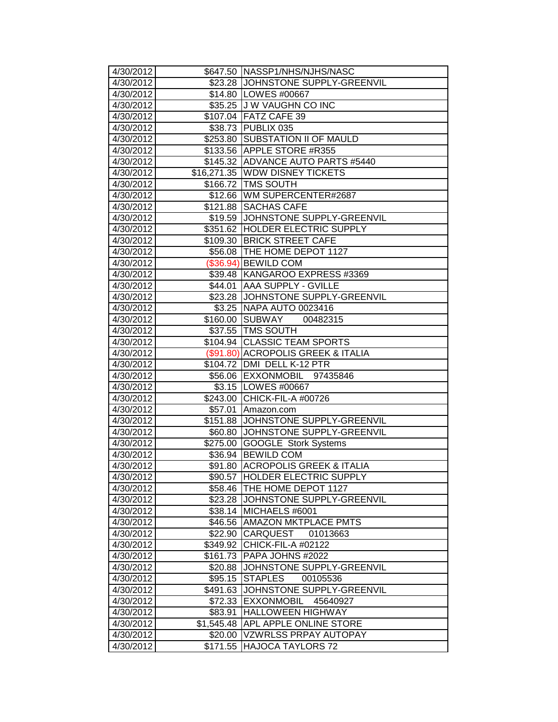| 4/30/2012              |                     | \$647.50 NASSP1/NHS/NJHS/NASC                                      |
|------------------------|---------------------|--------------------------------------------------------------------|
| 4/30/2012              |                     | \$23.28 JJOHNSTONE SUPPLY-GREENVIL                                 |
| 4/30/2012              |                     | \$14.80   LOWES #00667                                             |
| 4/30/2012              |                     | \$35.25 J W VAUGHN CO INC                                          |
| 4/30/2012              |                     | \$107.04 FATZ CAFE 39                                              |
| 4/30/2012              |                     | \$38.73 PUBLIX 035                                                 |
| 4/30/2012              |                     | \$253.80 SUBSTATION II OF MAULD                                    |
| 4/30/2012              |                     | \$133.56 APPLE STORE #R355                                         |
| 4/30/2012              |                     | \$145.32 ADVANCE AUTO PARTS #5440                                  |
| 4/30/2012              |                     | \$16,271.35 WDW DISNEY TICKETS                                     |
| 4/30/2012              |                     | \$166.72   TMS SOUTH                                               |
| 4/30/2012              |                     | \$12.66   WM SUPERCENTER#2687                                      |
| 4/30/2012              | \$121.88            | <b>SACHAS CAFE</b>                                                 |
| 4/30/2012              |                     | \$19.59 JJOHNSTONE SUPPLY-GREENVIL                                 |
| 4/30/2012              |                     | \$351.62 HOLDER ELECTRIC SUPPLY                                    |
| 4/30/2012              |                     | \$109.30 BRICK STREET CAFE                                         |
| 4/30/2012              |                     | \$56.08   THE HOME DEPOT 1127                                      |
| 4/30/2012              |                     | (\$36.94) BEWILD COM                                               |
| 4/30/2012              |                     | \$39.48 KANGAROO EXPRESS #3369                                     |
| 4/30/2012              | \$44.01             | <b>AAA SUPPLY - GVILLE</b>                                         |
| 4/30/2012              |                     | \$23.28 JJOHNSTONE SUPPLY-GREENVIL                                 |
| 4/30/2012              |                     | \$3.25   NAPA AUTO 0023416                                         |
| 4/30/2012              |                     | \$160.00 SUBWAY<br>00482315                                        |
| 4/30/2012              |                     | \$37.55 TMS SOUTH                                                  |
| 4/30/2012<br>4/30/2012 |                     | \$104.94 CLASSIC TEAM SPORTS<br>(\$91.80) ACROPOLIS GREEK & ITALIA |
| 4/30/2012              |                     | \$104.72   DMI DELL K-12 PTR                                       |
| 4/30/2012              |                     | \$56.06 EXXONMOBIL 97435846                                        |
| 4/30/2012              |                     | \$3.15   LOWES #00667                                              |
| 4/30/2012              |                     | \$243.00 CHICK-FIL-A #00726                                        |
| 4/30/2012              | \$57.01             | Amazon.com                                                         |
| 4/30/2012              |                     | \$151.88 JJOHNSTONE SUPPLY-GREENVIL                                |
| 4/30/2012              | \$60.80             | JOHNSTONE SUPPLY-GREENVIL                                          |
| 4/30/2012              |                     | \$275.00 GOOGLE Stork Systems                                      |
| 4/30/2012              |                     | \$36.94 BEWILD COM                                                 |
| 4/30/2012              |                     | \$91.80 ACROPOLIS GREEK & ITALIA                                   |
| 4/30/2012              |                     | \$90.57  HOLDER ELECTRIC SUPPLY                                    |
| 4/30/2012              |                     | \$58.46 THE HOME DEPOT 1127                                        |
| 4/30/2012              | \$23.28             | JOHNSTONE SUPPLY-GREENVIL                                          |
|                        |                     |                                                                    |
| 4/30/2012              | \$38.14             | MICHAELS #6001                                                     |
| 4/30/2012              | \$46.56             | <b>AMAZON MKTPLACE PMTS</b>                                        |
| 4/30/2012              | \$22.90             | CARQUEST<br>01013663                                               |
| 4/30/2012              | \$349.92            | <b>CHICK-FIL-A #02122</b>                                          |
| 4/30/2012              | \$161.73            | PAPA JOHNS #2022                                                   |
| 4/30/2012              | \$20.88             | JOHNSTONE SUPPLY-GREENVIL                                          |
| 4/30/2012              | \$95.15             | <b>STAPLES</b><br>00105536                                         |
| 4/30/2012              | \$491.63            | JOHNSTONE SUPPLY-GREENVIL                                          |
| 4/30/2012              | \$72.33             | EXXONMOBIL 45640927                                                |
| 4/30/2012              | \$83.91             | <b>HALLOWEEN HIGHWAY</b>                                           |
| 4/30/2012              | \$1,545.48          | APL APPLE ONLINE STORE                                             |
| 4/30/2012<br>4/30/2012 | \$20.00<br>\$171.55 | <b>VZWRLSS PRPAY AUTOPAY</b><br><b>HAJOCA TAYLORS 72</b>           |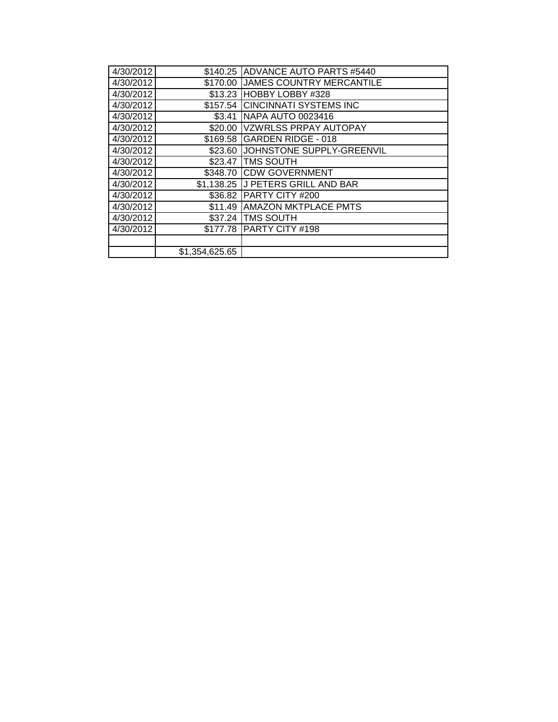|                | \$140.25 ADVANCE AUTO PARTS #5440  |
|----------------|------------------------------------|
|                | \$170.00 JJAMES COUNTRY MERCANTILE |
|                | \$13.23 HOBBY LOBBY #328           |
|                | \$157.54 CINCINNATI SYSTEMS INC    |
| \$3.41         | <b>NAPA AUTO 0023416</b>           |
|                | \$20.00   VZWRLSS PRPAY AUTOPAY    |
|                | \$169.58 GARDEN RIDGE - 018        |
|                | \$23.60 JJOHNSTONE SUPPLY-GREENVIL |
| \$23.47        | <b>ITMS SOUTH</b>                  |
|                | \$348.70 CDW GOVERNMENT            |
|                | \$1,138.25 J PETERS GRILL AND BAR  |
|                | \$36.82 PARTY CITY #200            |
|                | \$11.49 AMAZON MKTPLACE PMTS       |
|                | \$37.24 TMS SOUTH                  |
| \$177.78       | <b>IPARTY CITY #198</b>            |
|                |                                    |
| \$1,354,625.65 |                                    |
|                |                                    |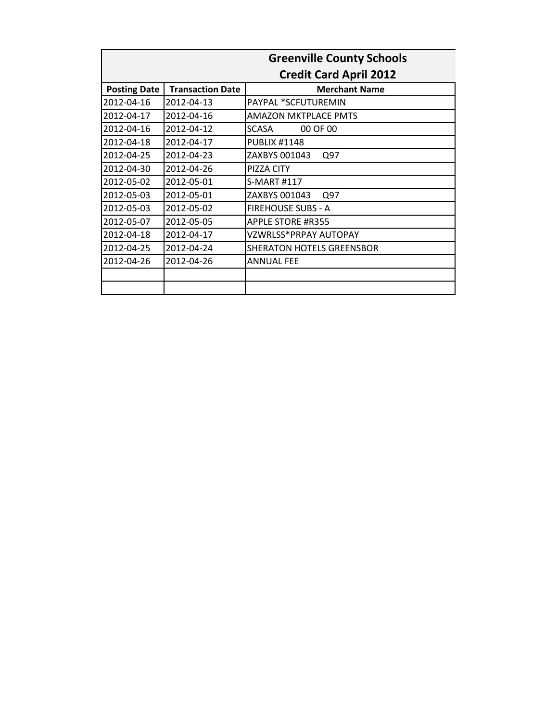|                     |                         | <b>Greenville County Schools</b> |
|---------------------|-------------------------|----------------------------------|
|                     |                         | <b>Credit Card April 2012</b>    |
| <b>Posting Date</b> | <b>Transaction Date</b> | <b>Merchant Name</b>             |
| 2012-04-16          | 2012-04-13              | PAYPAL *SCFUTUREMIN              |
| 2012-04-17          | 2012-04-16              | <b>AMAZON MKTPLACE PMTS</b>      |
| 2012-04-16          | 2012-04-12              | SCASA<br>00 OF 00                |
| 2012-04-18          | 2012-04-17              | <b>PUBLIX #1148</b>              |
| 2012-04-25          | 2012-04-23              | ZAXBYS 001043<br>Q97             |
| 2012-04-30          | 2012-04-26              | PIZZA CITY                       |
| 2012-05-02          | 2012-05-01              | S-MART #117                      |
| 2012-05-03          | 2012-05-01              | ZAXBYS 001043<br>Q97             |
| 2012-05-03          | 2012-05-02              | <b>FIREHOUSE SUBS - A</b>        |
| 2012-05-07          | 2012-05-05              | <b>APPLE STORE #R355</b>         |
| 2012-04-18          | 2012-04-17              | VZWRLSS*PRPAY AUTOPAY            |
| 2012-04-25          | 2012-04-24              | <b>SHERATON HOTELS GREENSBOR</b> |
| 2012-04-26          | 2012-04-26              | <b>ANNUAL FEE</b>                |
|                     |                         |                                  |
|                     |                         |                                  |